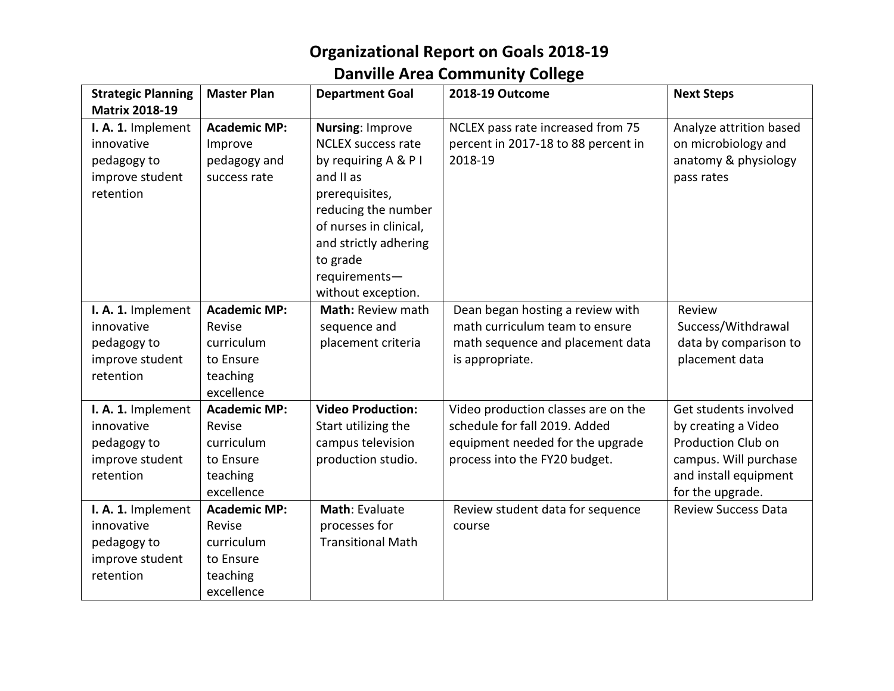## **Organizational Report on Goals 2018-19 Danville Area Community College**

| <b>Strategic Planning</b> | <b>Master Plan</b>  | <b>Department Goal</b>    | 2018-19 Outcome                     | <b>Next Steps</b>          |
|---------------------------|---------------------|---------------------------|-------------------------------------|----------------------------|
| <b>Matrix 2018-19</b>     |                     |                           |                                     |                            |
| I. A. 1. Implement        | <b>Academic MP:</b> | <b>Nursing: Improve</b>   | NCLEX pass rate increased from 75   | Analyze attrition based    |
| innovative                | Improve             | <b>NCLEX</b> success rate | percent in 2017-18 to 88 percent in | on microbiology and        |
| pedagogy to               | pedagogy and        | by requiring A & P I      | 2018-19                             | anatomy & physiology       |
| improve student           | success rate        | and II as                 |                                     | pass rates                 |
| retention                 |                     | prerequisites,            |                                     |                            |
|                           |                     | reducing the number       |                                     |                            |
|                           |                     | of nurses in clinical,    |                                     |                            |
|                           |                     | and strictly adhering     |                                     |                            |
|                           |                     | to grade                  |                                     |                            |
|                           |                     | requirements-             |                                     |                            |
|                           |                     | without exception.        |                                     |                            |
| I. A. 1. Implement        | <b>Academic MP:</b> | <b>Math: Review math</b>  | Dean began hosting a review with    | Review                     |
| innovative                | Revise              | sequence and              | math curriculum team to ensure      | Success/Withdrawal         |
| pedagogy to               | curriculum          | placement criteria        | math sequence and placement data    | data by comparison to      |
| improve student           | to Ensure           |                           | is appropriate.                     | placement data             |
| retention                 | teaching            |                           |                                     |                            |
|                           | excellence          |                           |                                     |                            |
| I. A. 1. Implement        | <b>Academic MP:</b> | <b>Video Production:</b>  | Video production classes are on the | Get students involved      |
| innovative                | Revise              | Start utilizing the       | schedule for fall 2019. Added       | by creating a Video        |
| pedagogy to               | curriculum          | campus television         | equipment needed for the upgrade    | <b>Production Club on</b>  |
| improve student           | to Ensure           | production studio.        | process into the FY20 budget.       | campus. Will purchase      |
| retention                 | teaching            |                           |                                     | and install equipment      |
|                           | excellence          |                           |                                     | for the upgrade.           |
| I. A. 1. Implement        | <b>Academic MP:</b> | Math: Evaluate            | Review student data for sequence    | <b>Review Success Data</b> |
| innovative                | Revise              | processes for             | course                              |                            |
| pedagogy to               | curriculum          | <b>Transitional Math</b>  |                                     |                            |
| improve student           | to Ensure           |                           |                                     |                            |
| retention                 | teaching            |                           |                                     |                            |
|                           | excellence          |                           |                                     |                            |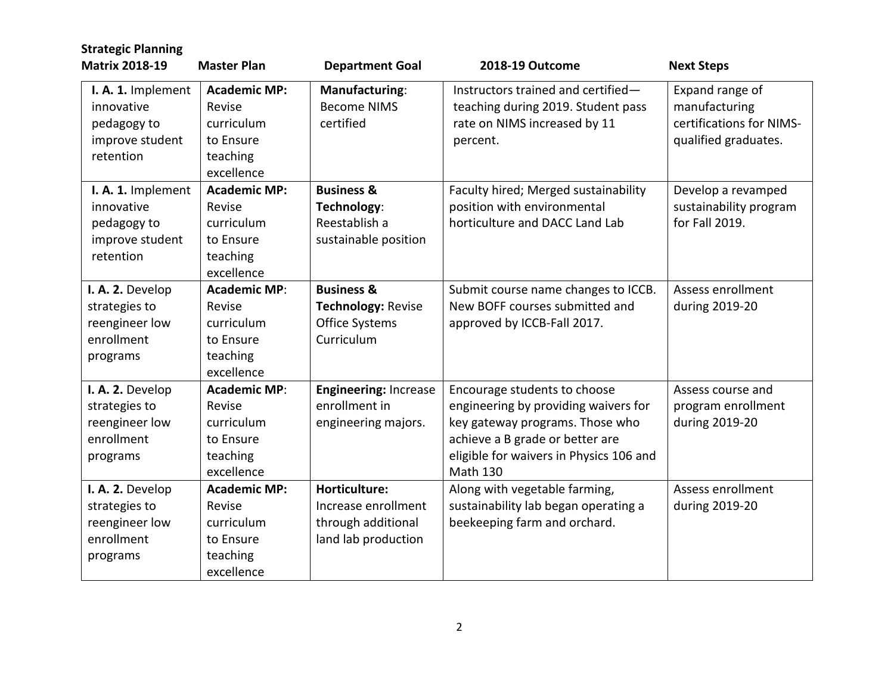| <b>Strategic Planning</b>                                                       |                                                                                    |                                                                                          |                                                                                                                                                                                                          |                                                                                      |
|---------------------------------------------------------------------------------|------------------------------------------------------------------------------------|------------------------------------------------------------------------------------------|----------------------------------------------------------------------------------------------------------------------------------------------------------------------------------------------------------|--------------------------------------------------------------------------------------|
| <b>Matrix 2018-19</b>                                                           | <b>Master Plan</b>                                                                 | <b>Department Goal</b>                                                                   | 2018-19 Outcome                                                                                                                                                                                          | <b>Next Steps</b>                                                                    |
| I. A. 1. Implement<br>innovative<br>pedagogy to<br>improve student<br>retention | <b>Academic MP:</b><br>Revise<br>curriculum<br>to Ensure<br>teaching<br>excellence | Manufacturing:<br><b>Become NIMS</b><br>certified                                        | Instructors trained and certified-<br>teaching during 2019. Student pass<br>rate on NIMS increased by 11<br>percent.                                                                                     | Expand range of<br>manufacturing<br>certifications for NIMS-<br>qualified graduates. |
| I. A. 1. Implement<br>innovative<br>pedagogy to<br>improve student<br>retention | <b>Academic MP:</b><br>Revise<br>curriculum<br>to Ensure<br>teaching<br>excellence | <b>Business &amp;</b><br>Technology:<br>Reestablish a<br>sustainable position            | Faculty hired; Merged sustainability<br>position with environmental<br>horticulture and DACC Land Lab                                                                                                    | Develop a revamped<br>sustainability program<br>for Fall 2019.                       |
| I. A. 2. Develop<br>strategies to<br>reengineer low<br>enrollment<br>programs   | <b>Academic MP:</b><br>Revise<br>curriculum<br>to Ensure<br>teaching<br>excellence | <b>Business &amp;</b><br>Technology: Revise<br><b>Office Systems</b><br>Curriculum       | Submit course name changes to ICCB.<br>New BOFF courses submitted and<br>approved by ICCB-Fall 2017.                                                                                                     | Assess enrollment<br>during 2019-20                                                  |
| I. A. 2. Develop<br>strategies to<br>reengineer low<br>enrollment<br>programs   | <b>Academic MP:</b><br>Revise<br>curriculum<br>to Ensure<br>teaching<br>excellence | <b>Engineering: Increase</b><br>enrollment in<br>engineering majors.                     | Encourage students to choose<br>engineering by providing waivers for<br>key gateway programs. Those who<br>achieve a B grade or better are<br>eligible for waivers in Physics 106 and<br><b>Math 130</b> | Assess course and<br>program enrollment<br>during 2019-20                            |
| I. A. 2. Develop<br>strategies to<br>reengineer low<br>enrollment<br>programs   | <b>Academic MP:</b><br>Revise<br>curriculum<br>to Ensure<br>teaching<br>excellence | <b>Horticulture:</b><br>Increase enrollment<br>through additional<br>land lab production | Along with vegetable farming,<br>sustainability lab began operating a<br>beekeeping farm and orchard.                                                                                                    | Assess enrollment<br>during 2019-20                                                  |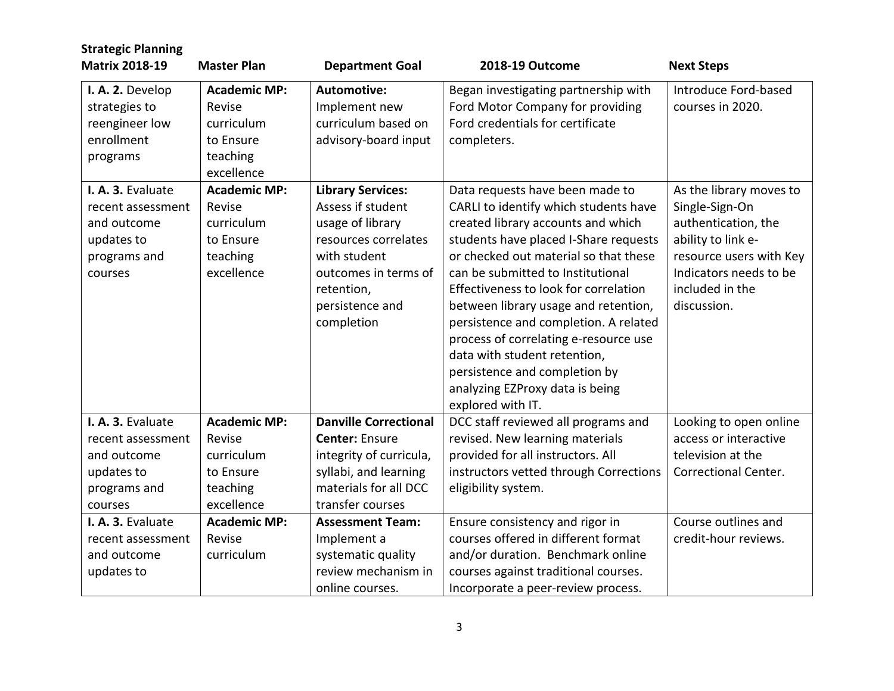| <b>Strategic Planning</b>                                                                                                                                                       |                                                                                                                                                                          |                                                                                                                                                                                                                                                                        |                                                                                                                                                                                                                                                                                                                                                                                                                                                                                                                                                                                                                                                                  |                                                                                                                                                                                                                           |
|---------------------------------------------------------------------------------------------------------------------------------------------------------------------------------|--------------------------------------------------------------------------------------------------------------------------------------------------------------------------|------------------------------------------------------------------------------------------------------------------------------------------------------------------------------------------------------------------------------------------------------------------------|------------------------------------------------------------------------------------------------------------------------------------------------------------------------------------------------------------------------------------------------------------------------------------------------------------------------------------------------------------------------------------------------------------------------------------------------------------------------------------------------------------------------------------------------------------------------------------------------------------------------------------------------------------------|---------------------------------------------------------------------------------------------------------------------------------------------------------------------------------------------------------------------------|
| <b>Matrix 2018-19</b>                                                                                                                                                           | <b>Master Plan</b>                                                                                                                                                       | <b>Department Goal</b>                                                                                                                                                                                                                                                 | 2018-19 Outcome                                                                                                                                                                                                                                                                                                                                                                                                                                                                                                                                                                                                                                                  | <b>Next Steps</b>                                                                                                                                                                                                         |
| I. A. 2. Develop<br>strategies to<br>reengineer low<br>enrollment<br>programs<br>I. A. 3. Evaluate<br>recent assessment<br>and outcome<br>updates to<br>programs and<br>courses | <b>Academic MP:</b><br>Revise<br>curriculum<br>to Ensure<br>teaching<br>excellence<br><b>Academic MP:</b><br>Revise<br>curriculum<br>to Ensure<br>teaching<br>excellence | <b>Automotive:</b><br>Implement new<br>curriculum based on<br>advisory-board input<br><b>Library Services:</b><br>Assess if student<br>usage of library<br>resources correlates<br>with student<br>outcomes in terms of<br>retention,<br>persistence and<br>completion | Began investigating partnership with<br>Ford Motor Company for providing<br>Ford credentials for certificate<br>completers.<br>Data requests have been made to<br>CARLI to identify which students have<br>created library accounts and which<br>students have placed I-Share requests<br>or checked out material so that these<br>can be submitted to Institutional<br>Effectiveness to look for correlation<br>between library usage and retention,<br>persistence and completion. A related<br>process of correlating e-resource use<br>data with student retention,<br>persistence and completion by<br>analyzing EZProxy data is being<br>explored with IT. | Introduce Ford-based<br>courses in 2020.<br>As the library moves to<br>Single-Sign-On<br>authentication, the<br>ability to link e-<br>resource users with Key<br>Indicators needs to be<br>included in the<br>discussion. |
| I. A. 3. Evaluate                                                                                                                                                               | <b>Academic MP:</b>                                                                                                                                                      | <b>Danville Correctional</b>                                                                                                                                                                                                                                           | DCC staff reviewed all programs and                                                                                                                                                                                                                                                                                                                                                                                                                                                                                                                                                                                                                              | Looking to open online                                                                                                                                                                                                    |
| recent assessment                                                                                                                                                               | Revise                                                                                                                                                                   | <b>Center: Ensure</b>                                                                                                                                                                                                                                                  | revised. New learning materials                                                                                                                                                                                                                                                                                                                                                                                                                                                                                                                                                                                                                                  | access or interactive                                                                                                                                                                                                     |
| and outcome                                                                                                                                                                     | curriculum                                                                                                                                                               | integrity of curricula,                                                                                                                                                                                                                                                | provided for all instructors. All                                                                                                                                                                                                                                                                                                                                                                                                                                                                                                                                                                                                                                | television at the                                                                                                                                                                                                         |
| updates to                                                                                                                                                                      | to Ensure                                                                                                                                                                | syllabi, and learning                                                                                                                                                                                                                                                  | instructors vetted through Corrections                                                                                                                                                                                                                                                                                                                                                                                                                                                                                                                                                                                                                           | <b>Correctional Center.</b>                                                                                                                                                                                               |
| programs and                                                                                                                                                                    | teaching                                                                                                                                                                 | materials for all DCC                                                                                                                                                                                                                                                  | eligibility system.                                                                                                                                                                                                                                                                                                                                                                                                                                                                                                                                                                                                                                              |                                                                                                                                                                                                                           |
| courses                                                                                                                                                                         | excellence                                                                                                                                                               | transfer courses                                                                                                                                                                                                                                                       |                                                                                                                                                                                                                                                                                                                                                                                                                                                                                                                                                                                                                                                                  |                                                                                                                                                                                                                           |
| I. A. 3. Evaluate                                                                                                                                                               | <b>Academic MP:</b>                                                                                                                                                      | <b>Assessment Team:</b>                                                                                                                                                                                                                                                | Ensure consistency and rigor in                                                                                                                                                                                                                                                                                                                                                                                                                                                                                                                                                                                                                                  | Course outlines and                                                                                                                                                                                                       |
| recent assessment                                                                                                                                                               | Revise                                                                                                                                                                   | Implement a                                                                                                                                                                                                                                                            | courses offered in different format                                                                                                                                                                                                                                                                                                                                                                                                                                                                                                                                                                                                                              | credit-hour reviews.                                                                                                                                                                                                      |
| and outcome                                                                                                                                                                     | curriculum                                                                                                                                                               | systematic quality                                                                                                                                                                                                                                                     | and/or duration. Benchmark online                                                                                                                                                                                                                                                                                                                                                                                                                                                                                                                                                                                                                                |                                                                                                                                                                                                                           |
| updates to                                                                                                                                                                      |                                                                                                                                                                          | review mechanism in                                                                                                                                                                                                                                                    | courses against traditional courses.                                                                                                                                                                                                                                                                                                                                                                                                                                                                                                                                                                                                                             |                                                                                                                                                                                                                           |
|                                                                                                                                                                                 |                                                                                                                                                                          | online courses.                                                                                                                                                                                                                                                        | Incorporate a peer-review process.                                                                                                                                                                                                                                                                                                                                                                                                                                                                                                                                                                                                                               |                                                                                                                                                                                                                           |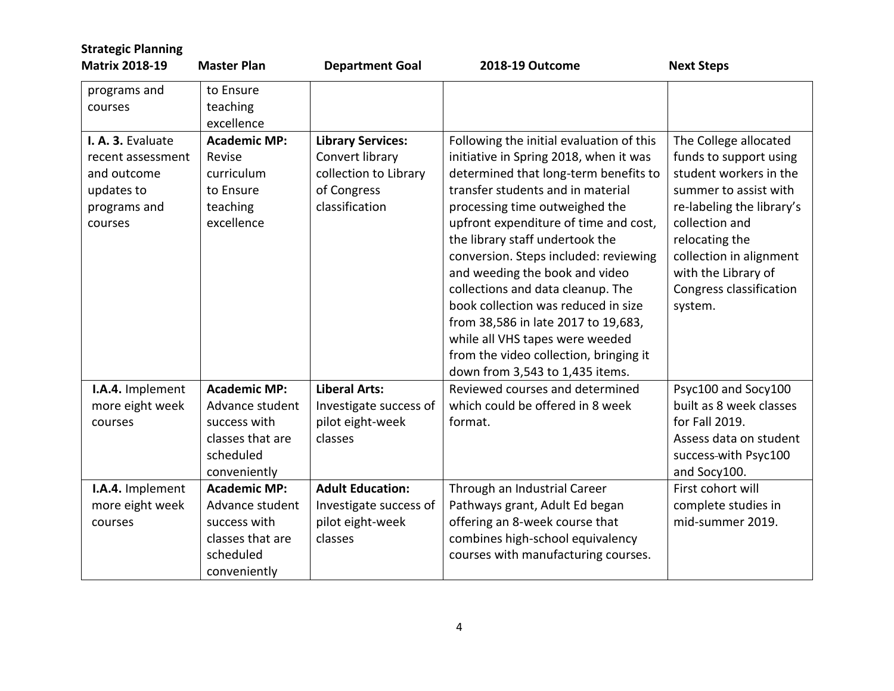| <b>Strategic Planning</b> |                     |                          |                                          |                           |
|---------------------------|---------------------|--------------------------|------------------------------------------|---------------------------|
| <b>Matrix 2018-19</b>     | <b>Master Plan</b>  | <b>Department Goal</b>   | 2018-19 Outcome                          | <b>Next Steps</b>         |
| programs and              | to Ensure           |                          |                                          |                           |
| courses                   | teaching            |                          |                                          |                           |
|                           | excellence          |                          |                                          |                           |
| I. A. 3. Evaluate         | <b>Academic MP:</b> | <b>Library Services:</b> | Following the initial evaluation of this | The College allocated     |
| recent assessment         | Revise              | Convert library          | initiative in Spring 2018, when it was   | funds to support using    |
| and outcome               | curriculum          | collection to Library    | determined that long-term benefits to    | student workers in the    |
| updates to                | to Ensure           | of Congress              | transfer students and in material        | summer to assist with     |
| programs and              | teaching            | classification           | processing time outweighed the           | re-labeling the library's |
| courses                   | excellence          |                          | upfront expenditure of time and cost,    | collection and            |
|                           |                     |                          | the library staff undertook the          | relocating the            |
|                           |                     |                          | conversion. Steps included: reviewing    | collection in alignment   |
|                           |                     |                          | and weeding the book and video           | with the Library of       |
|                           |                     |                          | collections and data cleanup. The        | Congress classification   |
|                           |                     |                          | book collection was reduced in size      | system.                   |
|                           |                     |                          | from 38,586 in late 2017 to 19,683,      |                           |
|                           |                     |                          | while all VHS tapes were weeded          |                           |
|                           |                     |                          | from the video collection, bringing it   |                           |
|                           |                     |                          | down from 3,543 to 1,435 items.          |                           |
| I.A.4. Implement          | <b>Academic MP:</b> | <b>Liberal Arts:</b>     | Reviewed courses and determined          | Psyc100 and Socy100       |
| more eight week           | Advance student     | Investigate success of   | which could be offered in 8 week         | built as 8 week classes   |
| courses                   | success with        | pilot eight-week         | format.                                  | for Fall 2019.            |
|                           | classes that are    | classes                  |                                          | Assess data on student    |
|                           | scheduled           |                          |                                          | success-with Psyc100      |
|                           | conveniently        |                          |                                          | and Socy100.              |
| I.A.4. Implement          | <b>Academic MP:</b> | <b>Adult Education:</b>  | Through an Industrial Career             | First cohort will         |
| more eight week           | Advance student     | Investigate success of   | Pathways grant, Adult Ed began           | complete studies in       |
| courses                   | success with        | pilot eight-week         | offering an 8-week course that           | mid-summer 2019.          |
|                           | classes that are    | classes                  | combines high-school equivalency         |                           |
|                           | scheduled           |                          | courses with manufacturing courses.      |                           |
|                           | conveniently        |                          |                                          |                           |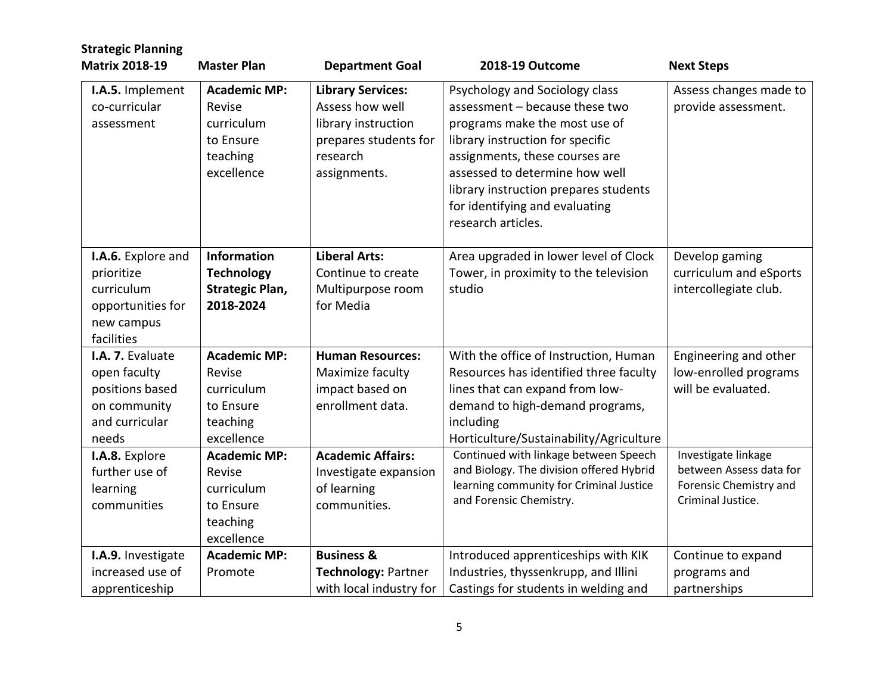| <b>Strategic Planning</b>                                                                       |                                                                                    |                                                                                                                         |                                                                                                                                                                                                                                                                                                            |                                                                                               |
|-------------------------------------------------------------------------------------------------|------------------------------------------------------------------------------------|-------------------------------------------------------------------------------------------------------------------------|------------------------------------------------------------------------------------------------------------------------------------------------------------------------------------------------------------------------------------------------------------------------------------------------------------|-----------------------------------------------------------------------------------------------|
| <b>Matrix 2018-19</b>                                                                           | <b>Master Plan</b>                                                                 | <b>Department Goal</b>                                                                                                  | 2018-19 Outcome                                                                                                                                                                                                                                                                                            | <b>Next Steps</b>                                                                             |
| I.A.5. Implement<br>co-curricular<br>assessment                                                 | <b>Academic MP:</b><br>Revise<br>curriculum<br>to Ensure<br>teaching<br>excellence | <b>Library Services:</b><br>Assess how well<br>library instruction<br>prepares students for<br>research<br>assignments. | Psychology and Sociology class<br>assessment - because these two<br>programs make the most use of<br>library instruction for specific<br>assignments, these courses are<br>assessed to determine how well<br>library instruction prepares students<br>for identifying and evaluating<br>research articles. | Assess changes made to<br>provide assessment.                                                 |
| I.A.6. Explore and<br>prioritize<br>curriculum<br>opportunities for<br>new campus<br>facilities | <b>Information</b><br><b>Technology</b><br><b>Strategic Plan,</b><br>2018-2024     | <b>Liberal Arts:</b><br>Continue to create<br>Multipurpose room<br>for Media                                            | Area upgraded in lower level of Clock<br>Tower, in proximity to the television<br>studio                                                                                                                                                                                                                   | Develop gaming<br>curriculum and eSports<br>intercollegiate club.                             |
| I.A. 7. Evaluate<br>open faculty<br>positions based<br>on community<br>and curricular<br>needs  | <b>Academic MP:</b><br>Revise<br>curriculum<br>to Ensure<br>teaching<br>excellence | <b>Human Resources:</b><br>Maximize faculty<br>impact based on<br>enrollment data.                                      | With the office of Instruction, Human<br>Resources has identified three faculty<br>lines that can expand from low-<br>demand to high-demand programs,<br>including<br>Horticulture/Sustainability/Agriculture                                                                                              | Engineering and other<br>low-enrolled programs<br>will be evaluated.                          |
| I.A.8. Explore<br>further use of<br>learning<br>communities                                     | <b>Academic MP:</b><br>Revise<br>curriculum<br>to Ensure<br>teaching<br>excellence | <b>Academic Affairs:</b><br>Investigate expansion<br>of learning<br>communities.                                        | Continued with linkage between Speech<br>and Biology. The division offered Hybrid<br>learning community for Criminal Justice<br>and Forensic Chemistry.                                                                                                                                                    | Investigate linkage<br>between Assess data for<br>Forensic Chemistry and<br>Criminal Justice. |
| I.A.9. Investigate<br>increased use of<br>apprenticeship                                        | <b>Academic MP:</b><br>Promote                                                     | <b>Business &amp;</b><br><b>Technology: Partner</b><br>with local industry for                                          | Introduced apprenticeships with KIK<br>Industries, thyssenkrupp, and Illini<br>Castings for students in welding and                                                                                                                                                                                        | Continue to expand<br>programs and<br>partnerships                                            |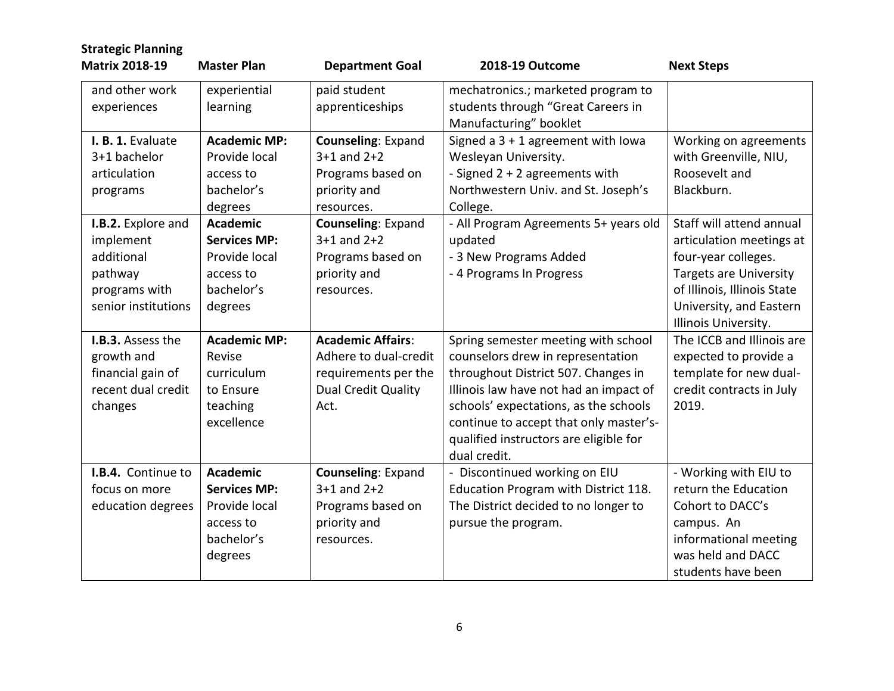| <b>Strategic Planning</b> |                     |                           |                                        |                               |
|---------------------------|---------------------|---------------------------|----------------------------------------|-------------------------------|
| <b>Matrix 2018-19</b>     | <b>Master Plan</b>  | <b>Department Goal</b>    | 2018-19 Outcome                        | <b>Next Steps</b>             |
| and other work            | experiential        | paid student              | mechatronics.; marketed program to     |                               |
| experiences               | learning            | apprenticeships           | students through "Great Careers in     |                               |
|                           |                     |                           | Manufacturing" booklet                 |                               |
| I. B. 1. Evaluate         | <b>Academic MP:</b> | <b>Counseling: Expand</b> | Signed a $3 + 1$ agreement with lowa   | Working on agreements         |
| 3+1 bachelor              | Provide local       | $3+1$ and $2+2$           | Wesleyan University.                   | with Greenville, NIU,         |
| articulation              | access to           | Programs based on         | - Signed $2 + 2$ agreements with       | Roosevelt and                 |
| programs                  | bachelor's          | priority and              | Northwestern Univ. and St. Joseph's    | Blackburn.                    |
|                           | degrees             | resources.                | College.                               |                               |
| I.B.2. Explore and        | <b>Academic</b>     | <b>Counseling: Expand</b> | - All Program Agreements 5+ years old  | Staff will attend annual      |
| implement                 | <b>Services MP:</b> | $3+1$ and $2+2$           | updated                                | articulation meetings at      |
| additional                | Provide local       | Programs based on         | - 3 New Programs Added                 | four-year colleges.           |
| pathway                   | access to           | priority and              | - 4 Programs In Progress               | <b>Targets are University</b> |
| programs with             | bachelor's          | resources.                |                                        | of Illinois, Illinois State   |
| senior institutions       | degrees             |                           |                                        | University, and Eastern       |
|                           |                     |                           |                                        | Illinois University.          |
| <b>I.B.3.</b> Assess the  | <b>Academic MP:</b> | <b>Academic Affairs:</b>  | Spring semester meeting with school    | The ICCB and Illinois are     |
| growth and                | Revise              | Adhere to dual-credit     | counselors drew in representation      | expected to provide a         |
| financial gain of         | curriculum          | requirements per the      | throughout District 507. Changes in    | template for new dual-        |
| recent dual credit        | to Ensure           | Dual Credit Quality       | Illinois law have not had an impact of | credit contracts in July      |
| changes                   | teaching            | Act.                      | schools' expectations, as the schools  | 2019.                         |
|                           | excellence          |                           | continue to accept that only master's- |                               |
|                           |                     |                           | qualified instructors are eligible for |                               |
|                           |                     |                           | dual credit.                           |                               |
| I.B.4. Continue to        | <b>Academic</b>     | <b>Counseling: Expand</b> | - Discontinued working on EIU          | - Working with EIU to         |
| focus on more             | <b>Services MP:</b> | $3+1$ and $2+2$           | Education Program with District 118.   | return the Education          |
| education degrees         | Provide local       | Programs based on         | The District decided to no longer to   | Cohort to DACC's              |
|                           | access to           | priority and              | pursue the program.                    | campus. An                    |
|                           | bachelor's          | resources.                |                                        | informational meeting         |
|                           | degrees             |                           |                                        | was held and DACC             |
|                           |                     |                           |                                        | students have been            |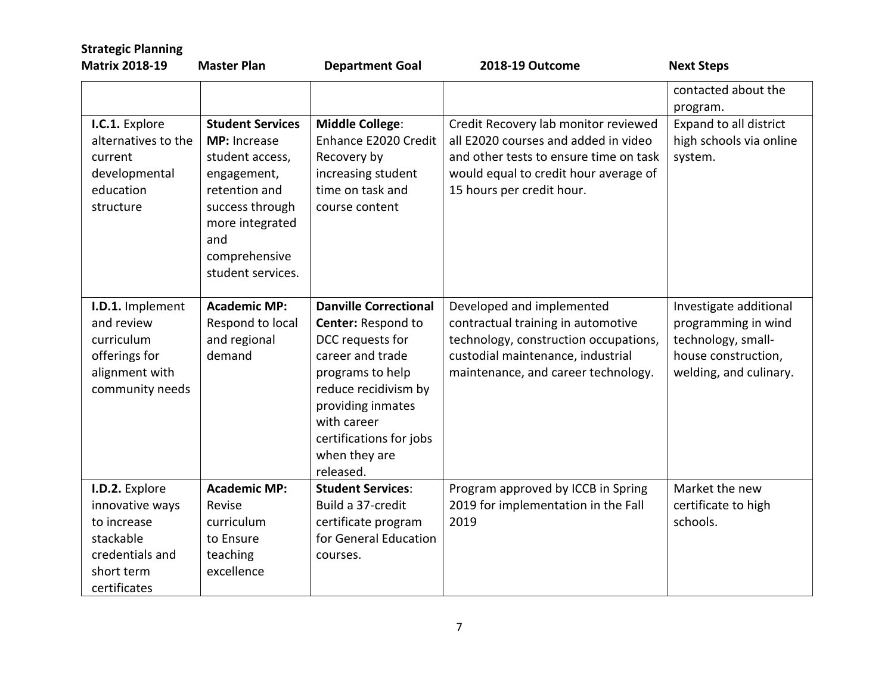| <b>Strategic Planning</b>                                                                                      |                                                                                                                                                                               |                                                                                                                                                                                                                                            |                                                                                                                                                                                              |                                                                                                                      |
|----------------------------------------------------------------------------------------------------------------|-------------------------------------------------------------------------------------------------------------------------------------------------------------------------------|--------------------------------------------------------------------------------------------------------------------------------------------------------------------------------------------------------------------------------------------|----------------------------------------------------------------------------------------------------------------------------------------------------------------------------------------------|----------------------------------------------------------------------------------------------------------------------|
| <b>Matrix 2018-19</b>                                                                                          | <b>Master Plan</b>                                                                                                                                                            | <b>Department Goal</b>                                                                                                                                                                                                                     | 2018-19 Outcome                                                                                                                                                                              | <b>Next Steps</b>                                                                                                    |
|                                                                                                                |                                                                                                                                                                               |                                                                                                                                                                                                                                            |                                                                                                                                                                                              | contacted about the<br>program.                                                                                      |
| I.C.1. Explore<br>alternatives to the<br>current<br>developmental<br>education<br>structure                    | <b>Student Services</b><br>MP: Increase<br>student access,<br>engagement,<br>retention and<br>success through<br>more integrated<br>and<br>comprehensive<br>student services. | <b>Middle College:</b><br>Enhance E2020 Credit<br>Recovery by<br>increasing student<br>time on task and<br>course content                                                                                                                  | Credit Recovery lab monitor reviewed<br>all E2020 courses and added in video<br>and other tests to ensure time on task<br>would equal to credit hour average of<br>15 hours per credit hour. | Expand to all district<br>high schools via online<br>system.                                                         |
| I.D.1. Implement<br>and review<br>curriculum<br>offerings for<br>alignment with<br>community needs             | <b>Academic MP:</b><br>Respond to local<br>and regional<br>demand                                                                                                             | <b>Danville Correctional</b><br><b>Center: Respond to</b><br>DCC requests for<br>career and trade<br>programs to help<br>reduce recidivism by<br>providing inmates<br>with career<br>certifications for jobs<br>when they are<br>released. | Developed and implemented<br>contractual training in automotive<br>technology, construction occupations,<br>custodial maintenance, industrial<br>maintenance, and career technology.         | Investigate additional<br>programming in wind<br>technology, small-<br>house construction,<br>welding, and culinary. |
| I.D.2. Explore<br>innovative ways<br>to increase<br>stackable<br>credentials and<br>short term<br>certificates | <b>Academic MP:</b><br>Revise<br>curriculum<br>to Ensure<br>teaching<br>excellence                                                                                            | <b>Student Services:</b><br>Build a 37-credit<br>certificate program<br>for General Education<br>courses.                                                                                                                                  | Program approved by ICCB in Spring<br>2019 for implementation in the Fall<br>2019                                                                                                            | Market the new<br>certificate to high<br>schools.                                                                    |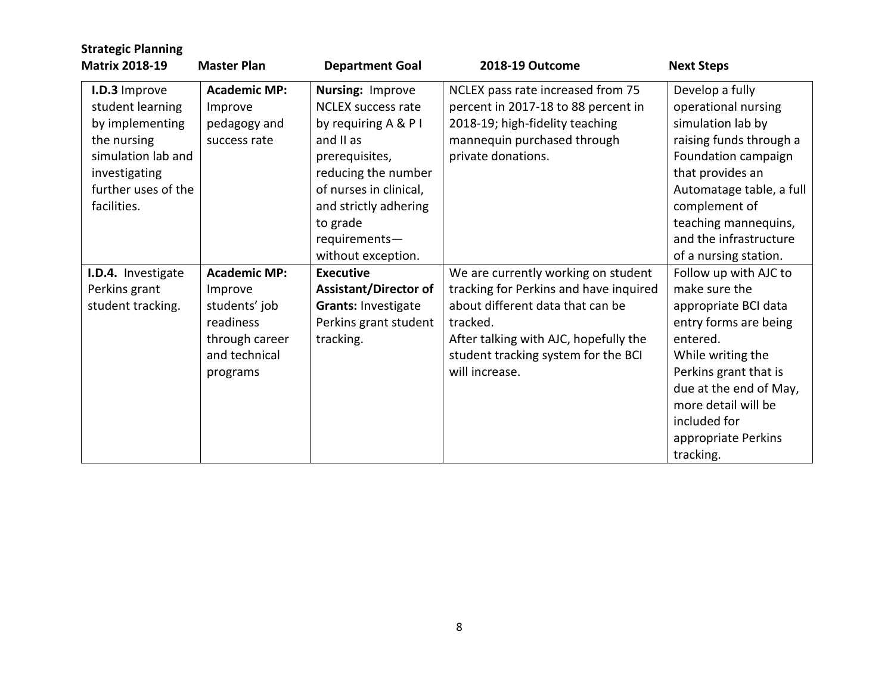| <b>Strategic Planning</b><br><b>Matrix 2018-19</b> | <b>Master Plan</b>  |                              |                                        |                          |
|----------------------------------------------------|---------------------|------------------------------|----------------------------------------|--------------------------|
|                                                    |                     | <b>Department Goal</b>       | <b>2018-19 Outcome</b>                 | <b>Next Steps</b>        |
| I.D.3 Improve                                      | <b>Academic MP:</b> | Nursing: Improve             | NCLEX pass rate increased from 75      | Develop a fully          |
| student learning                                   | Improve             | <b>NCLEX</b> success rate    | percent in 2017-18 to 88 percent in    | operational nursing      |
| by implementing                                    | pedagogy and        | by requiring A & P I         | 2018-19; high-fidelity teaching        | simulation lab by        |
| the nursing                                        | success rate        | and II as                    | mannequin purchased through            | raising funds through a  |
| simulation lab and                                 |                     | prerequisites,               | private donations.                     | Foundation campaign      |
| investigating                                      |                     | reducing the number          |                                        | that provides an         |
| further uses of the                                |                     | of nurses in clinical,       |                                        | Automatage table, a full |
| facilities.                                        |                     | and strictly adhering        |                                        | complement of            |
|                                                    |                     | to grade                     |                                        | teaching mannequins,     |
|                                                    |                     | requirements-                |                                        | and the infrastructure   |
|                                                    |                     | without exception.           |                                        | of a nursing station.    |
| I.D.4. Investigate                                 | <b>Academic MP:</b> | <b>Executive</b>             | We are currently working on student    | Follow up with AJC to    |
| Perkins grant                                      | Improve             | <b>Assistant/Director of</b> | tracking for Perkins and have inquired | make sure the            |
| student tracking.                                  | students' job       | Grants: Investigate          | about different data that can be       | appropriate BCI data     |
|                                                    | readiness           | Perkins grant student        | tracked.                               | entry forms are being    |
|                                                    | through career      | tracking.                    | After talking with AJC, hopefully the  | entered.                 |
|                                                    | and technical       |                              | student tracking system for the BCI    | While writing the        |
|                                                    | programs            |                              | will increase.                         | Perkins grant that is    |
|                                                    |                     |                              |                                        | due at the end of May,   |
|                                                    |                     |                              |                                        | more detail will be      |
|                                                    |                     |                              |                                        | included for             |
|                                                    |                     |                              |                                        | appropriate Perkins      |
|                                                    |                     |                              |                                        | tracking.                |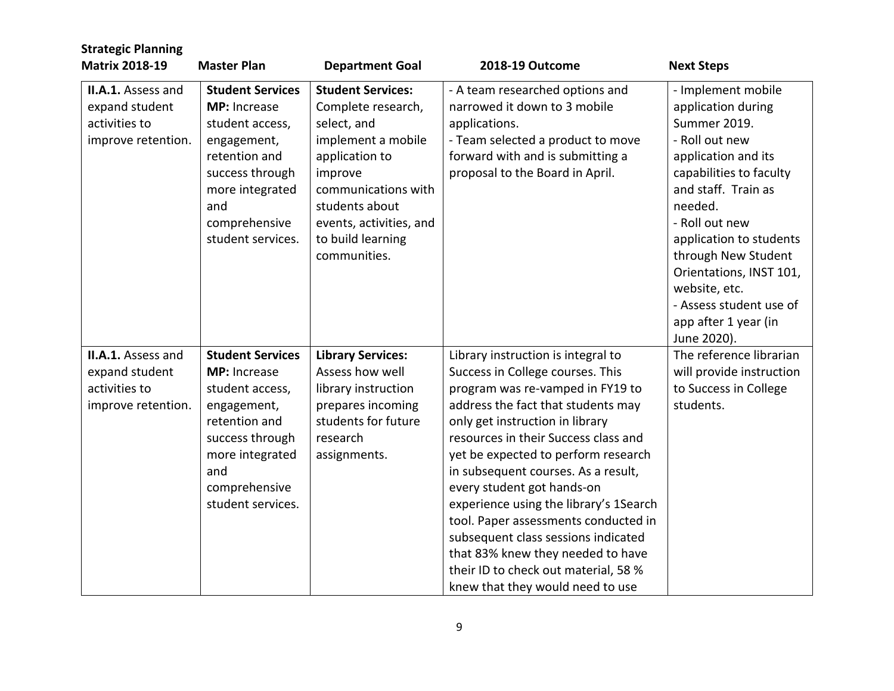| <b>Strategic Planning</b><br><b>Matrix 2018-19</b>                          | <b>Master Plan</b>                                                                                                                                                            | <b>Department Goal</b>                                                                                                                                                                                                    | <b>2018-19 Outcome</b>                                                                                                                                                                                                                                                                                                                                                                                                                                                                                                                                                            | <b>Next Steps</b>                                                                                                                                                                                                                                                                                                                                |
|-----------------------------------------------------------------------------|-------------------------------------------------------------------------------------------------------------------------------------------------------------------------------|---------------------------------------------------------------------------------------------------------------------------------------------------------------------------------------------------------------------------|-----------------------------------------------------------------------------------------------------------------------------------------------------------------------------------------------------------------------------------------------------------------------------------------------------------------------------------------------------------------------------------------------------------------------------------------------------------------------------------------------------------------------------------------------------------------------------------|--------------------------------------------------------------------------------------------------------------------------------------------------------------------------------------------------------------------------------------------------------------------------------------------------------------------------------------------------|
| II.A.1. Assess and<br>expand student<br>activities to<br>improve retention. | <b>Student Services</b><br>MP: Increase<br>student access,<br>engagement,<br>retention and<br>success through<br>more integrated<br>and<br>comprehensive<br>student services. | <b>Student Services:</b><br>Complete research,<br>select, and<br>implement a mobile<br>application to<br>improve<br>communications with<br>students about<br>events, activities, and<br>to build learning<br>communities. | - A team researched options and<br>narrowed it down to 3 mobile<br>applications.<br>- Team selected a product to move<br>forward with and is submitting a<br>proposal to the Board in April.                                                                                                                                                                                                                                                                                                                                                                                      | - Implement mobile<br>application during<br>Summer 2019.<br>- Roll out new<br>application and its<br>capabilities to faculty<br>and staff. Train as<br>needed.<br>- Roll out new<br>application to students<br>through New Student<br>Orientations, INST 101,<br>website, etc.<br>- Assess student use of<br>app after 1 year (in<br>June 2020). |
| II.A.1. Assess and<br>expand student<br>activities to<br>improve retention. | <b>Student Services</b><br>MP: Increase<br>student access,<br>engagement,<br>retention and<br>success through<br>more integrated<br>and<br>comprehensive<br>student services. | <b>Library Services:</b><br>Assess how well<br>library instruction<br>prepares incoming<br>students for future<br>research<br>assignments.                                                                                | Library instruction is integral to<br>Success in College courses. This<br>program was re-vamped in FY19 to<br>address the fact that students may<br>only get instruction in library<br>resources in their Success class and<br>yet be expected to perform research<br>in subsequent courses. As a result,<br>every student got hands-on<br>experience using the library's 1Search<br>tool. Paper assessments conducted in<br>subsequent class sessions indicated<br>that 83% knew they needed to have<br>their ID to check out material, 58 %<br>knew that they would need to use | The reference librarian<br>will provide instruction<br>to Success in College<br>students.                                                                                                                                                                                                                                                        |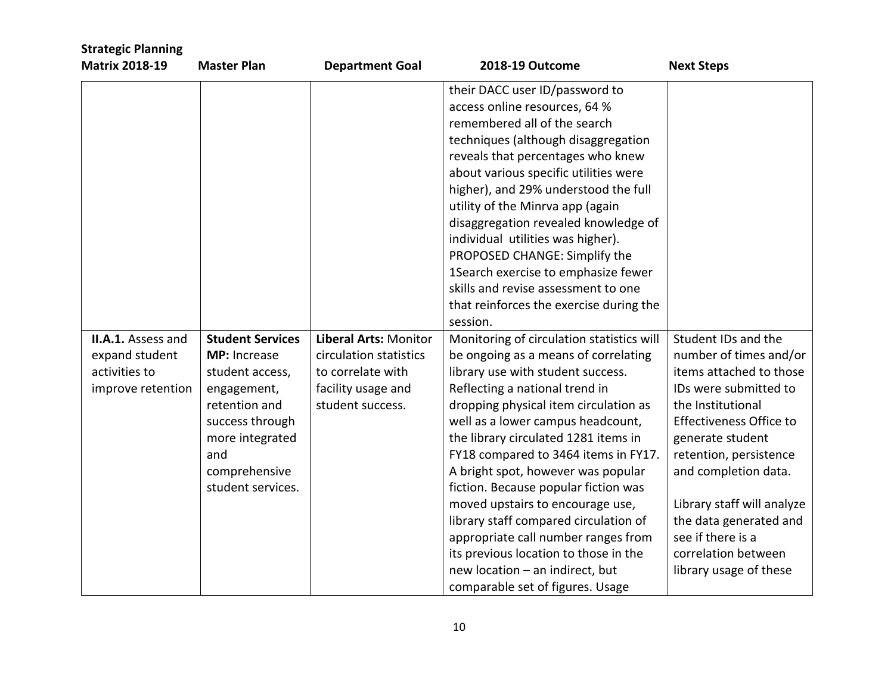| <b>Strategic Planning</b><br><b>Matrix 2018-19</b>                         | <b>Master Plan</b>                                                                                                                                                            | <b>Department Goal</b>                                                                                                | 2018-19 Outcome                                                                                                                                                                                                                                                                                                                                                                                                                                                                                                                         | <b>Next Steps</b>                                                                                                                                                                                                              |
|----------------------------------------------------------------------------|-------------------------------------------------------------------------------------------------------------------------------------------------------------------------------|-----------------------------------------------------------------------------------------------------------------------|-----------------------------------------------------------------------------------------------------------------------------------------------------------------------------------------------------------------------------------------------------------------------------------------------------------------------------------------------------------------------------------------------------------------------------------------------------------------------------------------------------------------------------------------|--------------------------------------------------------------------------------------------------------------------------------------------------------------------------------------------------------------------------------|
|                                                                            |                                                                                                                                                                               |                                                                                                                       | their DACC user ID/password to<br>access online resources, 64 %<br>remembered all of the search<br>techniques (although disaggregation<br>reveals that percentages who knew<br>about various specific utilities were<br>higher), and 29% understood the full<br>utility of the Minrva app (again<br>disaggregation revealed knowledge of<br>individual utilities was higher).<br>PROPOSED CHANGE: Simplify the<br>1Search exercise to emphasize fewer<br>skills and revise assessment to one<br>that reinforces the exercise during the |                                                                                                                                                                                                                                |
| II.A.1. Assess and<br>expand student<br>activities to<br>improve retention | <b>Student Services</b><br>MP: Increase<br>student access,<br>engagement,<br>retention and<br>success through<br>more integrated<br>and<br>comprehensive<br>student services. | <b>Liberal Arts: Monitor</b><br>circulation statistics<br>to correlate with<br>facility usage and<br>student success. | session.<br>Monitoring of circulation statistics will<br>be ongoing as a means of correlating<br>library use with student success.<br>Reflecting a national trend in<br>dropping physical item circulation as<br>well as a lower campus headcount,<br>the library circulated 1281 items in<br>FY18 compared to 3464 items in FY17.<br>A bright spot, however was popular<br>fiction. Because popular fiction was                                                                                                                        | Student IDs and the<br>number of times and/or<br>items attached to those<br>IDs were submitted to<br>the Institutional<br><b>Effectiveness Office to</b><br>generate student<br>retention, persistence<br>and completion data. |
|                                                                            |                                                                                                                                                                               |                                                                                                                       | moved upstairs to encourage use,<br>library staff compared circulation of<br>appropriate call number ranges from<br>its previous location to those in the<br>new location - an indirect, but<br>comparable set of figures. Usage                                                                                                                                                                                                                                                                                                        | Library staff will analyze<br>the data generated and<br>see if there is a<br>correlation between<br>library usage of these                                                                                                     |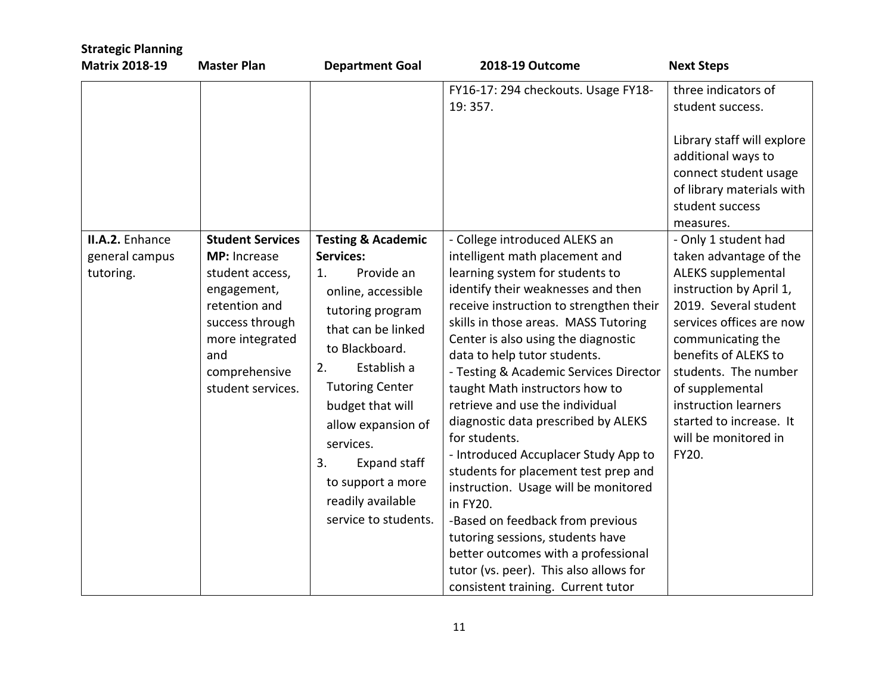| <b>Strategic Planning</b><br><b>Matrix 2018-19</b> | <b>Master Plan</b>                                                                                                                                                            | <b>Department Goal</b>                                                                                                                                                                                                                                                                                                                                       | 2018-19 Outcome                                                                                                                                                                                                                                                                                                                                                                                                                                                                                                                                                                                                                                                                                                                                                                                              | <b>Next Steps</b>                                                                                                                                                                                                                                                                                                                             |
|----------------------------------------------------|-------------------------------------------------------------------------------------------------------------------------------------------------------------------------------|--------------------------------------------------------------------------------------------------------------------------------------------------------------------------------------------------------------------------------------------------------------------------------------------------------------------------------------------------------------|--------------------------------------------------------------------------------------------------------------------------------------------------------------------------------------------------------------------------------------------------------------------------------------------------------------------------------------------------------------------------------------------------------------------------------------------------------------------------------------------------------------------------------------------------------------------------------------------------------------------------------------------------------------------------------------------------------------------------------------------------------------------------------------------------------------|-----------------------------------------------------------------------------------------------------------------------------------------------------------------------------------------------------------------------------------------------------------------------------------------------------------------------------------------------|
|                                                    |                                                                                                                                                                               |                                                                                                                                                                                                                                                                                                                                                              | FY16-17: 294 checkouts. Usage FY18-<br>19:357.                                                                                                                                                                                                                                                                                                                                                                                                                                                                                                                                                                                                                                                                                                                                                               | three indicators of<br>student success.<br>Library staff will explore<br>additional ways to<br>connect student usage<br>of library materials with<br>student success                                                                                                                                                                          |
| II.A.2. Enhance<br>general campus<br>tutoring.     | <b>Student Services</b><br>MP: Increase<br>student access,<br>engagement,<br>retention and<br>success through<br>more integrated<br>and<br>comprehensive<br>student services. | <b>Testing &amp; Academic</b><br><b>Services:</b><br>Provide an<br>1.<br>online, accessible<br>tutoring program<br>that can be linked<br>to Blackboard.<br>Establish a<br>2.<br><b>Tutoring Center</b><br>budget that will<br>allow expansion of<br>services.<br>3.<br><b>Expand staff</b><br>to support a more<br>readily available<br>service to students. | - College introduced ALEKS an<br>intelligent math placement and<br>learning system for students to<br>identify their weaknesses and then<br>receive instruction to strengthen their<br>skills in those areas. MASS Tutoring<br>Center is also using the diagnostic<br>data to help tutor students.<br>- Testing & Academic Services Director<br>taught Math instructors how to<br>retrieve and use the individual<br>diagnostic data prescribed by ALEKS<br>for students.<br>- Introduced Accuplacer Study App to<br>students for placement test prep and<br>instruction. Usage will be monitored<br>in FY20.<br>-Based on feedback from previous<br>tutoring sessions, students have<br>better outcomes with a professional<br>tutor (vs. peer). This also allows for<br>consistent training. Current tutor | measures.<br>- Only 1 student had<br>taken advantage of the<br>ALEKS supplemental<br>instruction by April 1,<br>2019. Several student<br>services offices are now<br>communicating the<br>benefits of ALEKS to<br>students. The number<br>of supplemental<br>instruction learners<br>started to increase. It<br>will be monitored in<br>FY20. |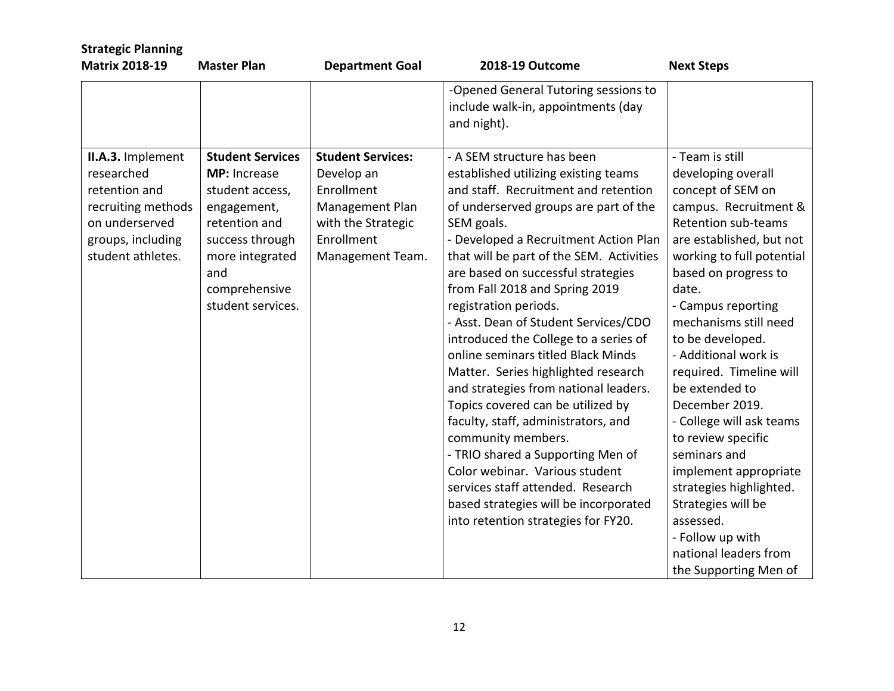| <b>Strategic Planning</b><br><b>Matrix 2018-19</b>                                                                                 | <b>Master Plan</b>                                                                                                                                                            | <b>Department Goal</b>                                                                                                          | 2018-19 Outcome                                                                                                                                                                                                                                                                                                                                                                                                                                                                                                                                                                                                                                                                                                                                                                                                                                              | <b>Next Steps</b>                                                                                                                                                                                                                                                                                                                                                                                                                                                                                                                                                                                    |
|------------------------------------------------------------------------------------------------------------------------------------|-------------------------------------------------------------------------------------------------------------------------------------------------------------------------------|---------------------------------------------------------------------------------------------------------------------------------|--------------------------------------------------------------------------------------------------------------------------------------------------------------------------------------------------------------------------------------------------------------------------------------------------------------------------------------------------------------------------------------------------------------------------------------------------------------------------------------------------------------------------------------------------------------------------------------------------------------------------------------------------------------------------------------------------------------------------------------------------------------------------------------------------------------------------------------------------------------|------------------------------------------------------------------------------------------------------------------------------------------------------------------------------------------------------------------------------------------------------------------------------------------------------------------------------------------------------------------------------------------------------------------------------------------------------------------------------------------------------------------------------------------------------------------------------------------------------|
|                                                                                                                                    |                                                                                                                                                                               |                                                                                                                                 | -Opened General Tutoring sessions to<br>include walk-in, appointments (day<br>and night).                                                                                                                                                                                                                                                                                                                                                                                                                                                                                                                                                                                                                                                                                                                                                                    |                                                                                                                                                                                                                                                                                                                                                                                                                                                                                                                                                                                                      |
| II.A.3. Implement<br>researched<br>retention and<br>recruiting methods<br>on underserved<br>groups, including<br>student athletes. | <b>Student Services</b><br>MP: Increase<br>student access,<br>engagement,<br>retention and<br>success through<br>more integrated<br>and<br>comprehensive<br>student services. | <b>Student Services:</b><br>Develop an<br>Enrollment<br>Management Plan<br>with the Strategic<br>Enrollment<br>Management Team. | - A SEM structure has been<br>established utilizing existing teams<br>and staff. Recruitment and retention<br>of underserved groups are part of the<br>SEM goals.<br>- Developed a Recruitment Action Plan<br>that will be part of the SEM. Activities<br>are based on successful strategies<br>from Fall 2018 and Spring 2019<br>registration periods.<br>- Asst. Dean of Student Services/CDO<br>introduced the College to a series of<br>online seminars titled Black Minds<br>Matter. Series highlighted research<br>and strategies from national leaders.<br>Topics covered can be utilized by<br>faculty, staff, administrators, and<br>community members.<br>- TRIO shared a Supporting Men of<br>Color webinar. Various student<br>services staff attended. Research<br>based strategies will be incorporated<br>into retention strategies for FY20. | - Team is still<br>developing overall<br>concept of SEM on<br>campus. Recruitment &<br><b>Retention sub-teams</b><br>are established, but not<br>working to full potential<br>based on progress to<br>date.<br>- Campus reporting<br>mechanisms still need<br>to be developed.<br>- Additional work is<br>required. Timeline will<br>be extended to<br>December 2019.<br>- College will ask teams<br>to review specific<br>seminars and<br>implement appropriate<br>strategies highlighted.<br>Strategies will be<br>assessed.<br>- Follow up with<br>national leaders from<br>the Supporting Men of |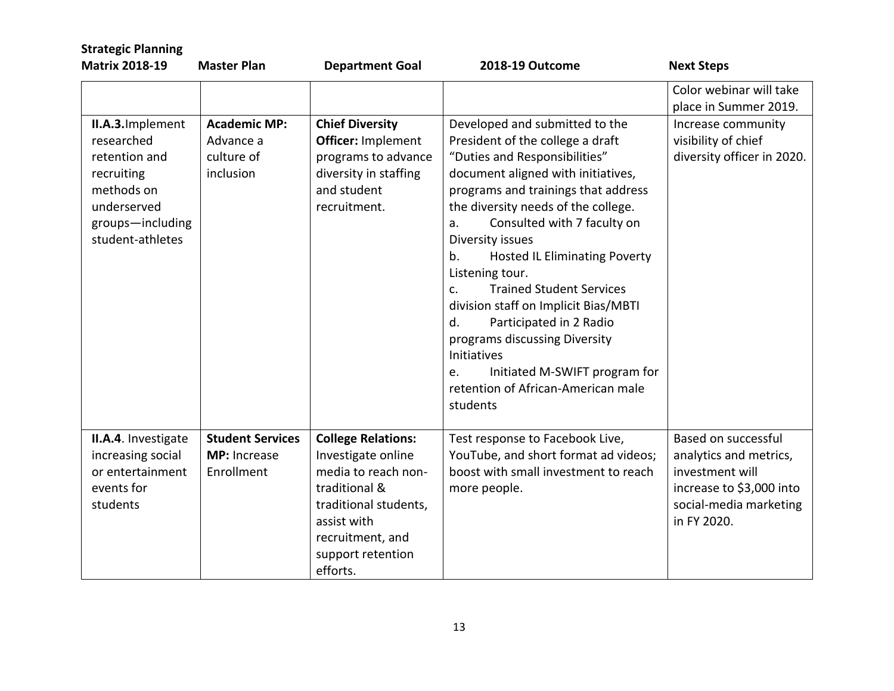| <b>Strategic Planning</b><br><b>Matrix 2018-19</b>                                                                                  | <b>Master Plan</b>                                          | <b>Department Goal</b>                                                                                                                                                               | 2018-19 Outcome                                                                                                                                                                                                                                                                                                                                                                                                                                                                                                                                                                                                          | <b>Next Steps</b>                                                                                                                     |
|-------------------------------------------------------------------------------------------------------------------------------------|-------------------------------------------------------------|--------------------------------------------------------------------------------------------------------------------------------------------------------------------------------------|--------------------------------------------------------------------------------------------------------------------------------------------------------------------------------------------------------------------------------------------------------------------------------------------------------------------------------------------------------------------------------------------------------------------------------------------------------------------------------------------------------------------------------------------------------------------------------------------------------------------------|---------------------------------------------------------------------------------------------------------------------------------------|
| II.A.3. Implement<br>researched<br>retention and<br>recruiting<br>methods on<br>underserved<br>groups-including<br>student-athletes | <b>Academic MP:</b><br>Advance a<br>culture of<br>inclusion | <b>Chief Diversity</b><br><b>Officer: Implement</b><br>programs to advance<br>diversity in staffing<br>and student<br>recruitment.                                                   | Developed and submitted to the<br>President of the college a draft<br>"Duties and Responsibilities"<br>document aligned with initiatives,<br>programs and trainings that address<br>the diversity needs of the college.<br>Consulted with 7 faculty on<br>a.<br>Diversity issues<br><b>Hosted IL Eliminating Poverty</b><br>b.<br>Listening tour.<br><b>Trained Student Services</b><br>C <sub>1</sub><br>division staff on Implicit Bias/MBTI<br>Participated in 2 Radio<br>d.<br>programs discussing Diversity<br>Initiatives<br>Initiated M-SWIFT program for<br>e.<br>retention of African-American male<br>students | Color webinar will take<br>place in Summer 2019.<br>Increase community<br>visibility of chief<br>diversity officer in 2020.           |
| II.A.4. Investigate<br>increasing social<br>or entertainment<br>events for<br>students                                              | <b>Student Services</b><br>MP: Increase<br>Enrollment       | <b>College Relations:</b><br>Investigate online<br>media to reach non-<br>traditional &<br>traditional students,<br>assist with<br>recruitment, and<br>support retention<br>efforts. | Test response to Facebook Live,<br>YouTube, and short format ad videos;<br>boost with small investment to reach<br>more people.                                                                                                                                                                                                                                                                                                                                                                                                                                                                                          | Based on successful<br>analytics and metrics,<br>investment will<br>increase to \$3,000 into<br>social-media marketing<br>in FY 2020. |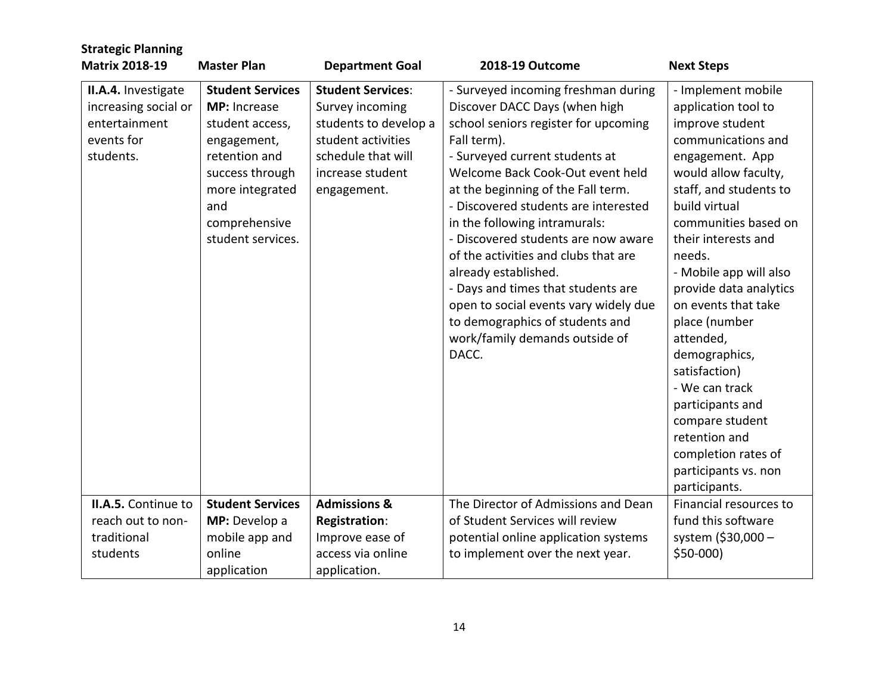| <b>Strategic Planning</b><br><b>Matrix 2018-19</b>                                      | <b>Master Plan</b>                                                                                                                                                            | <b>Department Goal</b>                                                                                                                              | 2018-19 Outcome                                                                                                                                                                                                                                                                                                                                                                                                                                                                                                                                                                      | <b>Next Steps</b>                                                                                                                                                                                                                                                                                                                                                                                                                                                                                                      |
|-----------------------------------------------------------------------------------------|-------------------------------------------------------------------------------------------------------------------------------------------------------------------------------|-----------------------------------------------------------------------------------------------------------------------------------------------------|--------------------------------------------------------------------------------------------------------------------------------------------------------------------------------------------------------------------------------------------------------------------------------------------------------------------------------------------------------------------------------------------------------------------------------------------------------------------------------------------------------------------------------------------------------------------------------------|------------------------------------------------------------------------------------------------------------------------------------------------------------------------------------------------------------------------------------------------------------------------------------------------------------------------------------------------------------------------------------------------------------------------------------------------------------------------------------------------------------------------|
| II.A.4. Investigate<br>increasing social or<br>entertainment<br>events for<br>students. | <b>Student Services</b><br>MP: Increase<br>student access,<br>engagement,<br>retention and<br>success through<br>more integrated<br>and<br>comprehensive<br>student services. | <b>Student Services:</b><br>Survey incoming<br>students to develop a<br>student activities<br>schedule that will<br>increase student<br>engagement. | - Surveyed incoming freshman during<br>Discover DACC Days (when high<br>school seniors register for upcoming<br>Fall term).<br>- Surveyed current students at<br>Welcome Back Cook-Out event held<br>at the beginning of the Fall term.<br>- Discovered students are interested<br>in the following intramurals:<br>- Discovered students are now aware<br>of the activities and clubs that are<br>already established.<br>- Days and times that students are<br>open to social events vary widely due<br>to demographics of students and<br>work/family demands outside of<br>DACC. | - Implement mobile<br>application tool to<br>improve student<br>communications and<br>engagement. App<br>would allow faculty,<br>staff, and students to<br>build virtual<br>communities based on<br>their interests and<br>needs.<br>- Mobile app will also<br>provide data analytics<br>on events that take<br>place (number<br>attended,<br>demographics,<br>satisfaction)<br>- We can track<br>participants and<br>compare student<br>retention and<br>completion rates of<br>participants vs. non<br>participants. |
| II.A.5. Continue to<br>reach out to non-<br>traditional<br>students                     | <b>Student Services</b><br>MP: Develop a<br>mobile app and<br>online<br>application                                                                                           | <b>Admissions &amp;</b><br><b>Registration:</b><br>Improve ease of<br>access via online<br>application.                                             | The Director of Admissions and Dean<br>of Student Services will review<br>potential online application systems<br>to implement over the next year.                                                                                                                                                                                                                                                                                                                                                                                                                                   | Financial resources to<br>fund this software<br>system (\$30,000 -<br>$$50-000$ )                                                                                                                                                                                                                                                                                                                                                                                                                                      |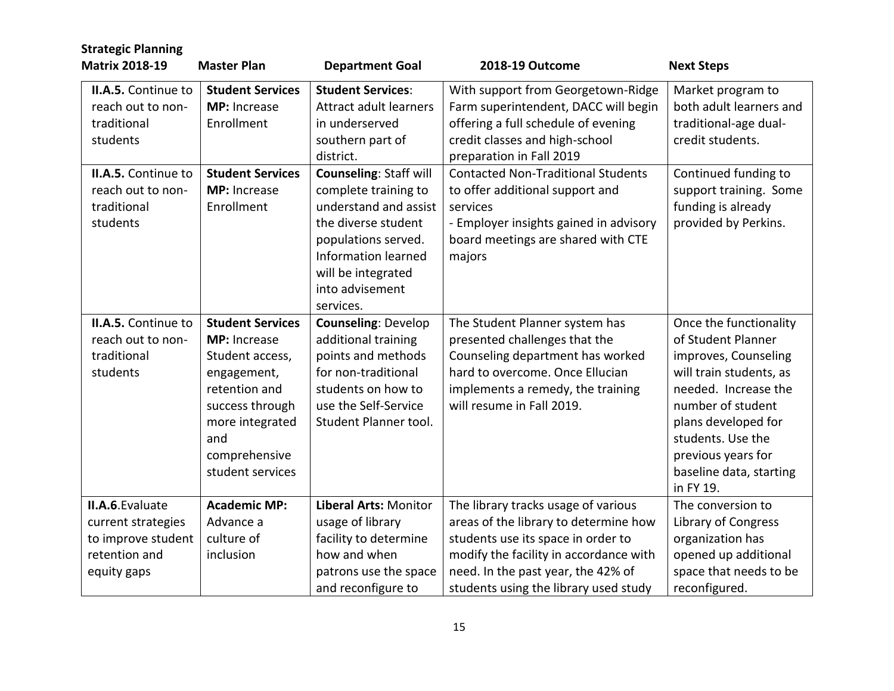| <b>Strategic Planning</b>                                                                    |                                                                                                                                                                                     |                                                                                                                                                                                                           |                                                                                                                                                                                                          |                                                                                                                                                                                                                                                        |
|----------------------------------------------------------------------------------------------|-------------------------------------------------------------------------------------------------------------------------------------------------------------------------------------|-----------------------------------------------------------------------------------------------------------------------------------------------------------------------------------------------------------|----------------------------------------------------------------------------------------------------------------------------------------------------------------------------------------------------------|--------------------------------------------------------------------------------------------------------------------------------------------------------------------------------------------------------------------------------------------------------|
| <b>Matrix 2018-19</b>                                                                        | <b>Master Plan</b>                                                                                                                                                                  | <b>Department Goal</b>                                                                                                                                                                                    | 2018-19 Outcome                                                                                                                                                                                          | <b>Next Steps</b>                                                                                                                                                                                                                                      |
| II.A.5. Continue to<br>reach out to non-<br>traditional<br>students                          | <b>Student Services</b><br>MP: Increase<br>Enrollment                                                                                                                               | <b>Student Services:</b><br><b>Attract adult learners</b><br>in underserved<br>southern part of<br>district.                                                                                              | With support from Georgetown-Ridge<br>Farm superintendent, DACC will begin<br>offering a full schedule of evening<br>credit classes and high-school<br>preparation in Fall 2019                          | Market program to<br>both adult learners and<br>traditional-age dual-<br>credit students.                                                                                                                                                              |
| II.A.5. Continue to<br>reach out to non-<br>traditional<br>students                          | <b>Student Services</b><br>MP: Increase<br>Enrollment                                                                                                                               | <b>Counseling: Staff will</b><br>complete training to<br>understand and assist<br>the diverse student<br>populations served.<br>Information learned<br>will be integrated<br>into advisement<br>services. | <b>Contacted Non-Traditional Students</b><br>to offer additional support and<br>services<br>- Employer insights gained in advisory<br>board meetings are shared with CTE<br>majors                       | Continued funding to<br>support training. Some<br>funding is already<br>provided by Perkins.                                                                                                                                                           |
| II.A.5. Continue to<br>reach out to non-<br>traditional<br>students                          | <b>Student Services</b><br><b>MP:</b> Increase<br>Student access,<br>engagement,<br>retention and<br>success through<br>more integrated<br>and<br>comprehensive<br>student services | <b>Counseling: Develop</b><br>additional training<br>points and methods<br>for non-traditional<br>students on how to<br>use the Self-Service<br>Student Planner tool.                                     | The Student Planner system has<br>presented challenges that the<br>Counseling department has worked<br>hard to overcome. Once Ellucian<br>implements a remedy, the training<br>will resume in Fall 2019. | Once the functionality<br>of Student Planner<br>improves, Counseling<br>will train students, as<br>needed. Increase the<br>number of student<br>plans developed for<br>students. Use the<br>previous years for<br>baseline data, starting<br>in FY 19. |
| II.A.6. Evaluate<br>current strategies<br>to improve student<br>retention and<br>equity gaps | <b>Academic MP:</b><br>Advance a<br>culture of<br>inclusion                                                                                                                         | <b>Liberal Arts: Monitor</b><br>usage of library<br>facility to determine<br>how and when<br>patrons use the space                                                                                        | The library tracks usage of various<br>areas of the library to determine how<br>students use its space in order to<br>modify the facility in accordance with<br>need. In the past year, the 42% of       | The conversion to<br>Library of Congress<br>organization has<br>opened up additional<br>space that needs to be                                                                                                                                         |
|                                                                                              |                                                                                                                                                                                     | and reconfigure to                                                                                                                                                                                        | students using the library used study                                                                                                                                                                    | reconfigured.                                                                                                                                                                                                                                          |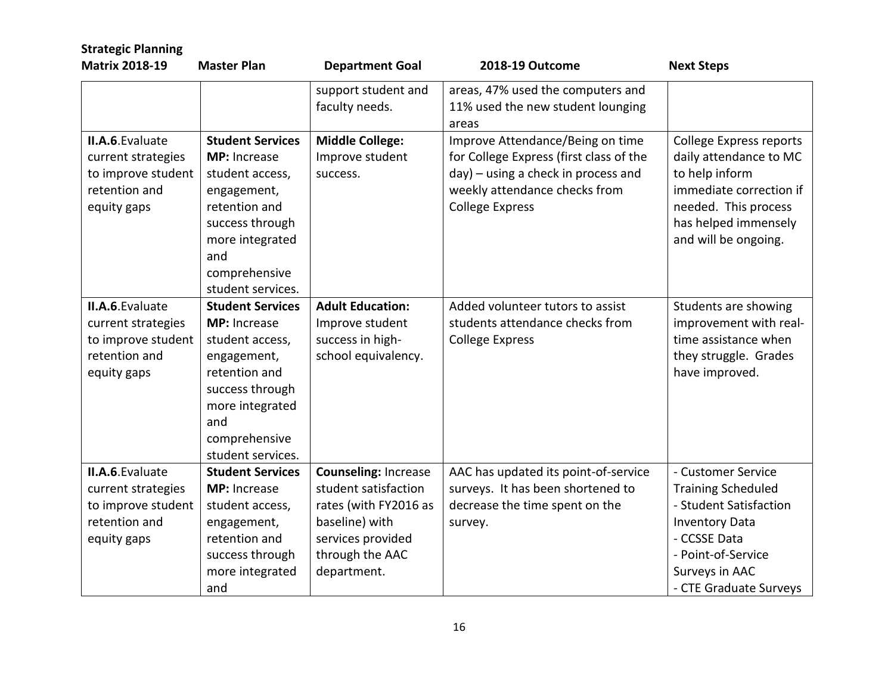| <b>Strategic Planning</b> |                         |                             |                                            |                                |
|---------------------------|-------------------------|-----------------------------|--------------------------------------------|--------------------------------|
| <b>Matrix 2018-19</b>     | <b>Master Plan</b>      | <b>Department Goal</b>      | 2018-19 Outcome                            | <b>Next Steps</b>              |
|                           |                         | support student and         | areas, 47% used the computers and          |                                |
|                           |                         | faculty needs.              | 11% used the new student lounging<br>areas |                                |
| II.A.6. Evaluate          | <b>Student Services</b> | <b>Middle College:</b>      | Improve Attendance/Being on time           | <b>College Express reports</b> |
| current strategies        | <b>MP:</b> Increase     | Improve student             | for College Express (first class of the    | daily attendance to MC         |
| to improve student        | student access,         | success.                    | day) - using a check in process and        | to help inform                 |
| retention and             | engagement,             |                             | weekly attendance checks from              | immediate correction if        |
| equity gaps               | retention and           |                             | <b>College Express</b>                     | needed. This process           |
|                           | success through         |                             |                                            | has helped immensely           |
|                           | more integrated         |                             |                                            | and will be ongoing.           |
|                           | and                     |                             |                                            |                                |
|                           | comprehensive           |                             |                                            |                                |
|                           | student services.       |                             |                                            |                                |
| II.A.6. Evaluate          | <b>Student Services</b> | <b>Adult Education:</b>     | Added volunteer tutors to assist           | Students are showing           |
| current strategies        | <b>MP:</b> Increase     | Improve student             | students attendance checks from            | improvement with real-         |
| to improve student        | student access,         | success in high-            | <b>College Express</b>                     | time assistance when           |
| retention and             | engagement,             | school equivalency.         |                                            | they struggle. Grades          |
| equity gaps               | retention and           |                             |                                            | have improved.                 |
|                           | success through         |                             |                                            |                                |
|                           | more integrated         |                             |                                            |                                |
|                           | and                     |                             |                                            |                                |
|                           | comprehensive           |                             |                                            |                                |
|                           | student services.       |                             |                                            |                                |
| II.A.6. Evaluate          | <b>Student Services</b> | <b>Counseling: Increase</b> | AAC has updated its point-of-service       | - Customer Service             |
| current strategies        | MP: Increase            | student satisfaction        | surveys. It has been shortened to          | <b>Training Scheduled</b>      |
| to improve student        | student access,         | rates (with FY2016 as       | decrease the time spent on the             | - Student Satisfaction         |
| retention and             | engagement,             | baseline) with              | survey.                                    | <b>Inventory Data</b>          |
| equity gaps               | retention and           | services provided           |                                            | - CCSSE Data                   |
|                           | success through         | through the AAC             |                                            | - Point-of-Service             |
|                           | more integrated         | department.                 |                                            | Surveys in AAC                 |
|                           | and                     |                             |                                            | - CTE Graduate Surveys         |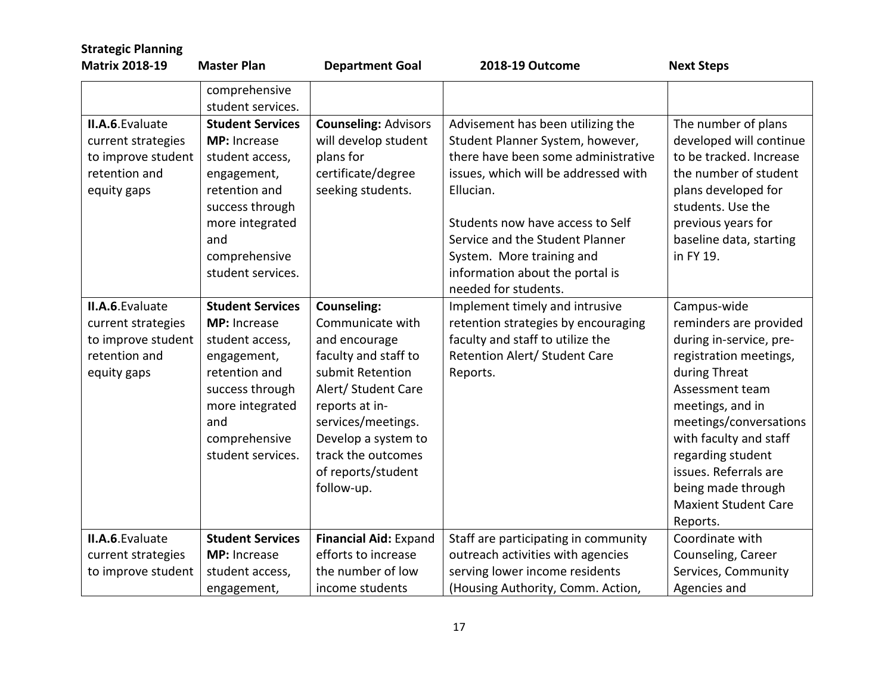| <b>Strategic Planning</b> |                         |                             |                                      |                             |
|---------------------------|-------------------------|-----------------------------|--------------------------------------|-----------------------------|
| <b>Matrix 2018-19</b>     | <b>Master Plan</b>      | <b>Department Goal</b>      | 2018-19 Outcome                      | <b>Next Steps</b>           |
|                           | comprehensive           |                             |                                      |                             |
|                           | student services.       |                             |                                      |                             |
| II.A.6. Evaluate          | <b>Student Services</b> | <b>Counseling: Advisors</b> | Advisement has been utilizing the    | The number of plans         |
| current strategies        | <b>MP:</b> Increase     | will develop student        | Student Planner System, however,     | developed will continue     |
| to improve student        | student access,         | plans for                   | there have been some administrative  | to be tracked. Increase     |
| retention and             | engagement,             | certificate/degree          | issues, which will be addressed with | the number of student       |
| equity gaps               | retention and           | seeking students.           | Ellucian.                            | plans developed for         |
|                           | success through         |                             |                                      | students. Use the           |
|                           | more integrated         |                             | Students now have access to Self     | previous years for          |
|                           | and                     |                             | Service and the Student Planner      | baseline data, starting     |
|                           | comprehensive           |                             | System. More training and            | in FY 19.                   |
|                           | student services.       |                             | information about the portal is      |                             |
|                           |                         |                             | needed for students.                 |                             |
| II.A.6. Evaluate          | <b>Student Services</b> | <b>Counseling:</b>          | Implement timely and intrusive       | Campus-wide                 |
| current strategies        | <b>MP:</b> Increase     | Communicate with            | retention strategies by encouraging  | reminders are provided      |
| to improve student        | student access,         | and encourage               | faculty and staff to utilize the     | during in-service, pre-     |
| retention and             | engagement,             | faculty and staff to        | Retention Alert/ Student Care        | registration meetings,      |
| equity gaps               | retention and           | submit Retention            | Reports.                             | during Threat               |
|                           | success through         | Alert/ Student Care         |                                      | Assessment team             |
|                           | more integrated         | reports at in-              |                                      | meetings, and in            |
|                           | and                     | services/meetings.          |                                      | meetings/conversations      |
|                           | comprehensive           | Develop a system to         |                                      | with faculty and staff      |
|                           | student services.       | track the outcomes          |                                      | regarding student           |
|                           |                         | of reports/student          |                                      | issues. Referrals are       |
|                           |                         | follow-up.                  |                                      | being made through          |
|                           |                         |                             |                                      | <b>Maxient Student Care</b> |
|                           |                         |                             |                                      | Reports.                    |
| II.A.6. Evaluate          | <b>Student Services</b> | Financial Aid: Expand       | Staff are participating in community | Coordinate with             |
| current strategies        | <b>MP:</b> Increase     | efforts to increase         | outreach activities with agencies    | Counseling, Career          |
| to improve student        | student access,         | the number of low           | serving lower income residents       | Services, Community         |
|                           | engagement,             | income students             | (Housing Authority, Comm. Action,    | Agencies and                |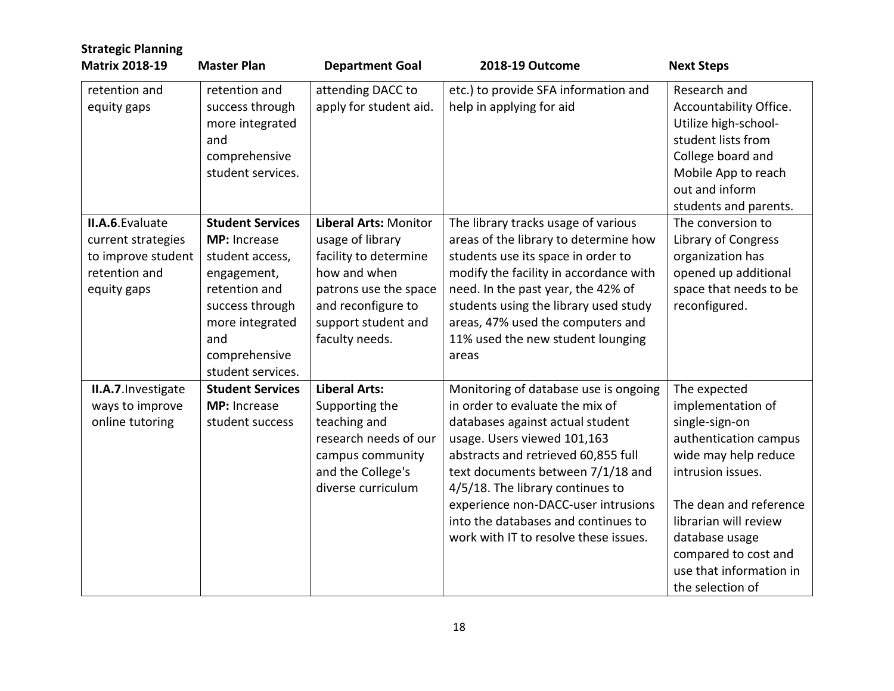| <b>Strategic Planning</b><br><b>Matrix 2018-19</b>                                           | <b>Master Plan</b>                                                                                                                                                            | <b>Department Goal</b>                                                                                                                                                            | 2018-19 Outcome                                                                                                                                                                                                                                                                                                                                                                    | <b>Next Steps</b>                                                                                                                                                                                                                                                     |
|----------------------------------------------------------------------------------------------|-------------------------------------------------------------------------------------------------------------------------------------------------------------------------------|-----------------------------------------------------------------------------------------------------------------------------------------------------------------------------------|------------------------------------------------------------------------------------------------------------------------------------------------------------------------------------------------------------------------------------------------------------------------------------------------------------------------------------------------------------------------------------|-----------------------------------------------------------------------------------------------------------------------------------------------------------------------------------------------------------------------------------------------------------------------|
| retention and<br>equity gaps                                                                 | retention and<br>success through<br>more integrated<br>and<br>comprehensive<br>student services.                                                                              | attending DACC to<br>apply for student aid.                                                                                                                                       | etc.) to provide SFA information and<br>help in applying for aid                                                                                                                                                                                                                                                                                                                   | Research and<br>Accountability Office.<br>Utilize high-school-<br>student lists from<br>College board and<br>Mobile App to reach<br>out and inform<br>students and parents.                                                                                           |
| II.A.6. Evaluate<br>current strategies<br>to improve student<br>retention and<br>equity gaps | <b>Student Services</b><br>MP: Increase<br>student access,<br>engagement,<br>retention and<br>success through<br>more integrated<br>and<br>comprehensive<br>student services. | <b>Liberal Arts: Monitor</b><br>usage of library<br>facility to determine<br>how and when<br>patrons use the space<br>and reconfigure to<br>support student and<br>faculty needs. | The library tracks usage of various<br>areas of the library to determine how<br>students use its space in order to<br>modify the facility in accordance with<br>need. In the past year, the 42% of<br>students using the library used study<br>areas, 47% used the computers and<br>11% used the new student lounging<br>areas                                                     | The conversion to<br>Library of Congress<br>organization has<br>opened up additional<br>space that needs to be<br>reconfigured.                                                                                                                                       |
| II.A.7. Investigate<br>ways to improve<br>online tutoring                                    | <b>Student Services</b><br>MP: Increase<br>student success                                                                                                                    | <b>Liberal Arts:</b><br>Supporting the<br>teaching and<br>research needs of our<br>campus community<br>and the College's<br>diverse curriculum                                    | Monitoring of database use is ongoing<br>in order to evaluate the mix of<br>databases against actual student<br>usage. Users viewed 101,163<br>abstracts and retrieved 60,855 full<br>text documents between 7/1/18 and<br>4/5/18. The library continues to<br>experience non-DACC-user intrusions<br>into the databases and continues to<br>work with IT to resolve these issues. | The expected<br>implementation of<br>single-sign-on<br>authentication campus<br>wide may help reduce<br>intrusion issues.<br>The dean and reference<br>librarian will review<br>database usage<br>compared to cost and<br>use that information in<br>the selection of |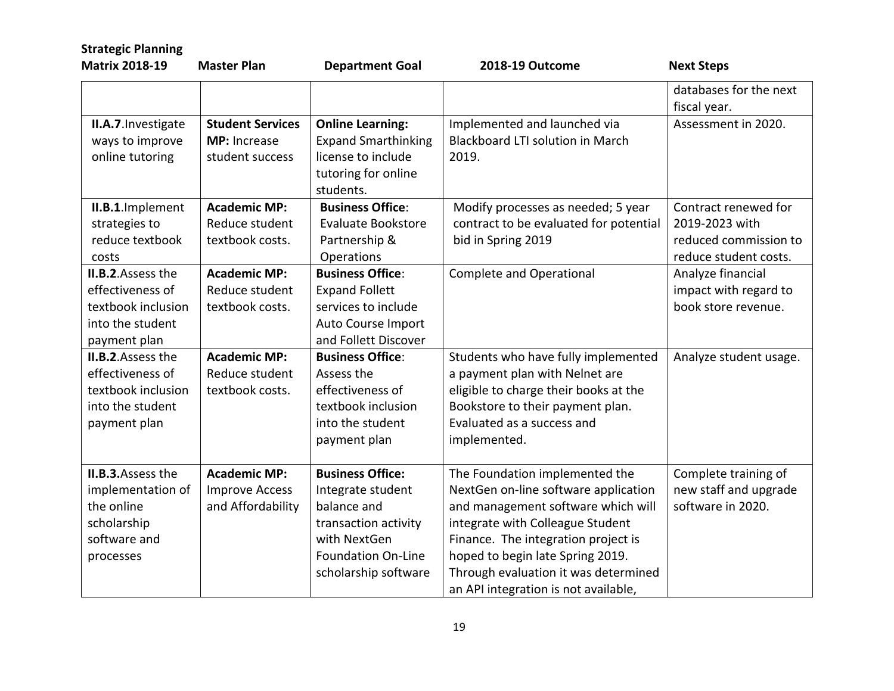| <b>Strategic Planning</b><br><b>Matrix 2018-19</b>                                                      | <b>Master Plan</b>                                                | <b>Department Goal</b>                                                                                                                                   | 2018-19 Outcome                                                                                                                                                                                                                                                                                             | <b>Next Steps</b>                                                                        |
|---------------------------------------------------------------------------------------------------------|-------------------------------------------------------------------|----------------------------------------------------------------------------------------------------------------------------------------------------------|-------------------------------------------------------------------------------------------------------------------------------------------------------------------------------------------------------------------------------------------------------------------------------------------------------------|------------------------------------------------------------------------------------------|
|                                                                                                         |                                                                   |                                                                                                                                                          |                                                                                                                                                                                                                                                                                                             | databases for the next<br>fiscal year.                                                   |
| II.A.7. Investigate<br>ways to improve<br>online tutoring                                               | <b>Student Services</b><br>MP: Increase<br>student success        | <b>Online Learning:</b><br><b>Expand Smarthinking</b><br>license to include<br>tutoring for online<br>students.                                          | Implemented and launched via<br><b>Blackboard LTI solution in March</b><br>2019.                                                                                                                                                                                                                            | Assessment in 2020.                                                                      |
| II.B.1.Implement<br>strategies to<br>reduce textbook<br>costs                                           | <b>Academic MP:</b><br>Reduce student<br>textbook costs.          | <b>Business Office:</b><br><b>Evaluate Bookstore</b><br>Partnership &<br>Operations                                                                      | Modify processes as needed; 5 year<br>contract to be evaluated for potential<br>bid in Spring 2019                                                                                                                                                                                                          | Contract renewed for<br>2019-2023 with<br>reduced commission to<br>reduce student costs. |
| II.B.2. Assess the<br>effectiveness of<br>textbook inclusion<br>into the student<br>payment plan        | <b>Academic MP:</b><br>Reduce student<br>textbook costs.          | <b>Business Office:</b><br><b>Expand Follett</b><br>services to include<br>Auto Course Import<br>and Follett Discover                                    | <b>Complete and Operational</b>                                                                                                                                                                                                                                                                             | Analyze financial<br>impact with regard to<br>book store revenue.                        |
| <b>II.B.2.</b> Assess the<br>effectiveness of<br>textbook inclusion<br>into the student<br>payment plan | <b>Academic MP:</b><br>Reduce student<br>textbook costs.          | <b>Business Office:</b><br>Assess the<br>effectiveness of<br>textbook inclusion<br>into the student<br>payment plan                                      | Students who have fully implemented<br>a payment plan with Nelnet are<br>eligible to charge their books at the<br>Bookstore to their payment plan.<br>Evaluated as a success and<br>implemented.                                                                                                            | Analyze student usage.                                                                   |
| II.B.3. Assess the<br>implementation of<br>the online<br>scholarship<br>software and<br>processes       | <b>Academic MP:</b><br><b>Improve Access</b><br>and Affordability | <b>Business Office:</b><br>Integrate student<br>balance and<br>transaction activity<br>with NextGen<br><b>Foundation On-Line</b><br>scholarship software | The Foundation implemented the<br>NextGen on-line software application<br>and management software which will<br>integrate with Colleague Student<br>Finance. The integration project is<br>hoped to begin late Spring 2019.<br>Through evaluation it was determined<br>an API integration is not available, | Complete training of<br>new staff and upgrade<br>software in 2020.                       |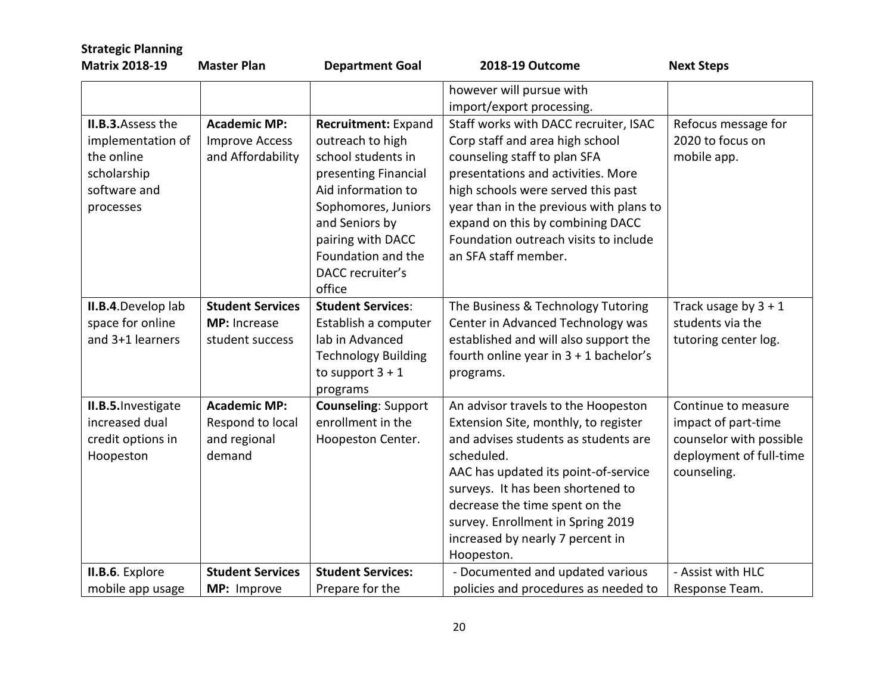| <b>Strategic Planning</b><br><b>Matrix 2018-19</b>                                                | <b>Master Plan</b>                                                | <b>Department Goal</b>                                                                                                                                                                                                               | 2018-19 Outcome                                                                                                                                                                                                                                                                                                                         | <b>Next Steps</b>                                                                                               |
|---------------------------------------------------------------------------------------------------|-------------------------------------------------------------------|--------------------------------------------------------------------------------------------------------------------------------------------------------------------------------------------------------------------------------------|-----------------------------------------------------------------------------------------------------------------------------------------------------------------------------------------------------------------------------------------------------------------------------------------------------------------------------------------|-----------------------------------------------------------------------------------------------------------------|
|                                                                                                   |                                                                   |                                                                                                                                                                                                                                      | however will pursue with<br>import/export processing.                                                                                                                                                                                                                                                                                   |                                                                                                                 |
| II.B.3. Assess the<br>implementation of<br>the online<br>scholarship<br>software and<br>processes | <b>Academic MP:</b><br><b>Improve Access</b><br>and Affordability | <b>Recruitment: Expand</b><br>outreach to high<br>school students in<br>presenting Financial<br>Aid information to<br>Sophomores, Juniors<br>and Seniors by<br>pairing with DACC<br>Foundation and the<br>DACC recruiter's<br>office | Staff works with DACC recruiter, ISAC<br>Corp staff and area high school<br>counseling staff to plan SFA<br>presentations and activities. More<br>high schools were served this past<br>year than in the previous with plans to<br>expand on this by combining DACC<br>Foundation outreach visits to include<br>an SFA staff member.    | Refocus message for<br>2020 to focus on<br>mobile app.                                                          |
| II.B.4. Develop lab<br>space for online<br>and 3+1 learners                                       | <b>Student Services</b><br><b>MP:</b> Increase<br>student success | <b>Student Services:</b><br>Establish a computer<br>lab in Advanced<br><b>Technology Building</b><br>to support $3 + 1$<br>programs                                                                                                  | The Business & Technology Tutoring<br>Center in Advanced Technology was<br>established and will also support the<br>fourth online year in $3 + 1$ bachelor's<br>programs.                                                                                                                                                               | Track usage by $3 + 1$<br>students via the<br>tutoring center log.                                              |
| II.B.5. Investigate<br>increased dual<br>credit options in<br>Hoopeston                           | <b>Academic MP:</b><br>Respond to local<br>and regional<br>demand | <b>Counseling: Support</b><br>enrollment in the<br>Hoopeston Center.                                                                                                                                                                 | An advisor travels to the Hoopeston<br>Extension Site, monthly, to register<br>and advises students as students are<br>scheduled.<br>AAC has updated its point-of-service<br>surveys. It has been shortened to<br>decrease the time spent on the<br>survey. Enrollment in Spring 2019<br>increased by nearly 7 percent in<br>Hoopeston. | Continue to measure<br>impact of part-time<br>counselor with possible<br>deployment of full-time<br>counseling. |
| II.B.6. Explore<br>mobile app usage                                                               | <b>Student Services</b><br>MP: Improve                            | <b>Student Services:</b><br>Prepare for the                                                                                                                                                                                          | - Documented and updated various<br>policies and procedures as needed to                                                                                                                                                                                                                                                                | - Assist with HLC<br>Response Team.                                                                             |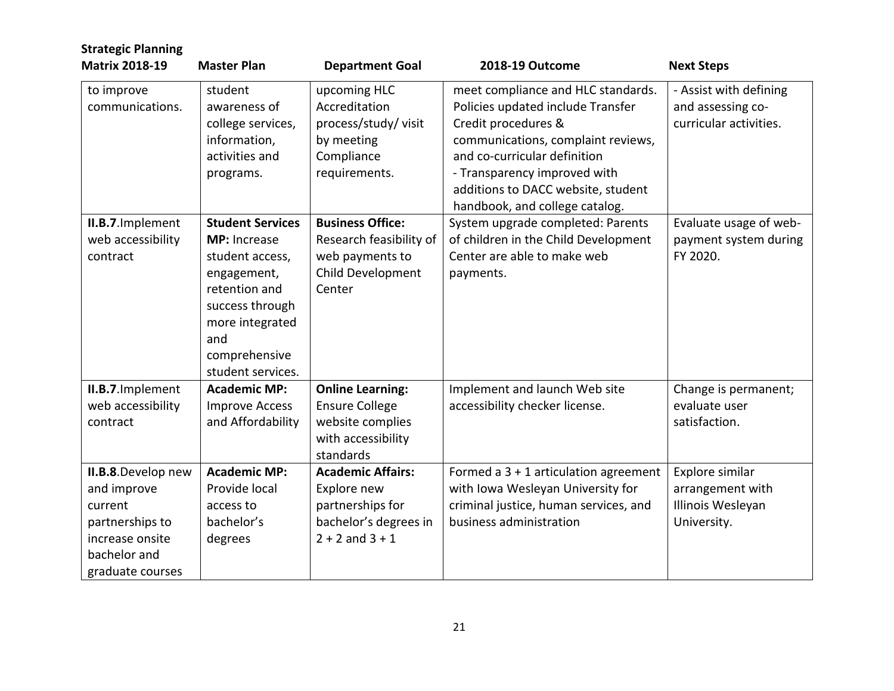| <b>Strategic Planning</b><br><b>Matrix 2018-19</b>                                                                     | <b>Master Plan</b>                                                                                                                                                            | <b>Department Goal</b>                                                                                      | 2018-19 Outcome                                                                                                                                                                                                                            | <b>Next Steps</b>                                                       |
|------------------------------------------------------------------------------------------------------------------------|-------------------------------------------------------------------------------------------------------------------------------------------------------------------------------|-------------------------------------------------------------------------------------------------------------|--------------------------------------------------------------------------------------------------------------------------------------------------------------------------------------------------------------------------------------------|-------------------------------------------------------------------------|
| to improve<br>communications.                                                                                          | student<br>awareness of<br>college services,<br>information,<br>activities and<br>programs.                                                                                   | upcoming HLC<br>Accreditation<br>process/study/ visit<br>by meeting<br>Compliance<br>requirements.          | meet compliance and HLC standards.<br>Policies updated include Transfer<br>Credit procedures &<br>communications, complaint reviews,<br>and co-curricular definition<br>- Transparency improved with<br>additions to DACC website, student | - Assist with defining<br>and assessing co-<br>curricular activities.   |
| II.B.7. Implement<br>web accessibility<br>contract                                                                     | <b>Student Services</b><br>MP: Increase<br>student access,<br>engagement,<br>retention and<br>success through<br>more integrated<br>and<br>comprehensive<br>student services. | <b>Business Office:</b><br>Research feasibility of<br>web payments to<br>Child Development<br>Center        | handbook, and college catalog.<br>System upgrade completed: Parents<br>of children in the Child Development<br>Center are able to make web<br>payments.                                                                                    | Evaluate usage of web-<br>payment system during<br>FY 2020.             |
| II.B.7. Implement<br>web accessibility<br>contract                                                                     | <b>Academic MP:</b><br><b>Improve Access</b><br>and Affordability                                                                                                             | <b>Online Learning:</b><br><b>Ensure College</b><br>website complies<br>with accessibility<br>standards     | Implement and launch Web site<br>accessibility checker license.                                                                                                                                                                            | Change is permanent;<br>evaluate user<br>satisfaction.                  |
| II.B.8.Develop new<br>and improve<br>current<br>partnerships to<br>increase onsite<br>bachelor and<br>graduate courses | <b>Academic MP:</b><br>Provide local<br>access to<br>bachelor's<br>degrees                                                                                                    | <b>Academic Affairs:</b><br>Explore new<br>partnerships for<br>bachelor's degrees in<br>$2 + 2$ and $3 + 1$ | Formed a $3 + 1$ articulation agreement<br>with Iowa Wesleyan University for<br>criminal justice, human services, and<br>business administration                                                                                           | Explore similar<br>arrangement with<br>Illinois Wesleyan<br>University. |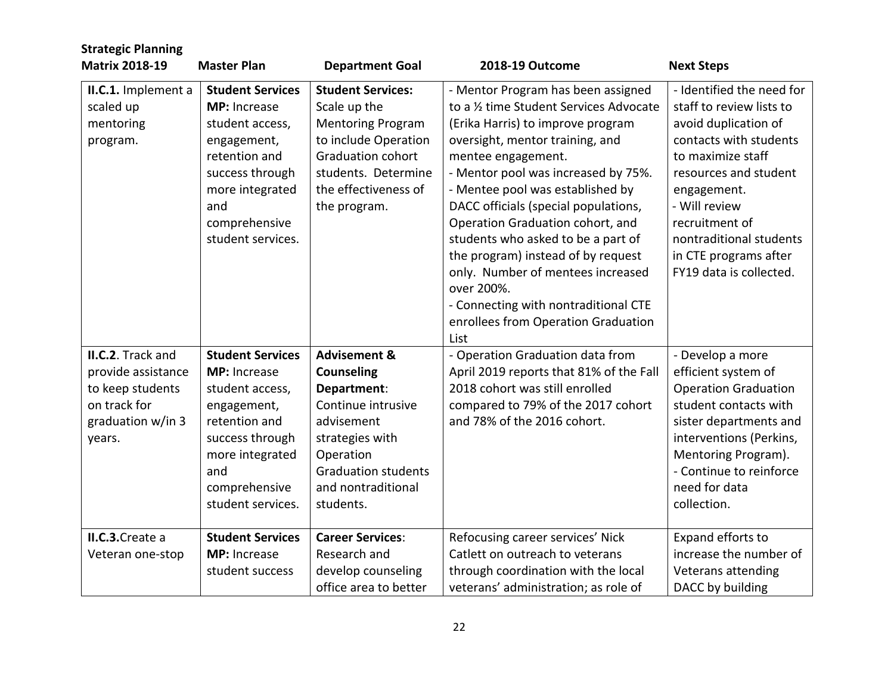| <b>Strategic Planning</b><br><b>Matrix 2018-19</b>                                                         | <b>Master Plan</b>                                                                                                                                                            | <b>Department Goal</b>                                                                                                                                                                           | 2018-19 Outcome                                                                                                                                                                                                                                                                                                                                                                                                                                                                                                                                          | <b>Next Steps</b>                                                                                                                                                                                                                                                                      |
|------------------------------------------------------------------------------------------------------------|-------------------------------------------------------------------------------------------------------------------------------------------------------------------------------|--------------------------------------------------------------------------------------------------------------------------------------------------------------------------------------------------|----------------------------------------------------------------------------------------------------------------------------------------------------------------------------------------------------------------------------------------------------------------------------------------------------------------------------------------------------------------------------------------------------------------------------------------------------------------------------------------------------------------------------------------------------------|----------------------------------------------------------------------------------------------------------------------------------------------------------------------------------------------------------------------------------------------------------------------------------------|
| II.C.1. Implement a<br>scaled up<br>mentoring<br>program.                                                  | <b>Student Services</b><br>MP: Increase<br>student access,<br>engagement,<br>retention and<br>success through<br>more integrated<br>and<br>comprehensive<br>student services. | <b>Student Services:</b><br>Scale up the<br><b>Mentoring Program</b><br>to include Operation<br><b>Graduation cohort</b><br>students. Determine<br>the effectiveness of<br>the program.          | - Mentor Program has been assigned<br>to a 1/2 time Student Services Advocate<br>(Erika Harris) to improve program<br>oversight, mentor training, and<br>mentee engagement.<br>- Mentor pool was increased by 75%.<br>- Mentee pool was established by<br>DACC officials (special populations,<br>Operation Graduation cohort, and<br>students who asked to be a part of<br>the program) instead of by request<br>only. Number of mentees increased<br>over 200%.<br>- Connecting with nontraditional CTE<br>enrollees from Operation Graduation<br>List | - Identified the need for<br>staff to review lists to<br>avoid duplication of<br>contacts with students<br>to maximize staff<br>resources and student<br>engagement.<br>- Will review<br>recruitment of<br>nontraditional students<br>in CTE programs after<br>FY19 data is collected. |
| II.C.2. Track and<br>provide assistance<br>to keep students<br>on track for<br>graduation w/in 3<br>years. | <b>Student Services</b><br>MP: Increase<br>student access,<br>engagement,<br>retention and<br>success through<br>more integrated<br>and<br>comprehensive<br>student services. | <b>Advisement &amp;</b><br><b>Counseling</b><br>Department:<br>Continue intrusive<br>advisement<br>strategies with<br>Operation<br><b>Graduation students</b><br>and nontraditional<br>students. | - Operation Graduation data from<br>April 2019 reports that 81% of the Fall<br>2018 cohort was still enrolled<br>compared to 79% of the 2017 cohort<br>and 78% of the 2016 cohort.                                                                                                                                                                                                                                                                                                                                                                       | - Develop a more<br>efficient system of<br><b>Operation Graduation</b><br>student contacts with<br>sister departments and<br>interventions (Perkins,<br>Mentoring Program).<br>- Continue to reinforce<br>need for data<br>collection.                                                 |
| II.C.3. Create a<br>Veteran one-stop                                                                       | <b>Student Services</b><br>MP: Increase<br>student success                                                                                                                    | <b>Career Services:</b><br>Research and<br>develop counseling<br>office area to better                                                                                                           | Refocusing career services' Nick<br>Catlett on outreach to veterans<br>through coordination with the local<br>veterans' administration; as role of                                                                                                                                                                                                                                                                                                                                                                                                       | Expand efforts to<br>increase the number of<br>Veterans attending<br>DACC by building                                                                                                                                                                                                  |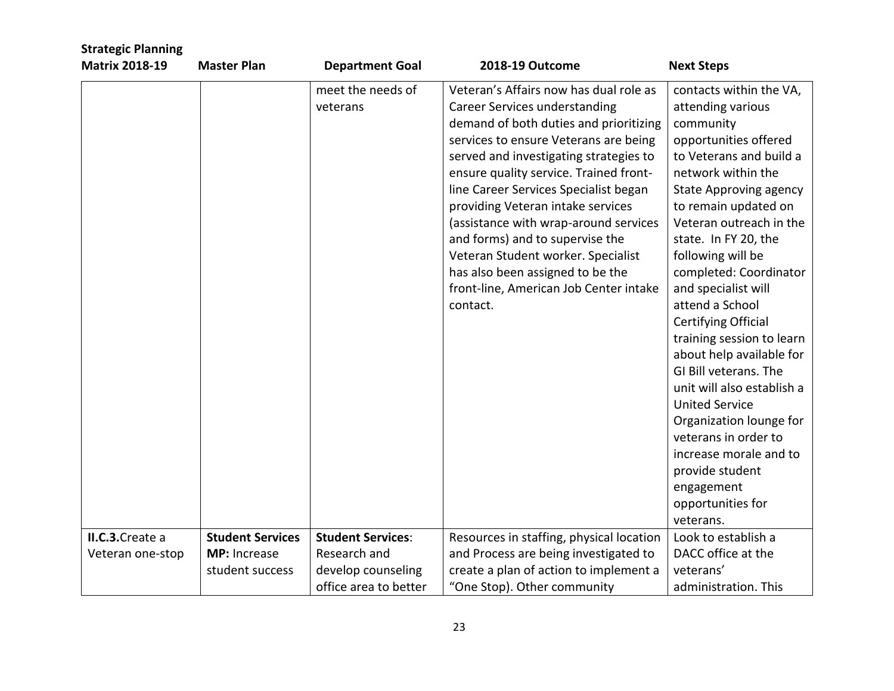|                         |                                                       |                                                                                                                                                                                                                                                                                                                                                                                                                                                                                                                                          | <b>Next Steps</b>                                                                                                                                                                                                                                                                                                                                                                                                                                                                                                                                                                                                                                        |
|-------------------------|-------------------------------------------------------|------------------------------------------------------------------------------------------------------------------------------------------------------------------------------------------------------------------------------------------------------------------------------------------------------------------------------------------------------------------------------------------------------------------------------------------------------------------------------------------------------------------------------------------|----------------------------------------------------------------------------------------------------------------------------------------------------------------------------------------------------------------------------------------------------------------------------------------------------------------------------------------------------------------------------------------------------------------------------------------------------------------------------------------------------------------------------------------------------------------------------------------------------------------------------------------------------------|
|                         | meet the needs of<br>veterans                         | Veteran's Affairs now has dual role as<br>Career Services understanding<br>demand of both duties and prioritizing<br>services to ensure Veterans are being<br>served and investigating strategies to<br>ensure quality service. Trained front-<br>line Career Services Specialist began<br>providing Veteran intake services<br>(assistance with wrap-around services<br>and forms) and to supervise the<br>Veteran Student worker. Specialist<br>has also been assigned to be the<br>front-line, American Job Center intake<br>contact. | contacts within the VA,<br>attending various<br>community<br>opportunities offered<br>to Veterans and build a<br>network within the<br><b>State Approving agency</b><br>to remain updated on<br>Veteran outreach in the<br>state. In FY 20, the<br>following will be<br>completed: Coordinator<br>and specialist will<br>attend a School<br>Certifying Official<br>training session to learn<br>about help available for<br>GI Bill veterans. The<br>unit will also establish a<br><b>United Service</b><br>Organization lounge for<br>veterans in order to<br>increase morale and to<br>provide student<br>engagement<br>opportunities for<br>veterans. |
| <b>Student Services</b> |                                                       |                                                                                                                                                                                                                                                                                                                                                                                                                                                                                                                                          | Look to establish a                                                                                                                                                                                                                                                                                                                                                                                                                                                                                                                                                                                                                                      |
|                         |                                                       |                                                                                                                                                                                                                                                                                                                                                                                                                                                                                                                                          | DACC office at the                                                                                                                                                                                                                                                                                                                                                                                                                                                                                                                                                                                                                                       |
|                         |                                                       |                                                                                                                                                                                                                                                                                                                                                                                                                                                                                                                                          | veterans'                                                                                                                                                                                                                                                                                                                                                                                                                                                                                                                                                                                                                                                |
|                         |                                                       |                                                                                                                                                                                                                                                                                                                                                                                                                                                                                                                                          | administration. This                                                                                                                                                                                                                                                                                                                                                                                                                                                                                                                                                                                                                                     |
|                         | <b>Master Plan</b><br>MP: Increase<br>student success | <b>Department Goal</b><br><b>Student Services:</b><br>Research and<br>develop counseling<br>office area to better                                                                                                                                                                                                                                                                                                                                                                                                                        | 2018-19 Outcome<br>Resources in staffing, physical location<br>and Process are being investigated to<br>create a plan of action to implement a<br>"One Stop). Other community                                                                                                                                                                                                                                                                                                                                                                                                                                                                            |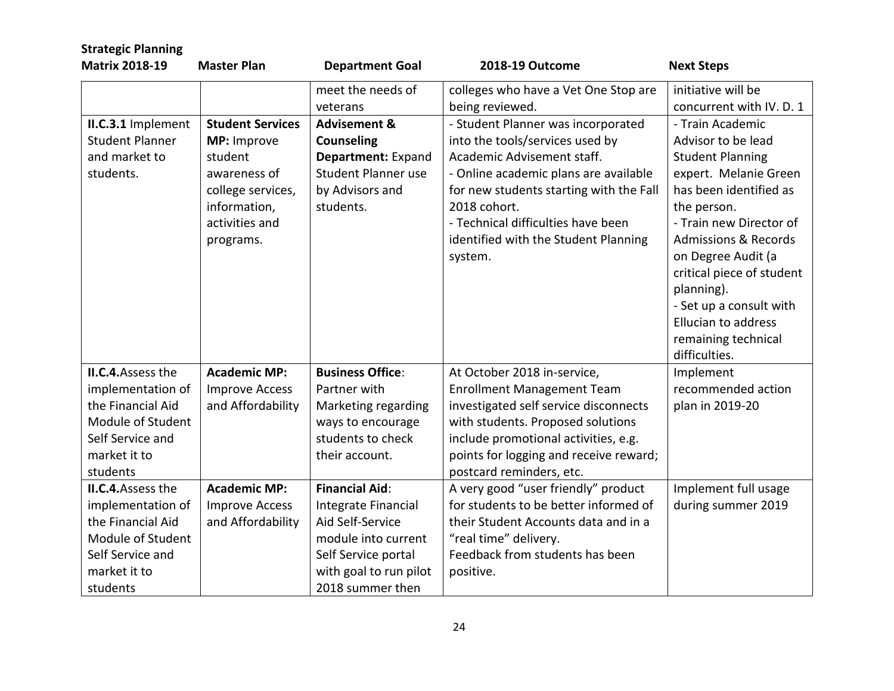| <b>Strategic Planning</b>             |                                              |                            |                                                                              |                                            |
|---------------------------------------|----------------------------------------------|----------------------------|------------------------------------------------------------------------------|--------------------------------------------|
| <b>Matrix 2018-19</b>                 | <b>Master Plan</b>                           | <b>Department Goal</b>     | 2018-19 Outcome                                                              | <b>Next Steps</b>                          |
|                                       |                                              | meet the needs of          | colleges who have a Vet One Stop are                                         | initiative will be                         |
|                                       |                                              | veterans                   | being reviewed.                                                              | concurrent with IV. D. 1                   |
| II.C.3.1 Implement                    | <b>Student Services</b>                      | <b>Advisement &amp;</b>    | - Student Planner was incorporated                                           | - Train Academic                           |
| <b>Student Planner</b>                | MP: Improve                                  | <b>Counseling</b>          | into the tools/services used by                                              | Advisor to be lead                         |
| and market to                         | student                                      | Department: Expand         | Academic Advisement staff.                                                   | <b>Student Planning</b>                    |
| students.                             | awareness of                                 | <b>Student Planner use</b> | - Online academic plans are available                                        | expert. Melanie Green                      |
|                                       | college services,                            | by Advisors and            | for new students starting with the Fall                                      | has been identified as                     |
|                                       | information,                                 | students.                  | 2018 cohort.                                                                 | the person.                                |
|                                       | activities and                               |                            | - Technical difficulties have been                                           | - Train new Director of                    |
|                                       | programs.                                    |                            | identified with the Student Planning                                         | <b>Admissions &amp; Records</b>            |
|                                       |                                              |                            | system.                                                                      | on Degree Audit (a                         |
|                                       |                                              |                            |                                                                              | critical piece of student                  |
|                                       |                                              |                            |                                                                              | planning).                                 |
|                                       |                                              |                            |                                                                              | - Set up a consult with                    |
|                                       |                                              |                            |                                                                              | <b>Ellucian to address</b>                 |
|                                       |                                              |                            |                                                                              | remaining technical                        |
|                                       |                                              |                            |                                                                              | difficulties.                              |
| <b>II.C.4.</b> Assess the             | <b>Academic MP:</b>                          | <b>Business Office:</b>    | At October 2018 in-service,                                                  | Implement                                  |
| implementation of                     | <b>Improve Access</b>                        | Partner with               | <b>Enrollment Management Team</b>                                            | recommended action                         |
| the Financial Aid                     | and Affordability                            | Marketing regarding        | investigated self service disconnects                                        | plan in 2019-20                            |
| Module of Student                     |                                              | ways to encourage          | with students. Proposed solutions                                            |                                            |
| Self Service and                      |                                              | students to check          | include promotional activities, e.g.                                         |                                            |
| market it to                          |                                              | their account.             | points for logging and receive reward;                                       |                                            |
| students<br><b>II.C.4.</b> Assess the |                                              | <b>Financial Aid:</b>      | postcard reminders, etc.                                                     |                                            |
| implementation of                     | <b>Academic MP:</b><br><b>Improve Access</b> | Integrate Financial        | A very good "user friendly" product<br>for students to be better informed of | Implement full usage<br>during summer 2019 |
| the Financial Aid                     | and Affordability                            | Aid Self-Service           | their Student Accounts data and in a                                         |                                            |
| Module of Student                     |                                              | module into current        | "real time" delivery.                                                        |                                            |
| Self Service and                      |                                              | Self Service portal        | Feedback from students has been                                              |                                            |
| market it to                          |                                              | with goal to run pilot     | positive.                                                                    |                                            |
| students                              |                                              | 2018 summer then           |                                                                              |                                            |
|                                       |                                              |                            |                                                                              |                                            |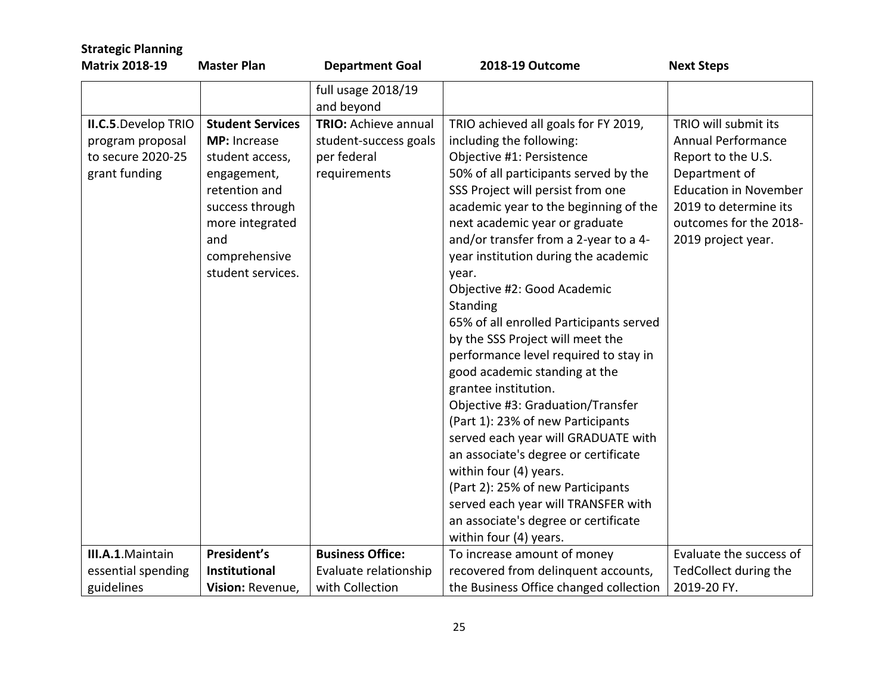| <b>Strategic Planning</b> |                         |                                  |                                         |                              |
|---------------------------|-------------------------|----------------------------------|-----------------------------------------|------------------------------|
| <b>Matrix 2018-19</b>     | <b>Master Plan</b>      | <b>Department Goal</b>           | 2018-19 Outcome                         | <b>Next Steps</b>            |
|                           |                         | full usage 2018/19<br>and beyond |                                         |                              |
| II.C.5. Develop TRIO      | <b>Student Services</b> | <b>TRIO:</b> Achieve annual      | TRIO achieved all goals for FY 2019,    | TRIO will submit its         |
| program proposal          | <b>MP:</b> Increase     | student-success goals            | including the following:                | <b>Annual Performance</b>    |
| to secure 2020-25         | student access,         | per federal                      | Objective #1: Persistence               | Report to the U.S.           |
| grant funding             | engagement,             | requirements                     | 50% of all participants served by the   | Department of                |
|                           | retention and           |                                  | SSS Project will persist from one       | <b>Education in November</b> |
|                           | success through         |                                  | academic year to the beginning of the   | 2019 to determine its        |
|                           | more integrated         |                                  | next academic year or graduate          | outcomes for the 2018-       |
|                           | and                     |                                  | and/or transfer from a 2-year to a 4-   | 2019 project year.           |
|                           | comprehensive           |                                  | year institution during the academic    |                              |
|                           | student services.       |                                  | year.                                   |                              |
|                           |                         |                                  | Objective #2: Good Academic             |                              |
|                           |                         |                                  | Standing                                |                              |
|                           |                         |                                  | 65% of all enrolled Participants served |                              |
|                           |                         |                                  | by the SSS Project will meet the        |                              |
|                           |                         |                                  | performance level required to stay in   |                              |
|                           |                         |                                  | good academic standing at the           |                              |
|                           |                         |                                  | grantee institution.                    |                              |
|                           |                         |                                  | Objective #3: Graduation/Transfer       |                              |
|                           |                         |                                  | (Part 1): 23% of new Participants       |                              |
|                           |                         |                                  | served each year will GRADUATE with     |                              |
|                           |                         |                                  | an associate's degree or certificate    |                              |
|                           |                         |                                  | within four (4) years.                  |                              |
|                           |                         |                                  | (Part 2): 25% of new Participants       |                              |
|                           |                         |                                  | served each year will TRANSFER with     |                              |
|                           |                         |                                  | an associate's degree or certificate    |                              |
|                           |                         |                                  | within four (4) years.                  |                              |
| III.A.1.Maintain          | President's             | <b>Business Office:</b>          | To increase amount of money             | Evaluate the success of      |
| essential spending        | <b>Institutional</b>    | Evaluate relationship            | recovered from delinquent accounts,     | TedCollect during the        |
| guidelines                | Vision: Revenue,        | with Collection                  | the Business Office changed collection  | 2019-20 FY.                  |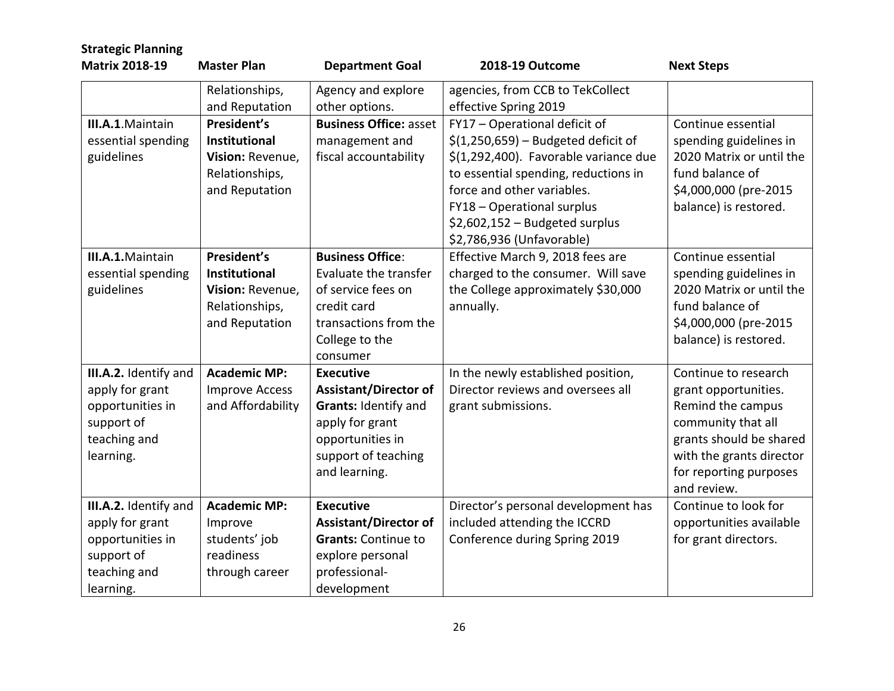| <b>Strategic Planning</b><br><b>Matrix 2018-19</b> | <b>Master Plan</b>    | <b>Department Goal</b>        | 2018-19 Outcome                                | <b>Next Steps</b>                     |
|----------------------------------------------------|-----------------------|-------------------------------|------------------------------------------------|---------------------------------------|
|                                                    | Relationships,        | Agency and explore            | agencies, from CCB to TekCollect               |                                       |
|                                                    | and Reputation        | other options.                | effective Spring 2019                          |                                       |
| <b>III.A.1.Maintain</b>                            | President's           | <b>Business Office: asset</b> | FY17 - Operational deficit of                  | Continue essential                    |
| essential spending                                 | <b>Institutional</b>  | management and                | $\frac{1}{2}(1,250,659)$ – Budgeted deficit of | spending guidelines in                |
| guidelines                                         | Vision: Revenue,      | fiscal accountability         | \$(1,292,400). Favorable variance due          | 2020 Matrix or until the              |
|                                                    | Relationships,        |                               | to essential spending, reductions in           | fund balance of                       |
|                                                    | and Reputation        |                               | force and other variables.                     | \$4,000,000 (pre-2015                 |
|                                                    |                       |                               | FY18 - Operational surplus                     | balance) is restored.                 |
|                                                    |                       |                               | $$2,602,152 - Budgeted surplus$                |                                       |
|                                                    |                       |                               | \$2,786,936 (Unfavorable)                      |                                       |
| <b>III.A.1.</b> Maintain                           | President's           | <b>Business Office:</b>       | Effective March 9, 2018 fees are               | Continue essential                    |
| essential spending                                 | <b>Institutional</b>  | Evaluate the transfer         | charged to the consumer. Will save             | spending guidelines in                |
| guidelines                                         | Vision: Revenue,      | of service fees on            | the College approximately \$30,000             | 2020 Matrix or until the              |
|                                                    | Relationships,        | credit card                   | annually.                                      | fund balance of                       |
|                                                    | and Reputation        | transactions from the         |                                                | \$4,000,000 (pre-2015                 |
|                                                    |                       | College to the                |                                                | balance) is restored.                 |
|                                                    |                       | consumer                      |                                                |                                       |
| III.A.2. Identify and                              | <b>Academic MP:</b>   | <b>Executive</b>              | In the newly established position,             | Continue to research                  |
| apply for grant                                    | <b>Improve Access</b> | <b>Assistant/Director of</b>  | Director reviews and oversees all              | grant opportunities.                  |
| opportunities in                                   | and Affordability     | Grants: Identify and          | grant submissions.                             | Remind the campus                     |
| support of                                         |                       | apply for grant               |                                                | community that all                    |
| teaching and                                       |                       | opportunities in              |                                                | grants should be shared               |
| learning.                                          |                       | support of teaching           |                                                | with the grants director              |
|                                                    |                       | and learning.                 |                                                | for reporting purposes<br>and review. |
| III.A.2. Identify and                              | <b>Academic MP:</b>   | <b>Executive</b>              | Director's personal development has            | Continue to look for                  |
| apply for grant                                    | Improve               | <b>Assistant/Director of</b>  | included attending the ICCRD                   | opportunities available               |
| opportunities in                                   | students' job         | <b>Grants: Continue to</b>    | Conference during Spring 2019                  | for grant directors.                  |
| support of                                         | readiness             | explore personal              |                                                |                                       |
| teaching and                                       | through career        | professional-                 |                                                |                                       |
| learning.                                          |                       | development                   |                                                |                                       |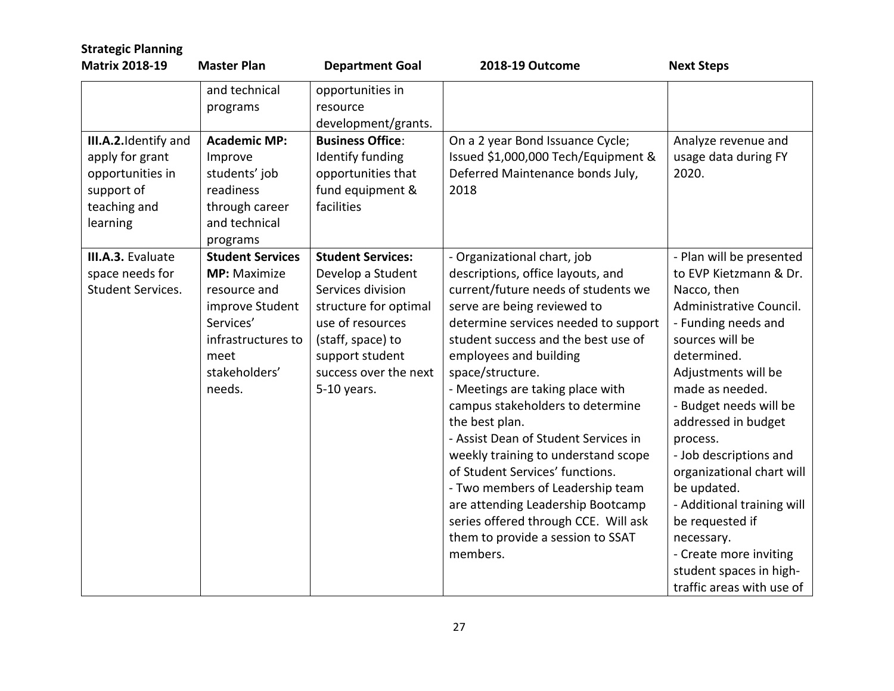| <b>Strategic Planning</b>                                                                              |                                                                                                                                                         |                                                                                                                                                                                                 |                                                                                                                                                                                                                                                                                                                                                                                                                                                                                                                                                                                                                                                   |                                                                                                                                                                                                                                                                                                                                                                                                                                                                                     |
|--------------------------------------------------------------------------------------------------------|---------------------------------------------------------------------------------------------------------------------------------------------------------|-------------------------------------------------------------------------------------------------------------------------------------------------------------------------------------------------|---------------------------------------------------------------------------------------------------------------------------------------------------------------------------------------------------------------------------------------------------------------------------------------------------------------------------------------------------------------------------------------------------------------------------------------------------------------------------------------------------------------------------------------------------------------------------------------------------------------------------------------------------|-------------------------------------------------------------------------------------------------------------------------------------------------------------------------------------------------------------------------------------------------------------------------------------------------------------------------------------------------------------------------------------------------------------------------------------------------------------------------------------|
| <b>Matrix 2018-19</b>                                                                                  | <b>Master Plan</b>                                                                                                                                      | <b>Department Goal</b>                                                                                                                                                                          | 2018-19 Outcome                                                                                                                                                                                                                                                                                                                                                                                                                                                                                                                                                                                                                                   | <b>Next Steps</b>                                                                                                                                                                                                                                                                                                                                                                                                                                                                   |
|                                                                                                        | and technical<br>programs                                                                                                                               | opportunities in<br>resource<br>development/grants.                                                                                                                                             |                                                                                                                                                                                                                                                                                                                                                                                                                                                                                                                                                                                                                                                   |                                                                                                                                                                                                                                                                                                                                                                                                                                                                                     |
| III.A.2. Identify and<br>apply for grant<br>opportunities in<br>support of<br>teaching and<br>learning | <b>Academic MP:</b><br>Improve<br>students' job<br>readiness<br>through career<br>and technical<br>programs                                             | <b>Business Office:</b><br>Identify funding<br>opportunities that<br>fund equipment &<br>facilities                                                                                             | On a 2 year Bond Issuance Cycle;<br>Issued \$1,000,000 Tech/Equipment &<br>Deferred Maintenance bonds July,<br>2018                                                                                                                                                                                                                                                                                                                                                                                                                                                                                                                               | Analyze revenue and<br>usage data during FY<br>2020.                                                                                                                                                                                                                                                                                                                                                                                                                                |
| <b>III.A.3. Evaluate</b><br>space needs for<br><b>Student Services.</b>                                | <b>Student Services</b><br><b>MP:</b> Maximize<br>resource and<br>improve Student<br>Services'<br>infrastructures to<br>meet<br>stakeholders'<br>needs. | <b>Student Services:</b><br>Develop a Student<br>Services division<br>structure for optimal<br>use of resources<br>(staff, space) to<br>support student<br>success over the next<br>5-10 years. | - Organizational chart, job<br>descriptions, office layouts, and<br>current/future needs of students we<br>serve are being reviewed to<br>determine services needed to support<br>student success and the best use of<br>employees and building<br>space/structure.<br>- Meetings are taking place with<br>campus stakeholders to determine<br>the best plan.<br>- Assist Dean of Student Services in<br>weekly training to understand scope<br>of Student Services' functions.<br>- Two members of Leadership team<br>are attending Leadership Bootcamp<br>series offered through CCE. Will ask<br>them to provide a session to SSAT<br>members. | - Plan will be presented<br>to EVP Kietzmann & Dr.<br>Nacco, then<br>Administrative Council.<br>- Funding needs and<br>sources will be<br>determined.<br>Adjustments will be<br>made as needed.<br>- Budget needs will be<br>addressed in budget<br>process.<br>- Job descriptions and<br>organizational chart will<br>be updated.<br>- Additional training will<br>be requested if<br>necessary.<br>- Create more inviting<br>student spaces in high-<br>traffic areas with use of |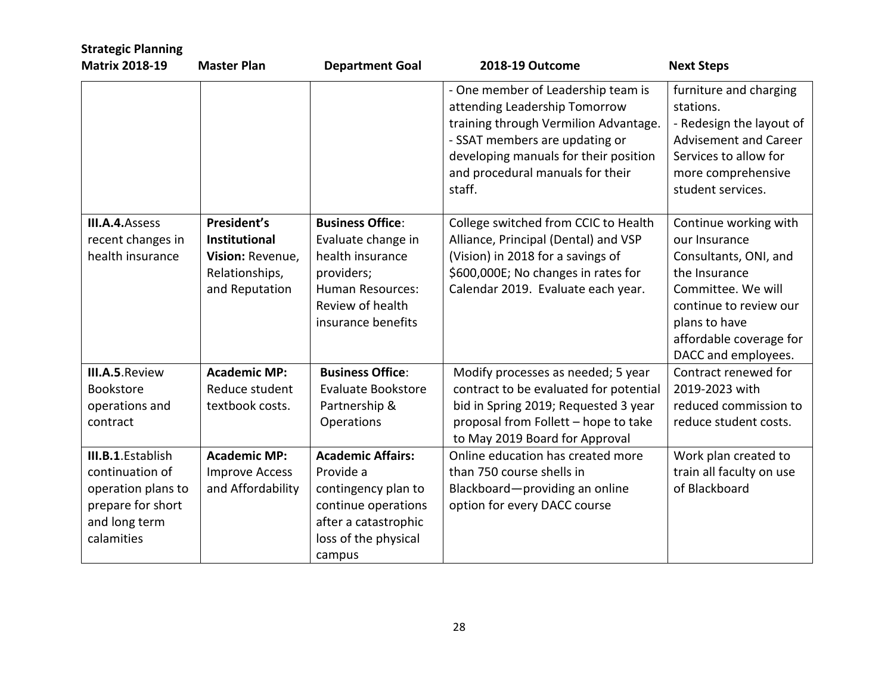| <b>Strategic Planning</b><br><b>Matrix 2018-19</b>                                                              | <b>Master Plan</b>                                                                          | <b>Department Goal</b>                                                                                                                               | 2018-19 Outcome                                                                                                                                                                                                                       | <b>Next Steps</b>                                                                                                                                                                                   |
|-----------------------------------------------------------------------------------------------------------------|---------------------------------------------------------------------------------------------|------------------------------------------------------------------------------------------------------------------------------------------------------|---------------------------------------------------------------------------------------------------------------------------------------------------------------------------------------------------------------------------------------|-----------------------------------------------------------------------------------------------------------------------------------------------------------------------------------------------------|
|                                                                                                                 |                                                                                             |                                                                                                                                                      | - One member of Leadership team is<br>attending Leadership Tomorrow<br>training through Vermilion Advantage.<br>- SSAT members are updating or<br>developing manuals for their position<br>and procedural manuals for their<br>staff. | furniture and charging<br>stations.<br>- Redesign the layout of<br><b>Advisement and Career</b><br>Services to allow for<br>more comprehensive<br>student services.                                 |
| <b>III.A.4.</b> Assess<br>recent changes in<br>health insurance                                                 | President's<br><b>Institutional</b><br>Vision: Revenue,<br>Relationships,<br>and Reputation | <b>Business Office:</b><br>Evaluate change in<br>health insurance<br>providers;<br><b>Human Resources:</b><br>Review of health<br>insurance benefits | College switched from CCIC to Health<br>Alliance, Principal (Dental) and VSP<br>(Vision) in 2018 for a savings of<br>\$600,000E; No changes in rates for<br>Calendar 2019. Evaluate each year.                                        | Continue working with<br>our Insurance<br>Consultants, ONI, and<br>the Insurance<br>Committee. We will<br>continue to review our<br>plans to have<br>affordable coverage for<br>DACC and employees. |
| III.A.5. Review<br><b>Bookstore</b><br>operations and<br>contract                                               | <b>Academic MP:</b><br>Reduce student<br>textbook costs.                                    | <b>Business Office:</b><br><b>Evaluate Bookstore</b><br>Partnership &<br>Operations                                                                  | Modify processes as needed; 5 year<br>contract to be evaluated for potential<br>bid in Spring 2019; Requested 3 year<br>proposal from Follett - hope to take<br>to May 2019 Board for Approval                                        | Contract renewed for<br>2019-2023 with<br>reduced commission to<br>reduce student costs.                                                                                                            |
| III.B.1. Establish<br>continuation of<br>operation plans to<br>prepare for short<br>and long term<br>calamities | <b>Academic MP:</b><br><b>Improve Access</b><br>and Affordability                           | <b>Academic Affairs:</b><br>Provide a<br>contingency plan to<br>continue operations<br>after a catastrophic<br>loss of the physical<br>campus        | Online education has created more<br>than 750 course shells in<br>Blackboard-providing an online<br>option for every DACC course                                                                                                      | Work plan created to<br>train all faculty on use<br>of Blackboard                                                                                                                                   |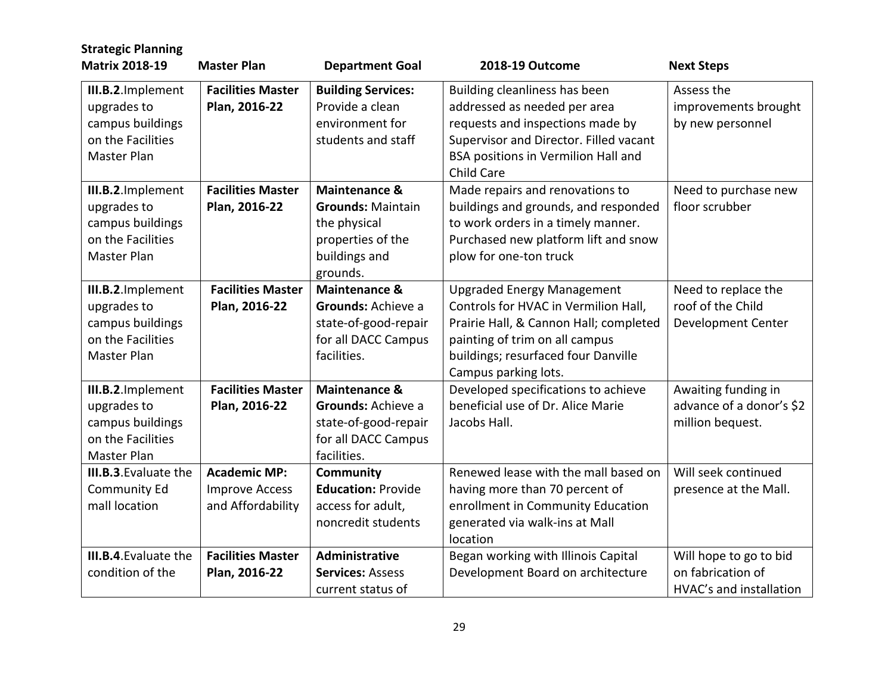| <b>Strategic Planning</b><br><b>Matrix 2018-19</b>                                              | <b>Master Plan</b>                                                | <b>Department Goal</b>                                                                                                 | 2018-19 Outcome                                                                                                                                                                                                      | <b>Next Steps</b>                                                      |
|-------------------------------------------------------------------------------------------------|-------------------------------------------------------------------|------------------------------------------------------------------------------------------------------------------------|----------------------------------------------------------------------------------------------------------------------------------------------------------------------------------------------------------------------|------------------------------------------------------------------------|
| III.B.2.Implement<br>upgrades to<br>campus buildings<br>on the Facilities<br>Master Plan        | <b>Facilities Master</b><br>Plan, 2016-22                         | <b>Building Services:</b><br>Provide a clean<br>environment for<br>students and staff                                  | Building cleanliness has been<br>addressed as needed per area<br>requests and inspections made by<br>Supervisor and Director. Filled vacant<br>BSA positions in Vermilion Hall and<br>Child Care                     | Assess the<br>improvements brought<br>by new personnel                 |
| III.B.2.Implement<br>upgrades to<br>campus buildings<br>on the Facilities<br>Master Plan        | <b>Facilities Master</b><br>Plan, 2016-22                         | <b>Maintenance &amp;</b><br><b>Grounds: Maintain</b><br>the physical<br>properties of the<br>buildings and<br>grounds. | Made repairs and renovations to<br>buildings and grounds, and responded<br>to work orders in a timely manner.<br>Purchased new platform lift and snow<br>plow for one-ton truck                                      | Need to purchase new<br>floor scrubber                                 |
| III.B.2.Implement<br>upgrades to<br>campus buildings<br>on the Facilities<br><b>Master Plan</b> | <b>Facilities Master</b><br>Plan, 2016-22                         | <b>Maintenance &amp;</b><br>Grounds: Achieve a<br>state-of-good-repair<br>for all DACC Campus<br>facilities.           | <b>Upgraded Energy Management</b><br>Controls for HVAC in Vermilion Hall,<br>Prairie Hall, & Cannon Hall; completed<br>painting of trim on all campus<br>buildings; resurfaced four Danville<br>Campus parking lots. | Need to replace the<br>roof of the Child<br><b>Development Center</b>  |
| III.B.2.Implement<br>upgrades to<br>campus buildings<br>on the Facilities<br>Master Plan        | <b>Facilities Master</b><br>Plan, 2016-22                         | <b>Maintenance &amp;</b><br>Grounds: Achieve a<br>state-of-good-repair<br>for all DACC Campus<br>facilities.           | Developed specifications to achieve<br>beneficial use of Dr. Alice Marie<br>Jacobs Hall.                                                                                                                             | Awaiting funding in<br>advance of a donor's \$2<br>million bequest.    |
| <b>III.B.3.</b> Evaluate the<br><b>Community Ed</b><br>mall location                            | <b>Academic MP:</b><br><b>Improve Access</b><br>and Affordability | <b>Community</b><br><b>Education: Provide</b><br>access for adult,<br>noncredit students                               | Renewed lease with the mall based on<br>having more than 70 percent of<br>enrollment in Community Education<br>generated via walk-ins at Mall<br>location                                                            | Will seek continued<br>presence at the Mall.                           |
| <b>III.B.4.</b> Evaluate the<br>condition of the                                                | <b>Facilities Master</b><br>Plan, 2016-22                         | Administrative<br><b>Services: Assess</b><br>current status of                                                         | Began working with Illinois Capital<br>Development Board on architecture                                                                                                                                             | Will hope to go to bid<br>on fabrication of<br>HVAC's and installation |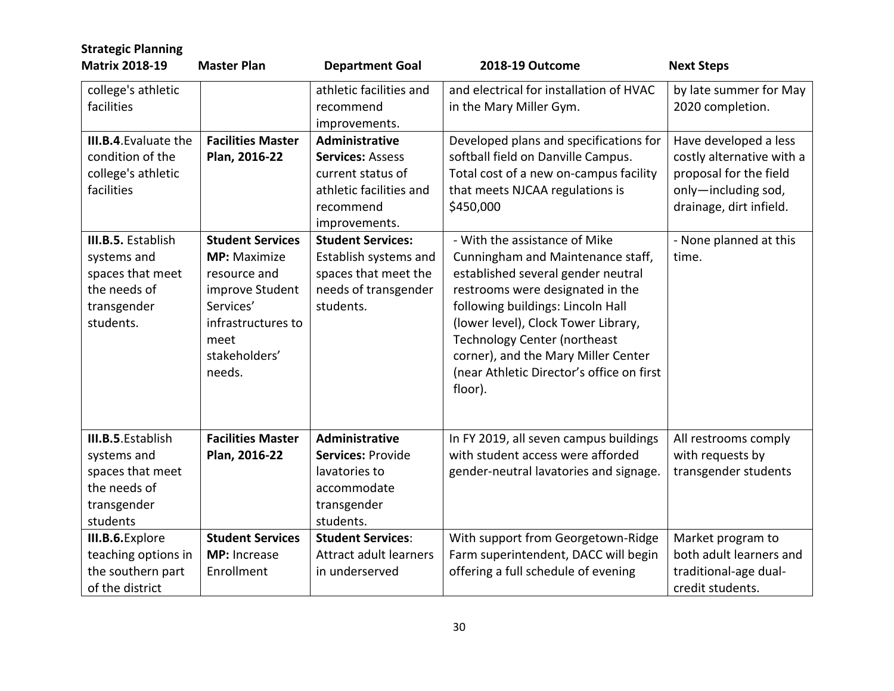| <b>Strategic Planning</b>                                                                                |                                                                                                                                                         |                                                                                                                         |                                                                                                                                                                                                                                                                                                                                                                |                                                                                                                                |
|----------------------------------------------------------------------------------------------------------|---------------------------------------------------------------------------------------------------------------------------------------------------------|-------------------------------------------------------------------------------------------------------------------------|----------------------------------------------------------------------------------------------------------------------------------------------------------------------------------------------------------------------------------------------------------------------------------------------------------------------------------------------------------------|--------------------------------------------------------------------------------------------------------------------------------|
| <b>Matrix 2018-19</b>                                                                                    | <b>Master Plan</b>                                                                                                                                      | <b>Department Goal</b>                                                                                                  | 2018-19 Outcome                                                                                                                                                                                                                                                                                                                                                | <b>Next Steps</b>                                                                                                              |
| college's athletic<br>facilities                                                                         |                                                                                                                                                         | athletic facilities and<br>recommend<br>improvements.                                                                   | and electrical for installation of HVAC<br>in the Mary Miller Gym.                                                                                                                                                                                                                                                                                             | by late summer for May<br>2020 completion.                                                                                     |
| <b>III.B.4.</b> Evaluate the<br>condition of the<br>college's athletic<br>facilities                     | <b>Facilities Master</b><br>Plan, 2016-22                                                                                                               | Administrative<br><b>Services: Assess</b><br>current status of<br>athletic facilities and<br>recommend<br>improvements. | Developed plans and specifications for<br>softball field on Danville Campus.<br>Total cost of a new on-campus facility<br>that meets NJCAA regulations is<br>\$450,000                                                                                                                                                                                         | Have developed a less<br>costly alternative with a<br>proposal for the field<br>only-including sod,<br>drainage, dirt infield. |
| <b>III.B.5.</b> Establish<br>systems and<br>spaces that meet<br>the needs of<br>transgender<br>students. | <b>Student Services</b><br><b>MP:</b> Maximize<br>resource and<br>improve Student<br>Services'<br>infrastructures to<br>meet<br>stakeholders'<br>needs. | <b>Student Services:</b><br>Establish systems and<br>spaces that meet the<br>needs of transgender<br>students.          | - With the assistance of Mike<br>Cunningham and Maintenance staff,<br>established several gender neutral<br>restrooms were designated in the<br>following buildings: Lincoln Hall<br>(lower level), Clock Tower Library,<br><b>Technology Center (northeast</b><br>corner), and the Mary Miller Center<br>(near Athletic Director's office on first<br>floor). | - None planned at this<br>time.                                                                                                |
| III.B.5. Establish<br>systems and<br>spaces that meet<br>the needs of<br>transgender<br>students         | <b>Facilities Master</b><br>Plan, 2016-22                                                                                                               | Administrative<br>Services: Provide<br>lavatories to<br>accommodate<br>transgender<br>students.                         | In FY 2019, all seven campus buildings<br>with student access were afforded<br>gender-neutral lavatories and signage.                                                                                                                                                                                                                                          | All restrooms comply<br>with requests by<br>transgender students                                                               |
| III.B.6.Explore<br>teaching options in<br>the southern part<br>of the district                           | <b>Student Services</b><br>MP: Increase<br>Enrollment                                                                                                   | <b>Student Services:</b><br>Attract adult learners<br>in underserved                                                    | With support from Georgetown-Ridge<br>Farm superintendent, DACC will begin<br>offering a full schedule of evening                                                                                                                                                                                                                                              | Market program to<br>both adult learners and<br>traditional-age dual-<br>credit students.                                      |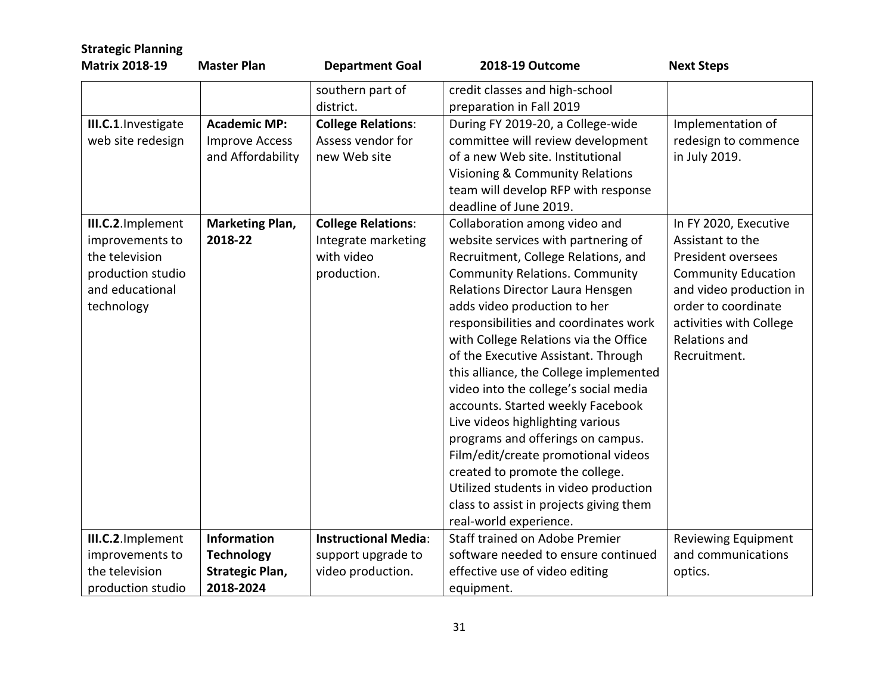| <b>Strategic Planning</b> |                        |                             |                                            |                            |
|---------------------------|------------------------|-----------------------------|--------------------------------------------|----------------------------|
| <b>Matrix 2018-19</b>     | <b>Master Plan</b>     | <b>Department Goal</b>      | 2018-19 Outcome                            | <b>Next Steps</b>          |
|                           |                        | southern part of            | credit classes and high-school             |                            |
|                           |                        | district.                   | preparation in Fall 2019                   |                            |
| III.C.1. Investigate      | <b>Academic MP:</b>    | <b>College Relations:</b>   | During FY 2019-20, a College-wide          | Implementation of          |
| web site redesign         | <b>Improve Access</b>  | Assess vendor for           | committee will review development          | redesign to commence       |
|                           | and Affordability      | new Web site                | of a new Web site. Institutional           | in July 2019.              |
|                           |                        |                             | <b>Visioning &amp; Community Relations</b> |                            |
|                           |                        |                             | team will develop RFP with response        |                            |
|                           |                        |                             | deadline of June 2019.                     |                            |
| III.C.2. Implement        | <b>Marketing Plan,</b> | <b>College Relations:</b>   | Collaboration among video and              | In FY 2020, Executive      |
| improvements to           | 2018-22                | Integrate marketing         | website services with partnering of        | Assistant to the           |
| the television            |                        | with video                  | Recruitment, College Relations, and        | President oversees         |
| production studio         |                        | production.                 | <b>Community Relations. Community</b>      | <b>Community Education</b> |
| and educational           |                        |                             | Relations Director Laura Hensgen           | and video production in    |
| technology                |                        |                             | adds video production to her               | order to coordinate        |
|                           |                        |                             | responsibilities and coordinates work      | activities with College    |
|                           |                        |                             | with College Relations via the Office      | <b>Relations and</b>       |
|                           |                        |                             | of the Executive Assistant. Through        | Recruitment.               |
|                           |                        |                             | this alliance, the College implemented     |                            |
|                           |                        |                             | video into the college's social media      |                            |
|                           |                        |                             | accounts. Started weekly Facebook          |                            |
|                           |                        |                             | Live videos highlighting various           |                            |
|                           |                        |                             | programs and offerings on campus.          |                            |
|                           |                        |                             | Film/edit/create promotional videos        |                            |
|                           |                        |                             | created to promote the college.            |                            |
|                           |                        |                             | Utilized students in video production      |                            |
|                           |                        |                             | class to assist in projects giving them    |                            |
|                           |                        |                             | real-world experience.                     |                            |
| III.C.2.Implement         | Information            | <b>Instructional Media:</b> | Staff trained on Adobe Premier             | <b>Reviewing Equipment</b> |
| improvements to           | <b>Technology</b>      | support upgrade to          | software needed to ensure continued        | and communications         |
| the television            | <b>Strategic Plan,</b> | video production.           | effective use of video editing             | optics.                    |
| production studio         | 2018-2024              |                             | equipment.                                 |                            |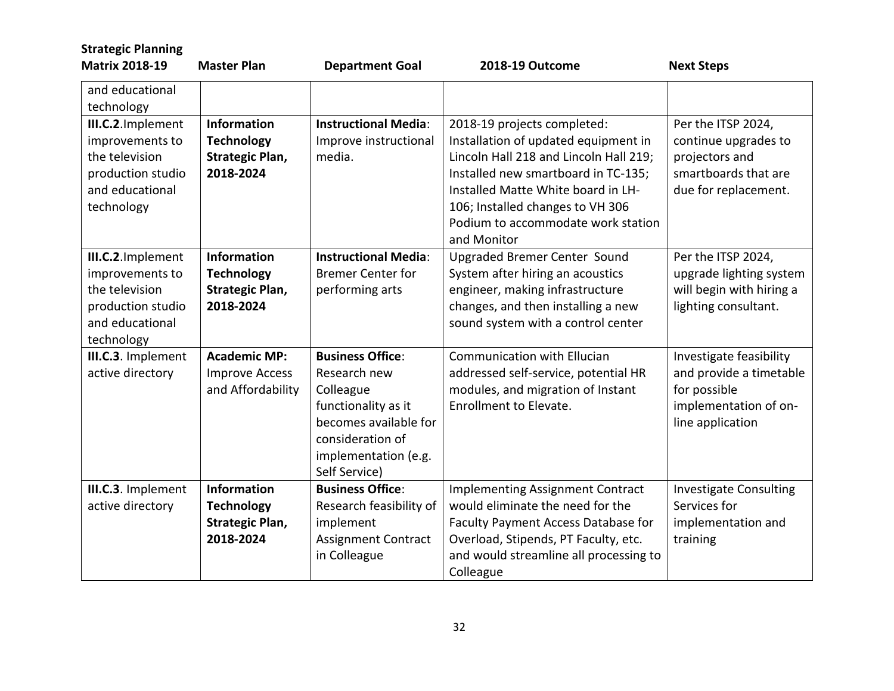| <b>Strategic Planning</b><br><b>Matrix 2018-19</b>                                                            | <b>Master Plan</b>                                                             | <b>Department Goal</b>                                                                                                                                            | 2018-19 Outcome                                                                                                                                                                                                                                                                     | <b>Next Steps</b>                                                                                               |
|---------------------------------------------------------------------------------------------------------------|--------------------------------------------------------------------------------|-------------------------------------------------------------------------------------------------------------------------------------------------------------------|-------------------------------------------------------------------------------------------------------------------------------------------------------------------------------------------------------------------------------------------------------------------------------------|-----------------------------------------------------------------------------------------------------------------|
| and educational<br>technology                                                                                 |                                                                                |                                                                                                                                                                   |                                                                                                                                                                                                                                                                                     |                                                                                                                 |
| III.C.2.Implement<br>improvements to<br>the television<br>production studio<br>and educational<br>technology  | <b>Information</b><br><b>Technology</b><br><b>Strategic Plan,</b><br>2018-2024 | <b>Instructional Media:</b><br>Improve instructional<br>media.                                                                                                    | 2018-19 projects completed:<br>Installation of updated equipment in<br>Lincoln Hall 218 and Lincoln Hall 219;<br>Installed new smartboard in TC-135;<br>Installed Matte White board in LH-<br>106; Installed changes to VH 306<br>Podium to accommodate work station<br>and Monitor | Per the ITSP 2024,<br>continue upgrades to<br>projectors and<br>smartboards that are<br>due for replacement.    |
| III.C.2. Implement<br>improvements to<br>the television<br>production studio<br>and educational<br>technology | <b>Information</b><br><b>Technology</b><br><b>Strategic Plan,</b><br>2018-2024 | <b>Instructional Media:</b><br><b>Bremer Center for</b><br>performing arts                                                                                        | Upgraded Bremer Center Sound<br>System after hiring an acoustics<br>engineer, making infrastructure<br>changes, and then installing a new<br>sound system with a control center                                                                                                     | Per the ITSP 2024,<br>upgrade lighting system<br>will begin with hiring a<br>lighting consultant.               |
| III.C.3. Implement<br>active directory                                                                        | <b>Academic MP:</b><br><b>Improve Access</b><br>and Affordability              | <b>Business Office:</b><br>Research new<br>Colleague<br>functionality as it<br>becomes available for<br>consideration of<br>implementation (e.g.<br>Self Service) | Communication with Ellucian<br>addressed self-service, potential HR<br>modules, and migration of Instant<br>Enrollment to Elevate.                                                                                                                                                  | Investigate feasibility<br>and provide a timetable<br>for possible<br>implementation of on-<br>line application |
| III.C.3. Implement<br>active directory                                                                        | <b>Information</b><br><b>Technology</b><br><b>Strategic Plan,</b><br>2018-2024 | <b>Business Office:</b><br>Research feasibility of<br>implement<br><b>Assignment Contract</b><br>in Colleague                                                     | <b>Implementing Assignment Contract</b><br>would eliminate the need for the<br>Faculty Payment Access Database for<br>Overload, Stipends, PT Faculty, etc.<br>and would streamline all processing to<br>Colleague                                                                   | <b>Investigate Consulting</b><br>Services for<br>implementation and<br>training                                 |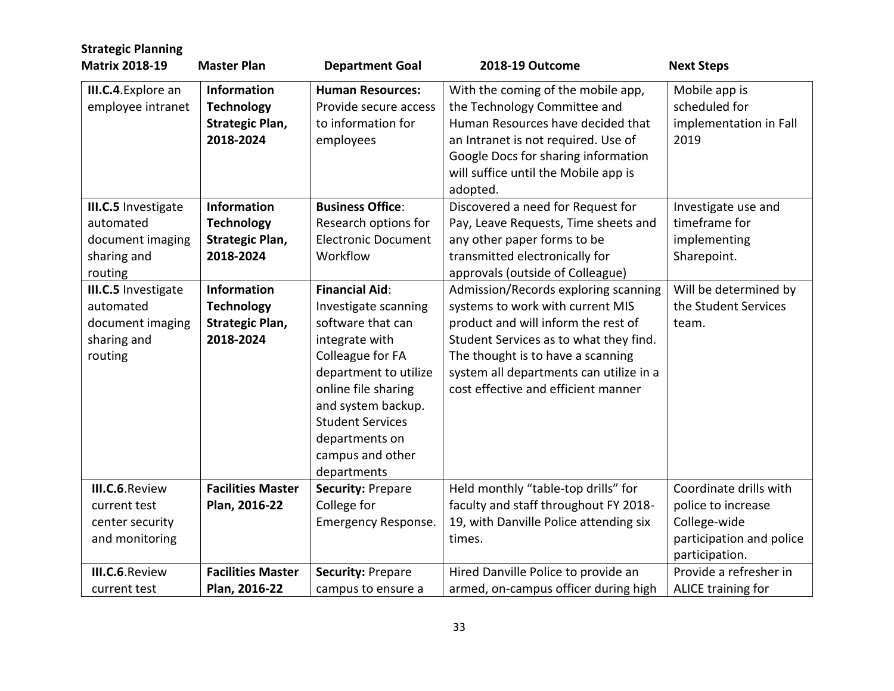| <b>Strategic Planning</b><br><b>Matrix 2018-19</b>                                    | <b>Master Plan</b>                                                             |                                                                                                                                                                                                                                                                | 2018-19 Outcome                                                                                                                                                                                                                                                                  |                                                                                                            |
|---------------------------------------------------------------------------------------|--------------------------------------------------------------------------------|----------------------------------------------------------------------------------------------------------------------------------------------------------------------------------------------------------------------------------------------------------------|----------------------------------------------------------------------------------------------------------------------------------------------------------------------------------------------------------------------------------------------------------------------------------|------------------------------------------------------------------------------------------------------------|
|                                                                                       |                                                                                | <b>Department Goal</b>                                                                                                                                                                                                                                         |                                                                                                                                                                                                                                                                                  | <b>Next Steps</b>                                                                                          |
| III.C.4. Explore an<br>employee intranet                                              | <b>Information</b><br><b>Technology</b><br><b>Strategic Plan,</b><br>2018-2024 | <b>Human Resources:</b><br>Provide secure access<br>to information for<br>employees                                                                                                                                                                            | With the coming of the mobile app,<br>the Technology Committee and<br>Human Resources have decided that<br>an Intranet is not required. Use of<br>Google Docs for sharing information<br>will suffice until the Mobile app is<br>adopted.                                        | Mobile app is<br>scheduled for<br>implementation in Fall<br>2019                                           |
| <b>III.C.5 Investigate</b><br>automated<br>document imaging<br>sharing and<br>routing | <b>Information</b><br><b>Technology</b><br><b>Strategic Plan,</b><br>2018-2024 | <b>Business Office:</b><br>Research options for<br><b>Electronic Document</b><br>Workflow                                                                                                                                                                      | Discovered a need for Request for<br>Pay, Leave Requests, Time sheets and<br>any other paper forms to be<br>transmitted electronically for<br>approvals (outside of Colleague)                                                                                                   | Investigate use and<br>timeframe for<br>implementing<br>Sharepoint.                                        |
| <b>III.C.5</b> Investigate<br>automated<br>document imaging<br>sharing and<br>routing | <b>Information</b><br><b>Technology</b><br><b>Strategic Plan,</b><br>2018-2024 | <b>Financial Aid:</b><br>Investigate scanning<br>software that can<br>integrate with<br>Colleague for FA<br>department to utilize<br>online file sharing<br>and system backup.<br><b>Student Services</b><br>departments on<br>campus and other<br>departments | Admission/Records exploring scanning<br>systems to work with current MIS<br>product and will inform the rest of<br>Student Services as to what they find.<br>The thought is to have a scanning<br>system all departments can utilize in a<br>cost effective and efficient manner | Will be determined by<br>the Student Services<br>team.                                                     |
| III.C.6.Review<br>current test<br>center security<br>and monitoring                   | <b>Facilities Master</b><br>Plan, 2016-22                                      | <b>Security: Prepare</b><br>College for<br>Emergency Response.                                                                                                                                                                                                 | Held monthly "table-top drills" for<br>faculty and staff throughout FY 2018-<br>19, with Danville Police attending six<br>times.                                                                                                                                                 | Coordinate drills with<br>police to increase<br>College-wide<br>participation and police<br>participation. |
| <b>III.C.6.Review</b><br>current test                                                 | <b>Facilities Master</b><br>Plan, 2016-22                                      | <b>Security: Prepare</b><br>campus to ensure a                                                                                                                                                                                                                 | Hired Danville Police to provide an<br>armed, on-campus officer during high                                                                                                                                                                                                      | Provide a refresher in<br>ALICE training for                                                               |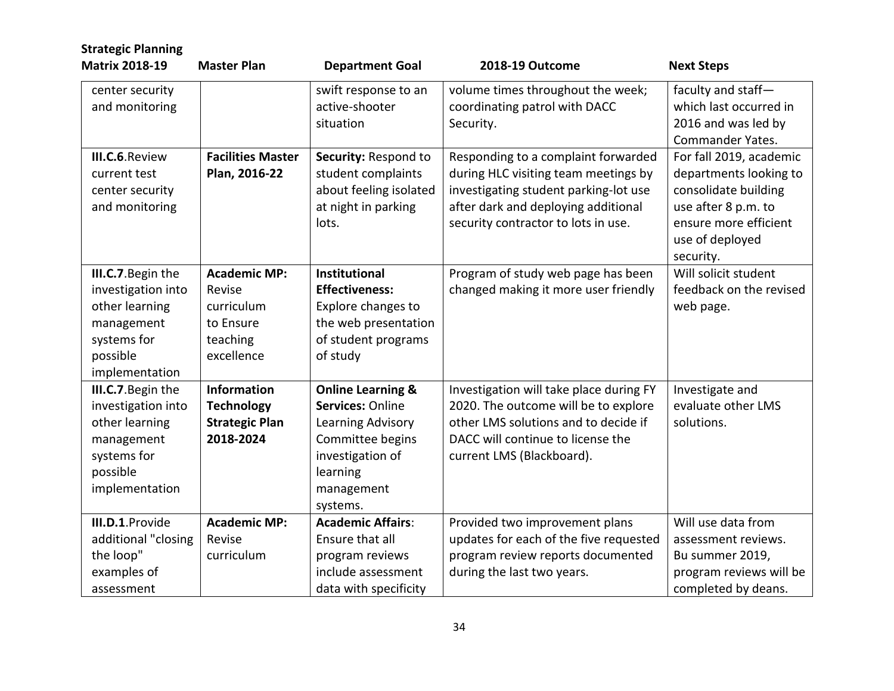| <b>Strategic Planning</b>                                                                                             |                                                                                    |                                                                                                                                                     |                                                                                                                                                                                                    |                                                                                                                                                           |
|-----------------------------------------------------------------------------------------------------------------------|------------------------------------------------------------------------------------|-----------------------------------------------------------------------------------------------------------------------------------------------------|----------------------------------------------------------------------------------------------------------------------------------------------------------------------------------------------------|-----------------------------------------------------------------------------------------------------------------------------------------------------------|
| <b>Matrix 2018-19</b>                                                                                                 | <b>Master Plan</b>                                                                 | <b>Department Goal</b>                                                                                                                              | 2018-19 Outcome                                                                                                                                                                                    | <b>Next Steps</b>                                                                                                                                         |
| center security<br>and monitoring                                                                                     |                                                                                    | swift response to an<br>active-shooter<br>situation                                                                                                 | volume times throughout the week;<br>coordinating patrol with DACC<br>Security.                                                                                                                    | faculty and staff-<br>which last occurred in<br>2016 and was led by<br>Commander Yates.                                                                   |
| III.C.6. Review<br>current test<br>center security<br>and monitoring                                                  | <b>Facilities Master</b><br>Plan, 2016-22                                          | Security: Respond to<br>student complaints<br>about feeling isolated<br>at night in parking<br>lots.                                                | Responding to a complaint forwarded<br>during HLC visiting team meetings by<br>investigating student parking-lot use<br>after dark and deploying additional<br>security contractor to lots in use. | For fall 2019, academic<br>departments looking to<br>consolidate building<br>use after 8 p.m. to<br>ensure more efficient<br>use of deployed<br>security. |
| III.C.7. Begin the<br>investigation into<br>other learning<br>management<br>systems for<br>possible<br>implementation | <b>Academic MP:</b><br>Revise<br>curriculum<br>to Ensure<br>teaching<br>excellence | Institutional<br><b>Effectiveness:</b><br>Explore changes to<br>the web presentation<br>of student programs<br>of study                             | Program of study web page has been<br>changed making it more user friendly                                                                                                                         | Will solicit student<br>feedback on the revised<br>web page.                                                                                              |
| III.C.7. Begin the<br>investigation into<br>other learning<br>management<br>systems for<br>possible<br>implementation | <b>Information</b><br><b>Technology</b><br><b>Strategic Plan</b><br>2018-2024      | <b>Online Learning &amp;</b><br>Services: Online<br>Learning Advisory<br>Committee begins<br>investigation of<br>learning<br>management<br>systems. | Investigation will take place during FY<br>2020. The outcome will be to explore<br>other LMS solutions and to decide if<br>DACC will continue to license the<br>current LMS (Blackboard).          | Investigate and<br>evaluate other LMS<br>solutions.                                                                                                       |
| <b>III.D.1.Provide</b><br>additional "closing<br>the loop"<br>examples of<br>assessment                               | <b>Academic MP:</b><br>Revise<br>curriculum                                        | <b>Academic Affairs:</b><br>Ensure that all<br>program reviews<br>include assessment<br>data with specificity                                       | Provided two improvement plans<br>updates for each of the five requested<br>program review reports documented<br>during the last two years.                                                        | Will use data from<br>assessment reviews.<br>Bu summer 2019,<br>program reviews will be<br>completed by deans.                                            |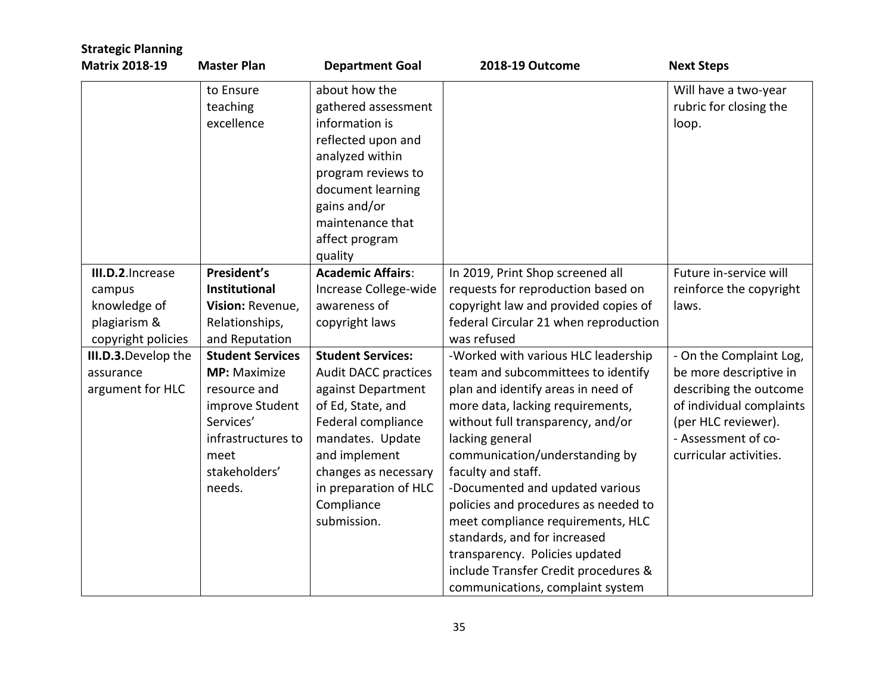| <b>Strategic Planning</b><br><b>Matrix 2018-19</b> | <b>Master Plan</b>      | <b>Department Goal</b>                | 2018-19 Outcome                       | <b>Next Steps</b>        |
|----------------------------------------------------|-------------------------|---------------------------------------|---------------------------------------|--------------------------|
|                                                    |                         | about how the                         |                                       |                          |
|                                                    | to Ensure               |                                       |                                       | Will have a two-year     |
|                                                    | teaching<br>excellence  | gathered assessment<br>information is |                                       | rubric for closing the   |
|                                                    |                         |                                       |                                       | loop.                    |
|                                                    |                         | reflected upon and                    |                                       |                          |
|                                                    |                         | analyzed within                       |                                       |                          |
|                                                    |                         | program reviews to                    |                                       |                          |
|                                                    |                         | document learning                     |                                       |                          |
|                                                    |                         | gains and/or                          |                                       |                          |
|                                                    |                         | maintenance that                      |                                       |                          |
|                                                    |                         | affect program                        |                                       |                          |
|                                                    |                         | quality                               |                                       |                          |
| III.D.2. Increase                                  | President's             | <b>Academic Affairs:</b>              | In 2019, Print Shop screened all      | Future in-service will   |
| campus                                             | <b>Institutional</b>    | Increase College-wide                 | requests for reproduction based on    | reinforce the copyright  |
| knowledge of                                       | Vision: Revenue,        | awareness of                          | copyright law and provided copies of  | laws.                    |
| plagiarism &                                       | Relationships,          | copyright laws                        | federal Circular 21 when reproduction |                          |
| copyright policies                                 | and Reputation          |                                       | was refused                           |                          |
| III.D.3. Develop the                               | <b>Student Services</b> | <b>Student Services:</b>              | -Worked with various HLC leadership   | - On the Complaint Log,  |
| assurance                                          | <b>MP:</b> Maximize     | <b>Audit DACC practices</b>           | team and subcommittees to identify    | be more descriptive in   |
| argument for HLC                                   | resource and            | against Department                    | plan and identify areas in need of    | describing the outcome   |
|                                                    | improve Student         | of Ed, State, and                     | more data, lacking requirements,      | of individual complaints |
|                                                    | Services'               | Federal compliance                    | without full transparency, and/or     | (per HLC reviewer).      |
|                                                    | infrastructures to      | mandates. Update                      | lacking general                       | - Assessment of co-      |
|                                                    | meet                    | and implement                         | communication/understanding by        | curricular activities.   |
|                                                    | stakeholders'           | changes as necessary                  | faculty and staff.                    |                          |
|                                                    | needs.                  | in preparation of HLC                 | -Documented and updated various       |                          |
|                                                    |                         | Compliance                            | policies and procedures as needed to  |                          |
|                                                    |                         | submission.                           | meet compliance requirements, HLC     |                          |
|                                                    |                         |                                       | standards, and for increased          |                          |
|                                                    |                         |                                       | transparency. Policies updated        |                          |
|                                                    |                         |                                       | include Transfer Credit procedures &  |                          |
|                                                    |                         |                                       | communications, complaint system      |                          |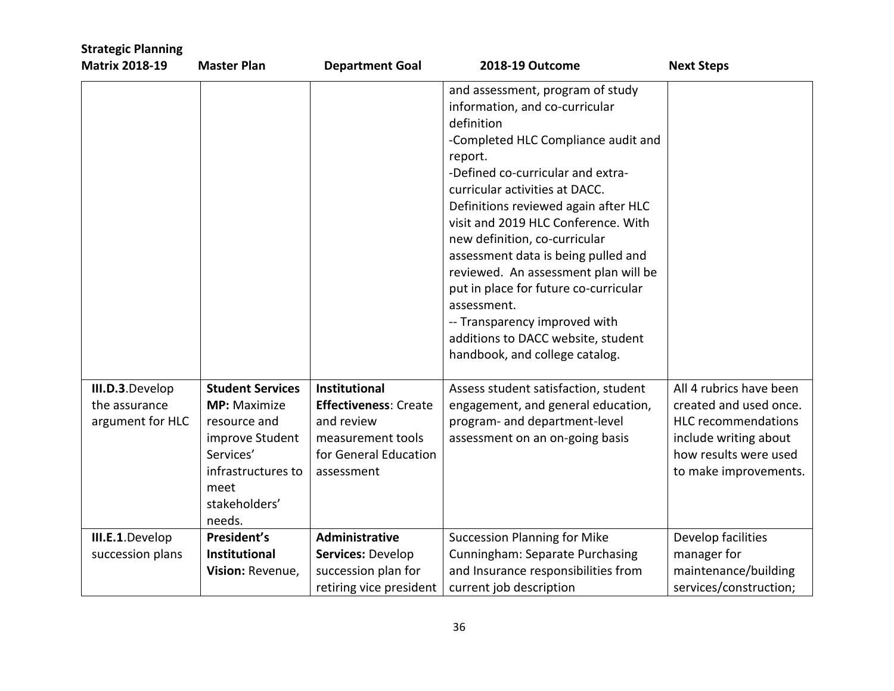| <b>Strategic Planning</b><br><b>Matrix 2018-19</b>   | <b>Master Plan</b>                                                                                                                                      | <b>Department Goal</b>                                                                                                         | 2018-19 Outcome                                                                                                                                                                                                                                                                                                                                                                                                                                                                                                                                                           | <b>Next Steps</b>                                                                                                                                          |
|------------------------------------------------------|---------------------------------------------------------------------------------------------------------------------------------------------------------|--------------------------------------------------------------------------------------------------------------------------------|---------------------------------------------------------------------------------------------------------------------------------------------------------------------------------------------------------------------------------------------------------------------------------------------------------------------------------------------------------------------------------------------------------------------------------------------------------------------------------------------------------------------------------------------------------------------------|------------------------------------------------------------------------------------------------------------------------------------------------------------|
|                                                      |                                                                                                                                                         |                                                                                                                                | and assessment, program of study<br>information, and co-curricular<br>definition<br>-Completed HLC Compliance audit and<br>report.<br>-Defined co-curricular and extra-<br>curricular activities at DACC.<br>Definitions reviewed again after HLC<br>visit and 2019 HLC Conference. With<br>new definition, co-curricular<br>assessment data is being pulled and<br>reviewed. An assessment plan will be<br>put in place for future co-curricular<br>assessment.<br>-- Transparency improved with<br>additions to DACC website, student<br>handbook, and college catalog. |                                                                                                                                                            |
| III.D.3.Develop<br>the assurance<br>argument for HLC | <b>Student Services</b><br><b>MP:</b> Maximize<br>resource and<br>improve Student<br>Services'<br>infrastructures to<br>meet<br>stakeholders'<br>needs. | <b>Institutional</b><br><b>Effectiveness: Create</b><br>and review<br>measurement tools<br>for General Education<br>assessment | Assess student satisfaction, student<br>engagement, and general education,<br>program- and department-level<br>assessment on an on-going basis                                                                                                                                                                                                                                                                                                                                                                                                                            | All 4 rubrics have been<br>created and used once.<br><b>HLC</b> recommendations<br>include writing about<br>how results were used<br>to make improvements. |
| III.E.1.Develop<br>succession plans                  | President's<br><b>Institutional</b><br>Vision: Revenue,                                                                                                 | Administrative<br>Services: Develop<br>succession plan for<br>retiring vice president                                          | <b>Succession Planning for Mike</b><br>Cunningham: Separate Purchasing<br>and Insurance responsibilities from<br>current job description                                                                                                                                                                                                                                                                                                                                                                                                                                  | Develop facilities<br>manager for<br>maintenance/building<br>services/construction;                                                                        |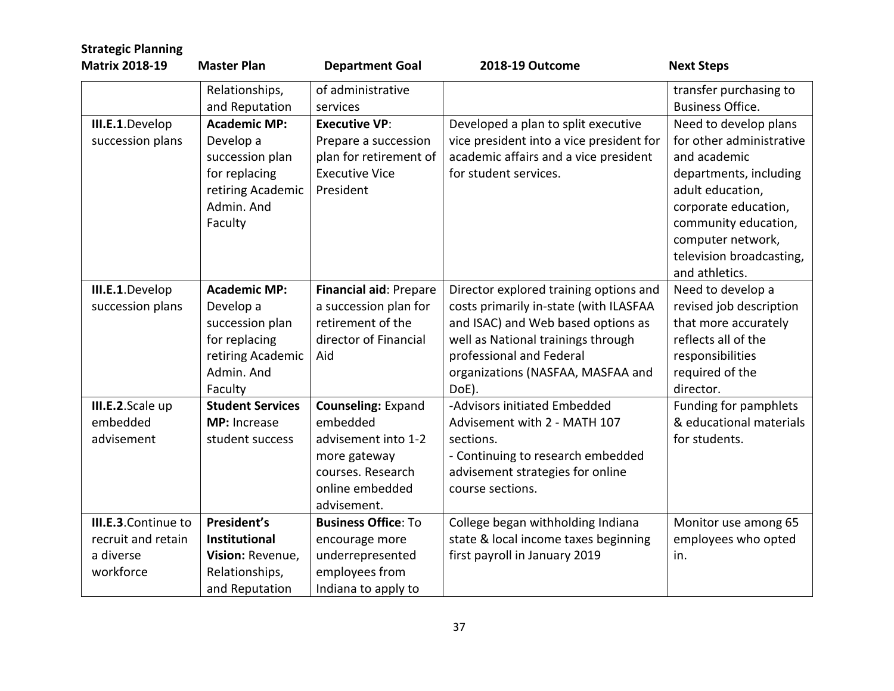| <b>Strategic Planning</b><br><b>Matrix 2018-19</b> | <b>Master Plan</b>      | <b>Department Goal</b>     | 2018-19 Outcome                          | <b>Next Steps</b>        |
|----------------------------------------------------|-------------------------|----------------------------|------------------------------------------|--------------------------|
|                                                    |                         |                            |                                          |                          |
|                                                    | Relationships,          | of administrative          |                                          | transfer purchasing to   |
|                                                    | and Reputation          | services                   |                                          | <b>Business Office.</b>  |
| III.E.1.Develop                                    | <b>Academic MP:</b>     | <b>Executive VP:</b>       | Developed a plan to split executive      | Need to develop plans    |
| succession plans                                   | Develop a               | Prepare a succession       | vice president into a vice president for | for other administrative |
|                                                    | succession plan         | plan for retirement of     | academic affairs and a vice president    | and academic             |
|                                                    | for replacing           | <b>Executive Vice</b>      | for student services.                    | departments, including   |
|                                                    | retiring Academic       | President                  |                                          | adult education,         |
|                                                    | Admin. And              |                            |                                          | corporate education,     |
|                                                    | Faculty                 |                            |                                          | community education,     |
|                                                    |                         |                            |                                          | computer network,        |
|                                                    |                         |                            |                                          | television broadcasting, |
|                                                    |                         |                            |                                          | and athletics.           |
| III.E.1.Develop                                    | <b>Academic MP:</b>     | Financial aid: Prepare     | Director explored training options and   | Need to develop a        |
| succession plans                                   | Develop a               | a succession plan for      | costs primarily in-state (with ILASFAA   | revised job description  |
|                                                    | succession plan         | retirement of the          | and ISAC) and Web based options as       | that more accurately     |
|                                                    | for replacing           | director of Financial      | well as National trainings through       | reflects all of the      |
|                                                    | retiring Academic       | Aid                        | professional and Federal                 | responsibilities         |
|                                                    | Admin. And              |                            | organizations (NASFAA, MASFAA and        | required of the          |
|                                                    | Faculty                 |                            | DoE).                                    | director.                |
| III.E.2.Scale up                                   | <b>Student Services</b> | <b>Counseling: Expand</b>  | -Advisors initiated Embedded             | Funding for pamphlets    |
| embedded                                           | MP: Increase            | embedded                   | Advisement with 2 - MATH 107             | & educational materials  |
| advisement                                         | student success         | advisement into 1-2        | sections.                                | for students.            |
|                                                    |                         | more gateway               | - Continuing to research embedded        |                          |
|                                                    |                         | courses. Research          | advisement strategies for online         |                          |
|                                                    |                         | online embedded            | course sections.                         |                          |
|                                                    |                         | advisement.                |                                          |                          |
| <b>III.E.3.Continue to</b>                         | President's             | <b>Business Office: To</b> | College began withholding Indiana        | Monitor use among 65     |
| recruit and retain                                 | <b>Institutional</b>    | encourage more             | state & local income taxes beginning     | employees who opted      |
| a diverse                                          | Vision: Revenue,        | underrepresented           | first payroll in January 2019            | in.                      |
| workforce                                          | Relationships,          | employees from             |                                          |                          |
|                                                    | and Reputation          | Indiana to apply to        |                                          |                          |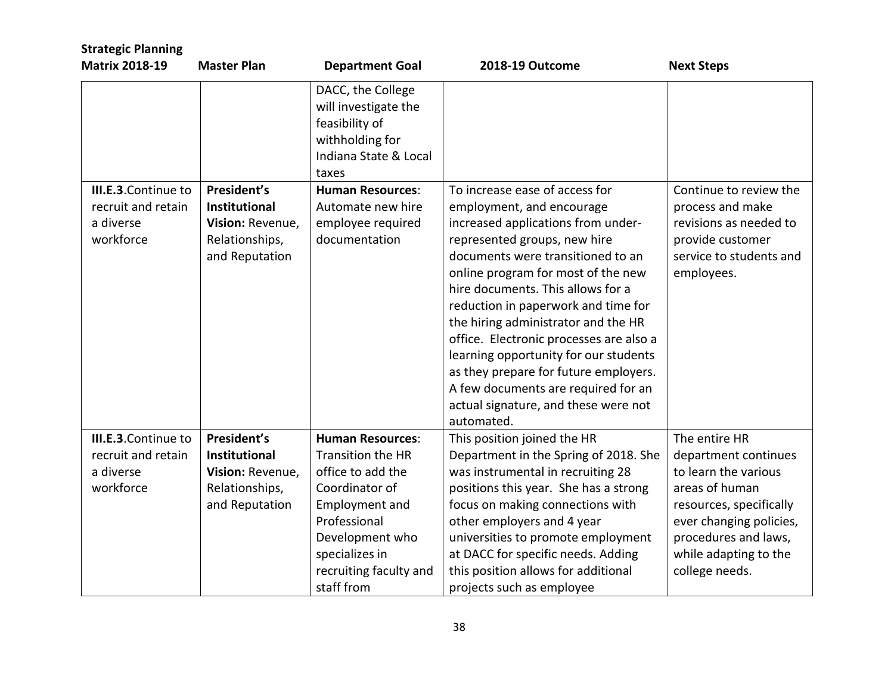| <b>Strategic Planning</b>                                                  |                                                                                             |                                                                                                                  |                                                                                                                                                                                                                                                                                                                                                                                                                                                                                                                                                           |                                                                                                                                   |
|----------------------------------------------------------------------------|---------------------------------------------------------------------------------------------|------------------------------------------------------------------------------------------------------------------|-----------------------------------------------------------------------------------------------------------------------------------------------------------------------------------------------------------------------------------------------------------------------------------------------------------------------------------------------------------------------------------------------------------------------------------------------------------------------------------------------------------------------------------------------------------|-----------------------------------------------------------------------------------------------------------------------------------|
| <b>Matrix 2018-19</b>                                                      | <b>Master Plan</b>                                                                          | <b>Department Goal</b>                                                                                           | <b>2018-19 Outcome</b>                                                                                                                                                                                                                                                                                                                                                                                                                                                                                                                                    | <b>Next Steps</b>                                                                                                                 |
|                                                                            |                                                                                             | DACC, the College<br>will investigate the<br>feasibility of<br>withholding for<br>Indiana State & Local<br>taxes |                                                                                                                                                                                                                                                                                                                                                                                                                                                                                                                                                           |                                                                                                                                   |
| <b>III.E.3.Continue to</b><br>recruit and retain<br>a diverse<br>workforce | President's<br><b>Institutional</b><br>Vision: Revenue,<br>Relationships,<br>and Reputation | <b>Human Resources:</b><br>Automate new hire<br>employee required<br>documentation                               | To increase ease of access for<br>employment, and encourage<br>increased applications from under-<br>represented groups, new hire<br>documents were transitioned to an<br>online program for most of the new<br>hire documents. This allows for a<br>reduction in paperwork and time for<br>the hiring administrator and the HR<br>office. Electronic processes are also a<br>learning opportunity for our students<br>as they prepare for future employers.<br>A few documents are required for an<br>actual signature, and these were not<br>automated. | Continue to review the<br>process and make<br>revisions as needed to<br>provide customer<br>service to students and<br>employees. |
| <b>III.E.3.Continue to</b>                                                 | President's                                                                                 | <b>Human Resources:</b>                                                                                          | This position joined the HR                                                                                                                                                                                                                                                                                                                                                                                                                                                                                                                               | The entire HR                                                                                                                     |
| recruit and retain                                                         | <b>Institutional</b>                                                                        | Transition the HR                                                                                                | Department in the Spring of 2018. She                                                                                                                                                                                                                                                                                                                                                                                                                                                                                                                     | department continues                                                                                                              |
| a diverse                                                                  | Vision: Revenue,                                                                            | office to add the                                                                                                | was instrumental in recruiting 28                                                                                                                                                                                                                                                                                                                                                                                                                                                                                                                         | to learn the various                                                                                                              |
| workforce                                                                  | Relationships,                                                                              | Coordinator of                                                                                                   | positions this year. She has a strong                                                                                                                                                                                                                                                                                                                                                                                                                                                                                                                     | areas of human                                                                                                                    |
|                                                                            | and Reputation                                                                              | Employment and<br>Professional                                                                                   | focus on making connections with                                                                                                                                                                                                                                                                                                                                                                                                                                                                                                                          | resources, specifically                                                                                                           |
|                                                                            |                                                                                             | Development who                                                                                                  | other employers and 4 year                                                                                                                                                                                                                                                                                                                                                                                                                                                                                                                                | ever changing policies,<br>procedures and laws,                                                                                   |
|                                                                            |                                                                                             | specializes in                                                                                                   | universities to promote employment<br>at DACC for specific needs. Adding                                                                                                                                                                                                                                                                                                                                                                                                                                                                                  | while adapting to the                                                                                                             |
|                                                                            |                                                                                             | recruiting faculty and                                                                                           | this position allows for additional                                                                                                                                                                                                                                                                                                                                                                                                                                                                                                                       | college needs.                                                                                                                    |
|                                                                            |                                                                                             | staff from                                                                                                       | projects such as employee                                                                                                                                                                                                                                                                                                                                                                                                                                                                                                                                 |                                                                                                                                   |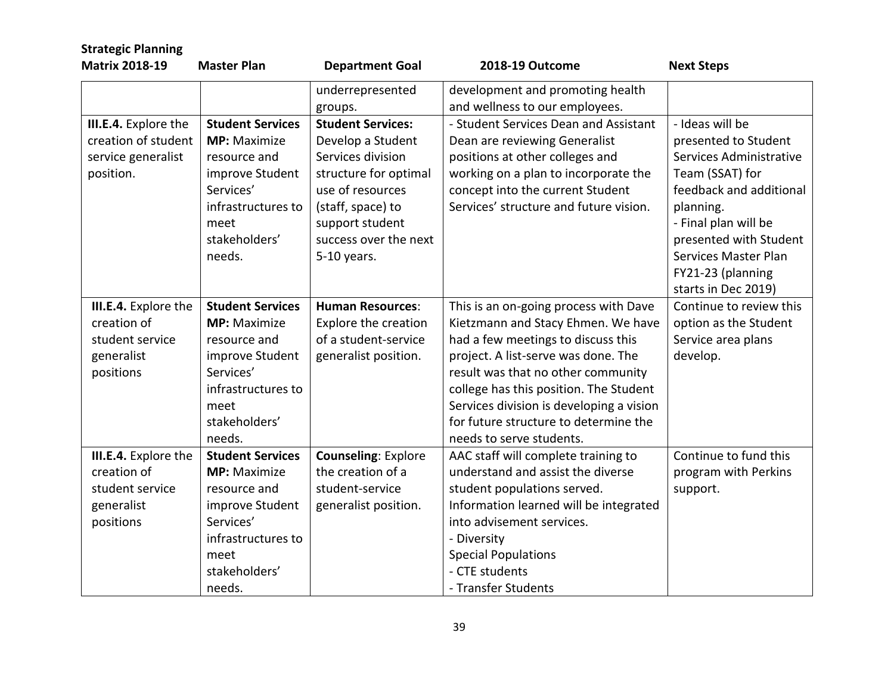| <b>Strategic Planning</b> |                         |                            |                                          |                         |
|---------------------------|-------------------------|----------------------------|------------------------------------------|-------------------------|
| <b>Matrix 2018-19</b>     | <b>Master Plan</b>      | <b>Department Goal</b>     | 2018-19 Outcome                          | <b>Next Steps</b>       |
|                           |                         | underrepresented           | development and promoting health         |                         |
|                           |                         | groups.                    | and wellness to our employees.           |                         |
| III.E.4. Explore the      | <b>Student Services</b> | <b>Student Services:</b>   | - Student Services Dean and Assistant    | - Ideas will be         |
| creation of student       | <b>MP:</b> Maximize     | Develop a Student          | Dean are reviewing Generalist            | presented to Student    |
| service generalist        | resource and            | Services division          | positions at other colleges and          | Services Administrative |
| position.                 | improve Student         | structure for optimal      | working on a plan to incorporate the     | Team (SSAT) for         |
|                           | Services'               | use of resources           | concept into the current Student         | feedback and additional |
|                           | infrastructures to      | (staff, space) to          | Services' structure and future vision.   | planning.               |
|                           | meet                    | support student            |                                          | - Final plan will be    |
|                           | stakeholders'           | success over the next      |                                          | presented with Student  |
|                           | needs.                  | 5-10 years.                |                                          | Services Master Plan    |
|                           |                         |                            |                                          | FY21-23 (planning       |
|                           |                         |                            |                                          | starts in Dec 2019)     |
| III.E.4. Explore the      | <b>Student Services</b> | <b>Human Resources:</b>    | This is an on-going process with Dave    | Continue to review this |
| creation of               | <b>MP:</b> Maximize     | Explore the creation       | Kietzmann and Stacy Ehmen. We have       | option as the Student   |
| student service           | resource and            | of a student-service       | had a few meetings to discuss this       | Service area plans      |
| generalist                | improve Student         | generalist position.       | project. A list-serve was done. The      | develop.                |
| positions                 | Services'               |                            | result was that no other community       |                         |
|                           | infrastructures to      |                            | college has this position. The Student   |                         |
|                           | meet                    |                            | Services division is developing a vision |                         |
|                           | stakeholders'           |                            | for future structure to determine the    |                         |
|                           | needs.                  |                            | needs to serve students.                 |                         |
| III.E.4. Explore the      | <b>Student Services</b> | <b>Counseling: Explore</b> | AAC staff will complete training to      | Continue to fund this   |
| creation of               | <b>MP:</b> Maximize     | the creation of a          | understand and assist the diverse        | program with Perkins    |
| student service           | resource and            | student-service            | student populations served.              | support.                |
| generalist                | improve Student         | generalist position.       | Information learned will be integrated   |                         |
| positions                 | Services'               |                            | into advisement services.                |                         |
|                           | infrastructures to      |                            | - Diversity                              |                         |
|                           | meet                    |                            | <b>Special Populations</b>               |                         |
|                           | stakeholders'           |                            | - CTE students                           |                         |
|                           | needs.                  |                            | - Transfer Students                      |                         |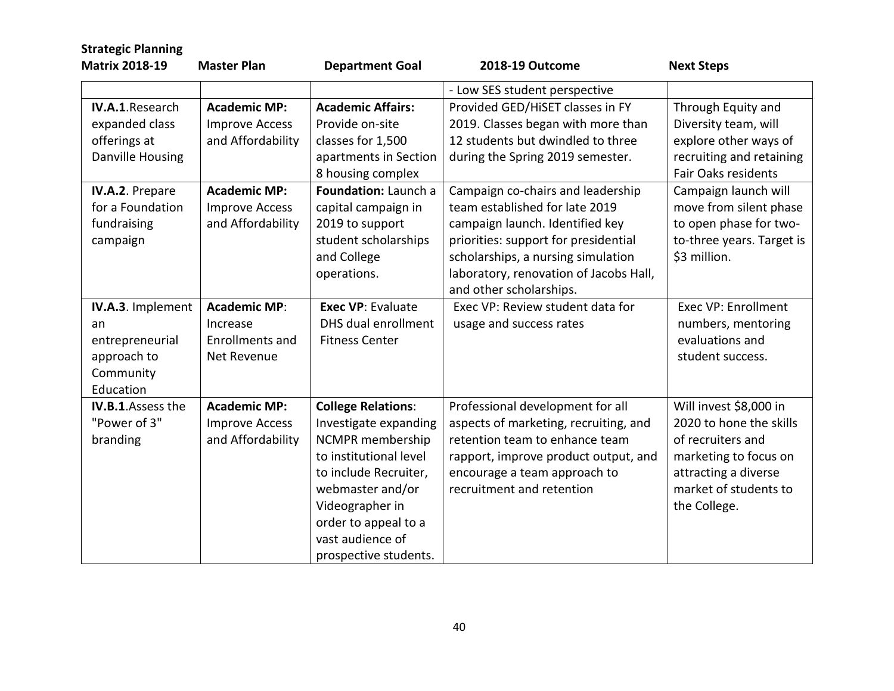| <b>Strategic Planning</b><br><b>Matrix 2018-19</b>                                  | <b>Master Plan</b>                                                | <b>Department Goal</b>                                                                                                                                                                                                                | 2018-19 Outcome                                                                                                                                                                                                                                           | <b>Next Steps</b>                                                                                                                                                |
|-------------------------------------------------------------------------------------|-------------------------------------------------------------------|---------------------------------------------------------------------------------------------------------------------------------------------------------------------------------------------------------------------------------------|-----------------------------------------------------------------------------------------------------------------------------------------------------------------------------------------------------------------------------------------------------------|------------------------------------------------------------------------------------------------------------------------------------------------------------------|
|                                                                                     |                                                                   |                                                                                                                                                                                                                                       | - Low SES student perspective                                                                                                                                                                                                                             |                                                                                                                                                                  |
| IV.A.1. Research<br>expanded class<br>offerings at<br>Danville Housing              | <b>Academic MP:</b><br><b>Improve Access</b><br>and Affordability | <b>Academic Affairs:</b><br>Provide on-site<br>classes for 1,500<br>apartments in Section<br>8 housing complex                                                                                                                        | Provided GED/HiSET classes in FY<br>2019. Classes began with more than<br>12 students but dwindled to three<br>during the Spring 2019 semester.                                                                                                           | Through Equity and<br>Diversity team, will<br>explore other ways of<br>recruiting and retaining<br>Fair Oaks residents                                           |
| IV.A.2. Prepare<br>for a Foundation<br>fundraising<br>campaign                      | <b>Academic MP:</b><br><b>Improve Access</b><br>and Affordability | Foundation: Launch a<br>capital campaign in<br>2019 to support<br>student scholarships<br>and College<br>operations.                                                                                                                  | Campaign co-chairs and leadership<br>team established for late 2019<br>campaign launch. Identified key<br>priorities: support for presidential<br>scholarships, a nursing simulation<br>laboratory, renovation of Jacobs Hall,<br>and other scholarships. | Campaign launch will<br>move from silent phase<br>to open phase for two-<br>to-three years. Target is<br>\$3 million.                                            |
| IV.A.3. Implement<br>an<br>entrepreneurial<br>approach to<br>Community<br>Education | <b>Academic MP:</b><br>Increase<br>Enrollments and<br>Net Revenue | <b>Exec VP: Evaluate</b><br>DHS dual enrollment<br><b>Fitness Center</b>                                                                                                                                                              | Exec VP: Review student data for<br>usage and success rates                                                                                                                                                                                               | <b>Exec VP: Enrollment</b><br>numbers, mentoring<br>evaluations and<br>student success.                                                                          |
| IV.B.1. Assess the<br>"Power of 3"<br>branding                                      | <b>Academic MP:</b><br><b>Improve Access</b><br>and Affordability | <b>College Relations:</b><br>Investigate expanding<br>NCMPR membership<br>to institutional level<br>to include Recruiter,<br>webmaster and/or<br>Videographer in<br>order to appeal to a<br>vast audience of<br>prospective students. | Professional development for all<br>aspects of marketing, recruiting, and<br>retention team to enhance team<br>rapport, improve product output, and<br>encourage a team approach to<br>recruitment and retention                                          | Will invest \$8,000 in<br>2020 to hone the skills<br>of recruiters and<br>marketing to focus on<br>attracting a diverse<br>market of students to<br>the College. |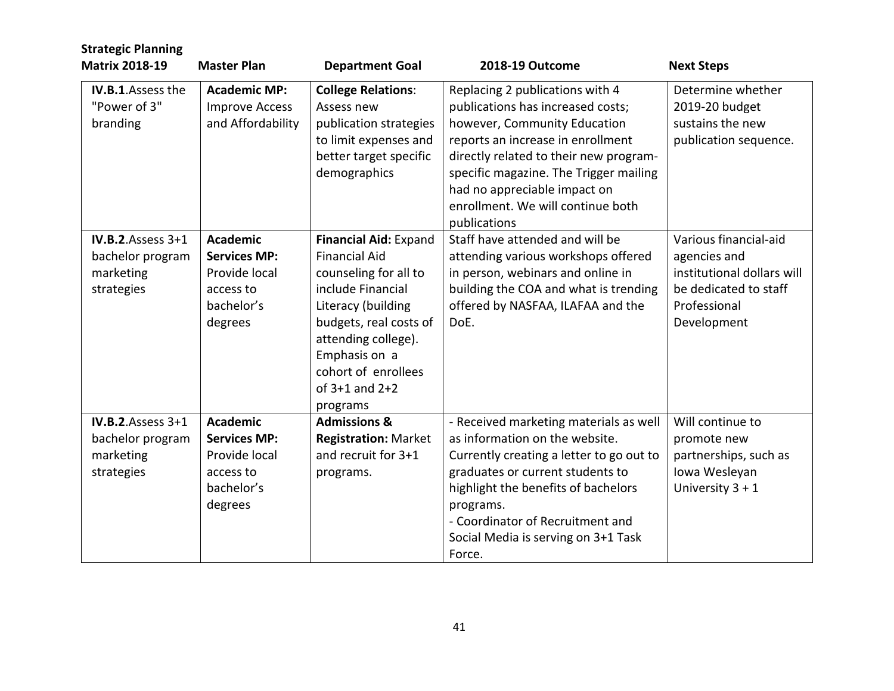| <b>Strategic Planning</b><br><b>Matrix 2018-19</b>                  | <b>Master Plan</b>                                                                            | <b>Department Goal</b>                                                                                                                                                                                                                       | 2018-19 Outcome                                                                                                                                                                                                                                                                                                    | <b>Next Steps</b>                                                                                                           |
|---------------------------------------------------------------------|-----------------------------------------------------------------------------------------------|----------------------------------------------------------------------------------------------------------------------------------------------------------------------------------------------------------------------------------------------|--------------------------------------------------------------------------------------------------------------------------------------------------------------------------------------------------------------------------------------------------------------------------------------------------------------------|-----------------------------------------------------------------------------------------------------------------------------|
| <b>IV.B.1.</b> Assess the<br>"Power of 3"<br>branding               | <b>Academic MP:</b><br><b>Improve Access</b><br>and Affordability                             | <b>College Relations:</b><br>Assess new<br>publication strategies<br>to limit expenses and<br>better target specific<br>demographics                                                                                                         | Replacing 2 publications with 4<br>publications has increased costs;<br>however, Community Education<br>reports an increase in enrollment<br>directly related to their new program-<br>specific magazine. The Trigger mailing<br>had no appreciable impact on<br>enrollment. We will continue both<br>publications | Determine whether<br>2019-20 budget<br>sustains the new<br>publication sequence.                                            |
| IV.B.2. Assess $3+1$<br>bachelor program<br>marketing<br>strategies | <b>Academic</b><br><b>Services MP:</b><br>Provide local<br>access to<br>bachelor's<br>degrees | Financial Aid: Expand<br><b>Financial Aid</b><br>counseling for all to<br>include Financial<br>Literacy (building<br>budgets, real costs of<br>attending college).<br>Emphasis on a<br>cohort of enrollees<br>of $3+1$ and $2+2$<br>programs | Staff have attended and will be<br>attending various workshops offered<br>in person, webinars and online in<br>building the COA and what is trending<br>offered by NASFAA, ILAFAA and the<br>DoE.                                                                                                                  | Various financial-aid<br>agencies and<br>institutional dollars will<br>be dedicated to staff<br>Professional<br>Development |
| IV.B.2. Assess $3+1$<br>bachelor program<br>marketing<br>strategies | <b>Academic</b><br><b>Services MP:</b><br>Provide local<br>access to<br>bachelor's<br>degrees | <b>Admissions &amp;</b><br><b>Registration: Market</b><br>and recruit for 3+1<br>programs.                                                                                                                                                   | - Received marketing materials as well<br>as information on the website.<br>Currently creating a letter to go out to<br>graduates or current students to<br>highlight the benefits of bachelors<br>programs.<br>- Coordinator of Recruitment and<br>Social Media is serving on 3+1 Task<br>Force.                  | Will continue to<br>promote new<br>partnerships, such as<br>Iowa Wesleyan<br>University $3 + 1$                             |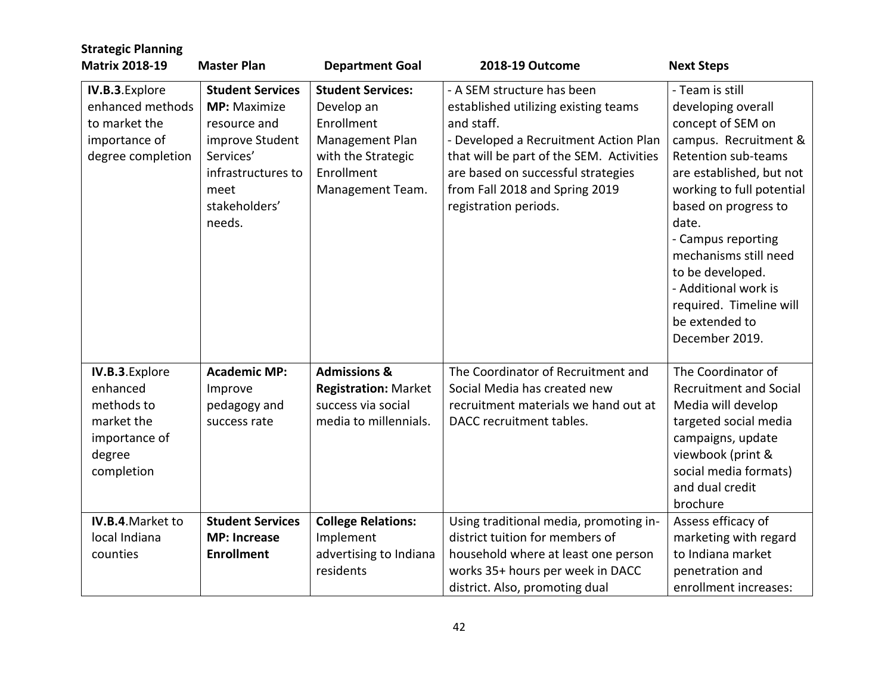| <b>Strategic Planning</b><br><b>Matrix 2018-19</b>                                               | <b>Master Plan</b>                                                                                                                                      | <b>Department Goal</b>                                                                                                          | 2018-19 Outcome                                                                                                                                                                                                                                                        | <b>Next Steps</b>                                                                                                                                                                                                                                                                                                                                                     |
|--------------------------------------------------------------------------------------------------|---------------------------------------------------------------------------------------------------------------------------------------------------------|---------------------------------------------------------------------------------------------------------------------------------|------------------------------------------------------------------------------------------------------------------------------------------------------------------------------------------------------------------------------------------------------------------------|-----------------------------------------------------------------------------------------------------------------------------------------------------------------------------------------------------------------------------------------------------------------------------------------------------------------------------------------------------------------------|
| IV.B.3. Explore<br>enhanced methods<br>to market the<br>importance of<br>degree completion       | <b>Student Services</b><br><b>MP:</b> Maximize<br>resource and<br>improve Student<br>Services'<br>infrastructures to<br>meet<br>stakeholders'<br>needs. | <b>Student Services:</b><br>Develop an<br>Enrollment<br>Management Plan<br>with the Strategic<br>Enrollment<br>Management Team. | - A SEM structure has been<br>established utilizing existing teams<br>and staff.<br>- Developed a Recruitment Action Plan<br>that will be part of the SEM. Activities<br>are based on successful strategies<br>from Fall 2018 and Spring 2019<br>registration periods. | - Team is still<br>developing overall<br>concept of SEM on<br>campus. Recruitment &<br><b>Retention sub-teams</b><br>are established, but not<br>working to full potential<br>based on progress to<br>date.<br>- Campus reporting<br>mechanisms still need<br>to be developed.<br>- Additional work is<br>required. Timeline will<br>be extended to<br>December 2019. |
| IV.B.3. Explore<br>enhanced<br>methods to<br>market the<br>importance of<br>degree<br>completion | <b>Academic MP:</b><br>Improve<br>pedagogy and<br>success rate                                                                                          | <b>Admissions &amp;</b><br><b>Registration: Market</b><br>success via social<br>media to millennials.                           | The Coordinator of Recruitment and<br>Social Media has created new<br>recruitment materials we hand out at<br>DACC recruitment tables.                                                                                                                                 | The Coordinator of<br><b>Recruitment and Social</b><br>Media will develop<br>targeted social media<br>campaigns, update<br>viewbook (print &<br>social media formats)<br>and dual credit<br>brochure                                                                                                                                                                  |
| IV.B.4. Market to<br>local Indiana<br>counties                                                   | <b>Student Services</b><br><b>MP: Increase</b><br><b>Enrollment</b>                                                                                     | <b>College Relations:</b><br>Implement<br>advertising to Indiana<br>residents                                                   | Using traditional media, promoting in-<br>district tuition for members of<br>household where at least one person<br>works 35+ hours per week in DACC<br>district. Also, promoting dual                                                                                 | Assess efficacy of<br>marketing with regard<br>to Indiana market<br>penetration and<br>enrollment increases:                                                                                                                                                                                                                                                          |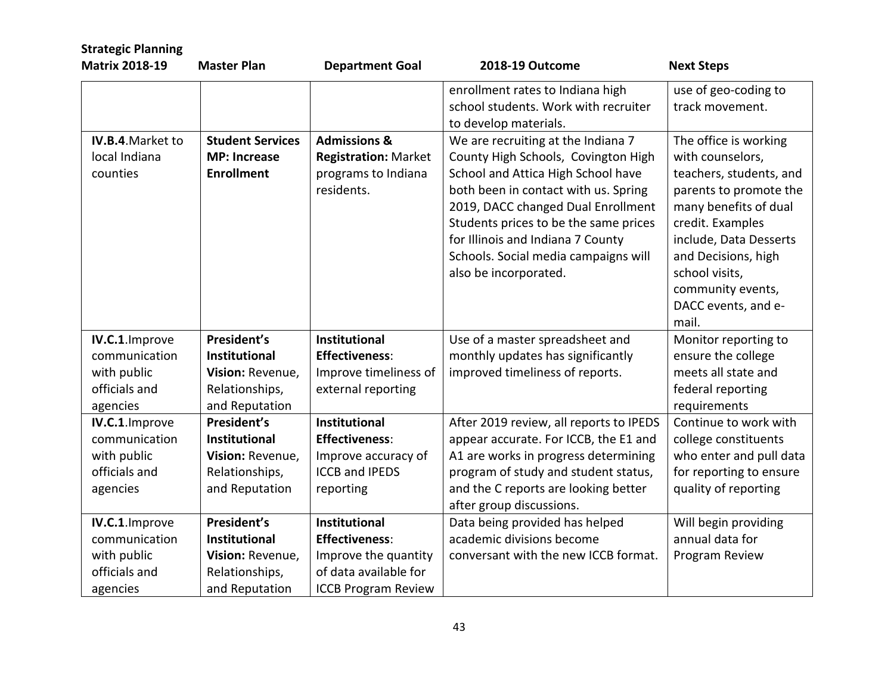| <b>Strategic Planning</b><br><b>Matrix 2018-19</b> | <b>Master Plan</b>                       |                                              | 2018-19 Outcome                                                              | <b>Next Steps</b>                                  |
|----------------------------------------------------|------------------------------------------|----------------------------------------------|------------------------------------------------------------------------------|----------------------------------------------------|
|                                                    |                                          | <b>Department Goal</b>                       |                                                                              |                                                    |
|                                                    |                                          |                                              | enrollment rates to Indiana high                                             | use of geo-coding to                               |
|                                                    |                                          |                                              | school students. Work with recruiter                                         | track movement.                                    |
|                                                    |                                          |                                              | to develop materials.                                                        |                                                    |
| IV.B.4. Market to                                  | <b>Student Services</b>                  | <b>Admissions &amp;</b>                      | We are recruiting at the Indiana 7                                           | The office is working                              |
| local Indiana<br>counties                          | <b>MP: Increase</b><br><b>Enrollment</b> | <b>Registration: Market</b>                  | County High Schools, Covington High                                          | with counselors,                                   |
|                                                    |                                          | programs to Indiana<br>residents.            | School and Attica High School have<br>both been in contact with us. Spring   | teachers, students, and<br>parents to promote the  |
|                                                    |                                          |                                              | 2019, DACC changed Dual Enrollment                                           | many benefits of dual                              |
|                                                    |                                          |                                              | Students prices to be the same prices                                        | credit. Examples                                   |
|                                                    |                                          |                                              | for Illinois and Indiana 7 County                                            | include, Data Desserts                             |
|                                                    |                                          |                                              | Schools. Social media campaigns will                                         | and Decisions, high                                |
|                                                    |                                          |                                              | also be incorporated.                                                        | school visits,                                     |
|                                                    |                                          |                                              |                                                                              | community events,                                  |
|                                                    |                                          |                                              |                                                                              | DACC events, and e-                                |
|                                                    |                                          |                                              |                                                                              | mail.                                              |
| IV.C.1. Improve                                    | President's                              | <b>Institutional</b>                         | Use of a master spreadsheet and                                              | Monitor reporting to                               |
| communication                                      | <b>Institutional</b>                     | <b>Effectiveness:</b>                        | monthly updates has significantly                                            | ensure the college                                 |
| with public                                        | Vision: Revenue,                         | Improve timeliness of                        | improved timeliness of reports.                                              | meets all state and                                |
| officials and                                      | Relationships,                           | external reporting                           |                                                                              | federal reporting                                  |
| agencies                                           | and Reputation                           |                                              |                                                                              | requirements                                       |
| IV.C.1. Improve                                    | President's                              | <b>Institutional</b>                         | After 2019 review, all reports to IPEDS                                      | Continue to work with                              |
| communication                                      | <b>Institutional</b>                     | <b>Effectiveness:</b>                        | appear accurate. For ICCB, the E1 and                                        | college constituents                               |
| with public<br>officials and                       | Vision: Revenue,                         | Improve accuracy of<br><b>ICCB and IPEDS</b> | A1 are works in progress determining<br>program of study and student status, | who enter and pull data<br>for reporting to ensure |
| agencies                                           | Relationships,<br>and Reputation         | reporting                                    | and the C reports are looking better                                         | quality of reporting                               |
|                                                    |                                          |                                              | after group discussions.                                                     |                                                    |
| IV.C.1. Improve                                    | President's                              | Institutional                                | Data being provided has helped                                               | Will begin providing                               |
| communication                                      | <b>Institutional</b>                     | <b>Effectiveness:</b>                        | academic divisions become                                                    | annual data for                                    |
| with public                                        | Vision: Revenue,                         | Improve the quantity                         | conversant with the new ICCB format.                                         | Program Review                                     |
| officials and                                      | Relationships,                           | of data available for                        |                                                                              |                                                    |
| agencies                                           | and Reputation                           | <b>ICCB Program Review</b>                   |                                                                              |                                                    |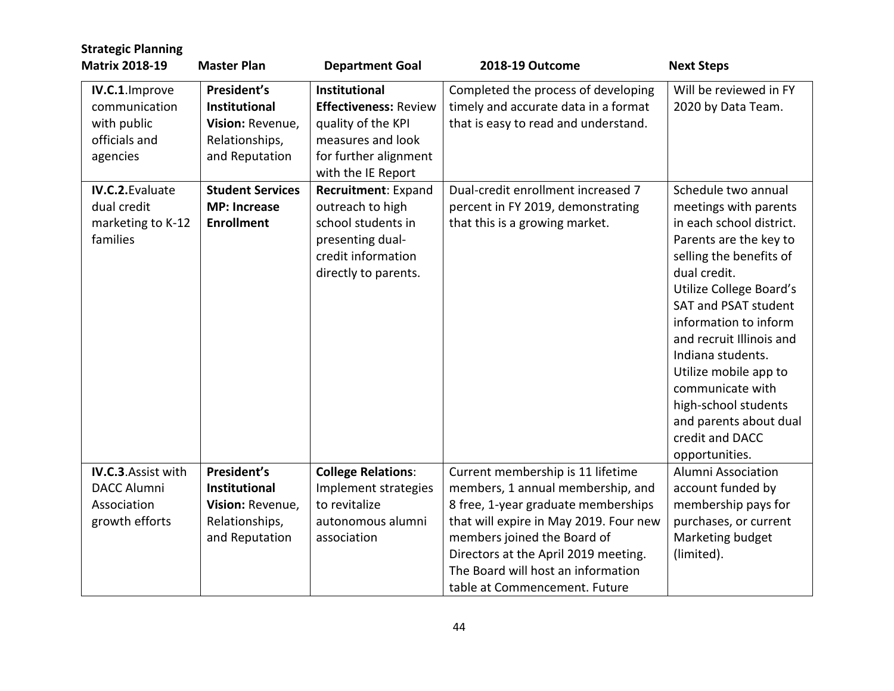| <b>Strategic Planning</b>                                                                                                                               |                                                                                                                                                                    |                                                                                                                                                                                                                                                                                   |                                                                                                                                                                                                                                                                                                       |                                                                                                                                                                                                                                                                                                                                                                                                                                                                       |
|---------------------------------------------------------------------------------------------------------------------------------------------------------|--------------------------------------------------------------------------------------------------------------------------------------------------------------------|-----------------------------------------------------------------------------------------------------------------------------------------------------------------------------------------------------------------------------------------------------------------------------------|-------------------------------------------------------------------------------------------------------------------------------------------------------------------------------------------------------------------------------------------------------------------------------------------------------|-----------------------------------------------------------------------------------------------------------------------------------------------------------------------------------------------------------------------------------------------------------------------------------------------------------------------------------------------------------------------------------------------------------------------------------------------------------------------|
| <b>Matrix 2018-19</b>                                                                                                                                   | <b>Master Plan</b>                                                                                                                                                 | <b>Department Goal</b>                                                                                                                                                                                                                                                            | 2018-19 Outcome                                                                                                                                                                                                                                                                                       | <b>Next Steps</b>                                                                                                                                                                                                                                                                                                                                                                                                                                                     |
| IV.C.1. Improve<br>communication<br>with public<br>officials and<br>agencies<br><b>IV.C.2.</b> Evaluate<br>dual credit<br>marketing to K-12<br>families | President's<br><b>Institutional</b><br>Vision: Revenue,<br>Relationships,<br>and Reputation<br><b>Student Services</b><br><b>MP: Increase</b><br><b>Enrollment</b> | <b>Institutional</b><br><b>Effectiveness: Review</b><br>quality of the KPI<br>measures and look<br>for further alignment<br>with the IE Report<br>Recruitment: Expand<br>outreach to high<br>school students in<br>presenting dual-<br>credit information<br>directly to parents. | Completed the process of developing<br>timely and accurate data in a format<br>that is easy to read and understand.<br>Dual-credit enrollment increased 7<br>percent in FY 2019, demonstrating<br>that this is a growing market.                                                                      | Will be reviewed in FY<br>2020 by Data Team.<br>Schedule two annual<br>meetings with parents<br>in each school district.<br>Parents are the key to<br>selling the benefits of<br>dual credit.<br>Utilize College Board's<br><b>SAT and PSAT student</b><br>information to inform<br>and recruit Illinois and<br>Indiana students.<br>Utilize mobile app to<br>communicate with<br>high-school students<br>and parents about dual<br>credit and DACC<br>opportunities. |
| <b>IV.C.3.</b> Assist with<br><b>DACC Alumni</b><br>Association<br>growth efforts                                                                       | President's<br><b>Institutional</b><br>Vision: Revenue,<br>Relationships,<br>and Reputation                                                                        | <b>College Relations:</b><br>Implement strategies<br>to revitalize<br>autonomous alumni<br>association                                                                                                                                                                            | Current membership is 11 lifetime<br>members, 1 annual membership, and<br>8 free, 1-year graduate memberships<br>that will expire in May 2019. Four new<br>members joined the Board of<br>Directors at the April 2019 meeting.<br>The Board will host an information<br>table at Commencement. Future | Alumni Association<br>account funded by<br>membership pays for<br>purchases, or current<br>Marketing budget<br>(limited).                                                                                                                                                                                                                                                                                                                                             |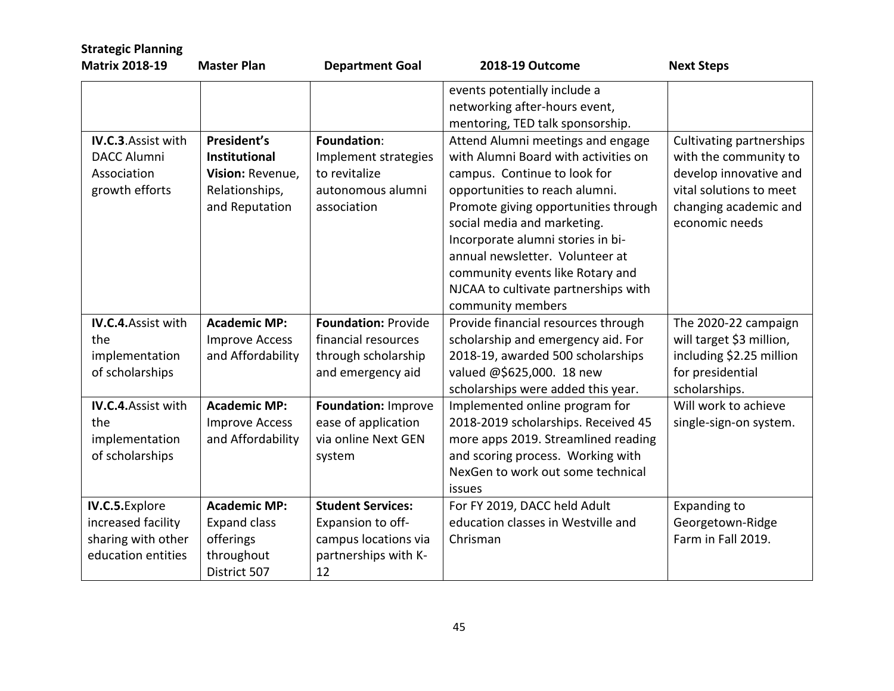| <b>Strategic Planning</b>                                                         |                                                                                             |                                                                                                     |                                                                                                                                                                                                                                                                                                                                                                                             |                                                                                                                                                   |
|-----------------------------------------------------------------------------------|---------------------------------------------------------------------------------------------|-----------------------------------------------------------------------------------------------------|---------------------------------------------------------------------------------------------------------------------------------------------------------------------------------------------------------------------------------------------------------------------------------------------------------------------------------------------------------------------------------------------|---------------------------------------------------------------------------------------------------------------------------------------------------|
| <b>Matrix 2018-19</b>                                                             | <b>Master Plan</b>                                                                          | <b>Department Goal</b>                                                                              | 2018-19 Outcome                                                                                                                                                                                                                                                                                                                                                                             | <b>Next Steps</b>                                                                                                                                 |
|                                                                                   |                                                                                             |                                                                                                     | events potentially include a<br>networking after-hours event,<br>mentoring, TED talk sponsorship.                                                                                                                                                                                                                                                                                           |                                                                                                                                                   |
| <b>IV.C.3.</b> Assist with<br><b>DACC Alumni</b><br>Association<br>growth efforts | President's<br><b>Institutional</b><br>Vision: Revenue,<br>Relationships,<br>and Reputation | <b>Foundation:</b><br>Implement strategies<br>to revitalize<br>autonomous alumni<br>association     | Attend Alumni meetings and engage<br>with Alumni Board with activities on<br>campus. Continue to look for<br>opportunities to reach alumni.<br>Promote giving opportunities through<br>social media and marketing.<br>Incorporate alumni stories in bi-<br>annual newsletter. Volunteer at<br>community events like Rotary and<br>NJCAA to cultivate partnerships with<br>community members | Cultivating partnerships<br>with the community to<br>develop innovative and<br>vital solutions to meet<br>changing academic and<br>economic needs |
| <b>IV.C.4.</b> Assist with<br>the<br>implementation<br>of scholarships            | <b>Academic MP:</b><br><b>Improve Access</b><br>and Affordability                           | <b>Foundation: Provide</b><br>financial resources<br>through scholarship<br>and emergency aid       | Provide financial resources through<br>scholarship and emergency aid. For<br>2018-19, awarded 500 scholarships<br>valued @\$625,000. 18 new<br>scholarships were added this year.                                                                                                                                                                                                           | The 2020-22 campaign<br>will target \$3 million,<br>including \$2.25 million<br>for presidential<br>scholarships.                                 |
| <b>IV.C.4.</b> Assist with<br>the<br>implementation<br>of scholarships            | <b>Academic MP:</b><br><b>Improve Access</b><br>and Affordability                           | Foundation: Improve<br>ease of application<br>via online Next GEN<br>system                         | Implemented online program for<br>2018-2019 scholarships. Received 45<br>more apps 2019. Streamlined reading<br>and scoring process. Working with<br>NexGen to work out some technical<br>issues                                                                                                                                                                                            | Will work to achieve<br>single-sign-on system.                                                                                                    |
| IV.C.5. Explore<br>increased facility<br>sharing with other<br>education entities | <b>Academic MP:</b><br><b>Expand class</b><br>offerings<br>throughout<br>District 507       | <b>Student Services:</b><br>Expansion to off-<br>campus locations via<br>partnerships with K-<br>12 | For FY 2019, DACC held Adult<br>education classes in Westville and<br>Chrisman                                                                                                                                                                                                                                                                                                              | <b>Expanding to</b><br>Georgetown-Ridge<br>Farm in Fall 2019.                                                                                     |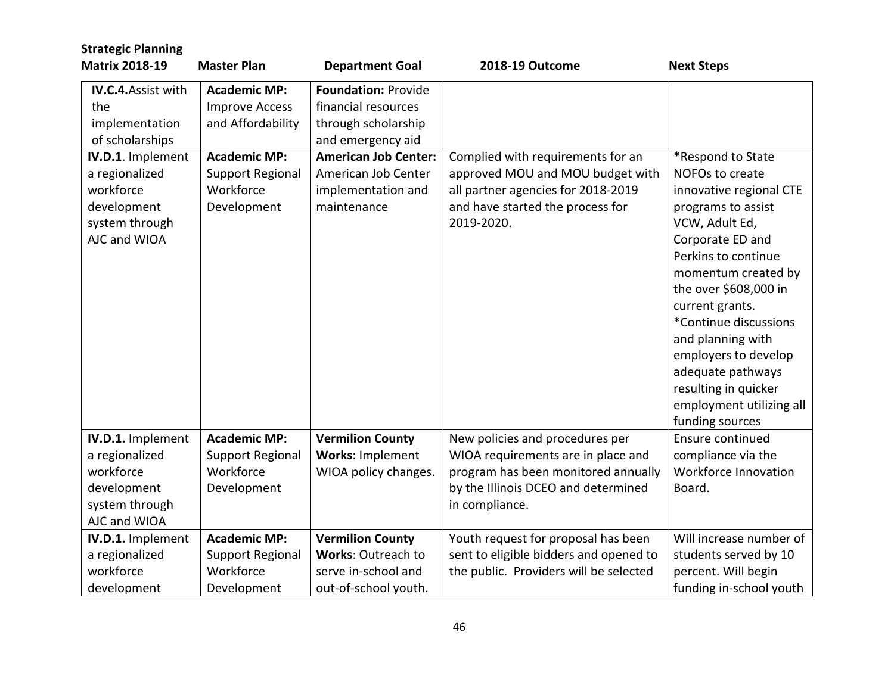| <b>Strategic Planning</b>                                                                         |                                                                            |                                                                                               |                                                                                                                                                                       |                                                                                                                                                                                                                                                                                                                                                                                         |
|---------------------------------------------------------------------------------------------------|----------------------------------------------------------------------------|-----------------------------------------------------------------------------------------------|-----------------------------------------------------------------------------------------------------------------------------------------------------------------------|-----------------------------------------------------------------------------------------------------------------------------------------------------------------------------------------------------------------------------------------------------------------------------------------------------------------------------------------------------------------------------------------|
| <b>Matrix 2018-19</b>                                                                             | <b>Master Plan</b>                                                         | <b>Department Goal</b>                                                                        | 2018-19 Outcome                                                                                                                                                       | <b>Next Steps</b>                                                                                                                                                                                                                                                                                                                                                                       |
| <b>IV.C.4.</b> Assist with<br>the<br>implementation<br>of scholarships                            | <b>Academic MP:</b><br><b>Improve Access</b><br>and Affordability          | <b>Foundation: Provide</b><br>financial resources<br>through scholarship<br>and emergency aid |                                                                                                                                                                       |                                                                                                                                                                                                                                                                                                                                                                                         |
| IV.D.1. Implement<br>a regionalized<br>workforce<br>development<br>system through<br>AJC and WIOA | <b>Academic MP:</b><br><b>Support Regional</b><br>Workforce<br>Development | <b>American Job Center:</b><br>American Job Center<br>implementation and<br>maintenance       | Complied with requirements for an<br>approved MOU and MOU budget with<br>all partner agencies for 2018-2019<br>and have started the process for<br>2019-2020.         | *Respond to State<br>NOFOs to create<br>innovative regional CTE<br>programs to assist<br>VCW, Adult Ed,<br>Corporate ED and<br>Perkins to continue<br>momentum created by<br>the over \$608,000 in<br>current grants.<br>*Continue discussions<br>and planning with<br>employers to develop<br>adequate pathways<br>resulting in quicker<br>employment utilizing all<br>funding sources |
| IV.D.1. Implement<br>a regionalized<br>workforce<br>development<br>system through<br>AJC and WIOA | <b>Academic MP:</b><br>Support Regional<br>Workforce<br>Development        | <b>Vermilion County</b><br>Works: Implement<br>WIOA policy changes.                           | New policies and procedures per<br>WIOA requirements are in place and<br>program has been monitored annually<br>by the Illinois DCEO and determined<br>in compliance. | Ensure continued<br>compliance via the<br>Workforce Innovation<br>Board.                                                                                                                                                                                                                                                                                                                |
| IV.D.1. Implement<br>a regionalized<br>workforce<br>development                                   | <b>Academic MP:</b><br>Support Regional<br>Workforce<br>Development        | <b>Vermilion County</b><br>Works: Outreach to<br>serve in-school and<br>out-of-school youth.  | Youth request for proposal has been<br>sent to eligible bidders and opened to<br>the public. Providers will be selected                                               | Will increase number of<br>students served by 10<br>percent. Will begin<br>funding in-school youth                                                                                                                                                                                                                                                                                      |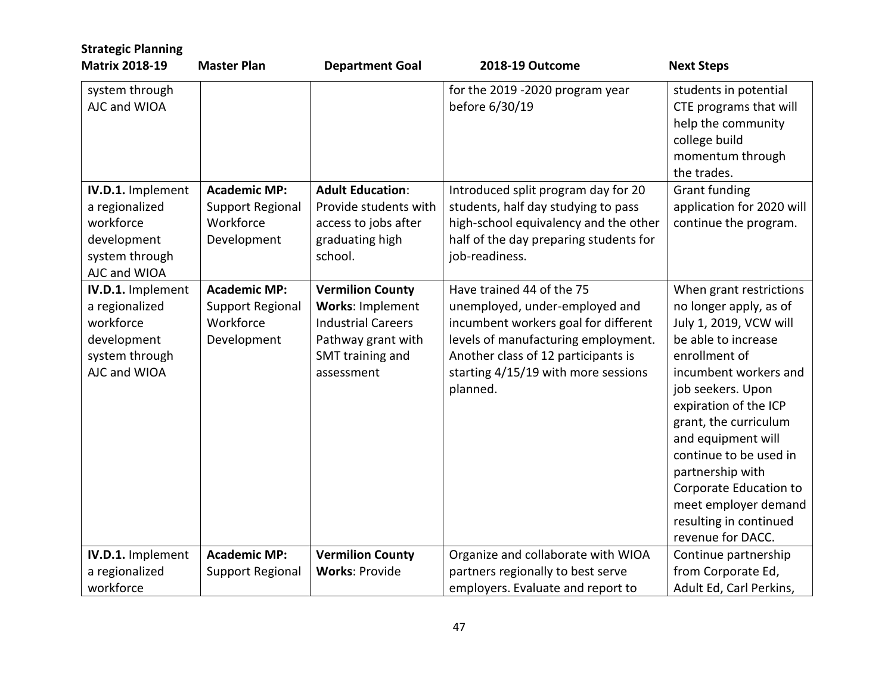| <b>Strategic Planning</b><br><b>Matrix 2018-19</b>                                                | <b>Master Plan</b>                                                         | <b>Department Goal</b>                                                                                                           | 2018-19 Outcome                                                                                                                                                                                                                      | <b>Next Steps</b>                                                                                                                                                                                                                                                                                                                                                                        |
|---------------------------------------------------------------------------------------------------|----------------------------------------------------------------------------|----------------------------------------------------------------------------------------------------------------------------------|--------------------------------------------------------------------------------------------------------------------------------------------------------------------------------------------------------------------------------------|------------------------------------------------------------------------------------------------------------------------------------------------------------------------------------------------------------------------------------------------------------------------------------------------------------------------------------------------------------------------------------------|
|                                                                                                   |                                                                            |                                                                                                                                  |                                                                                                                                                                                                                                      |                                                                                                                                                                                                                                                                                                                                                                                          |
| system through<br>AJC and WIOA                                                                    |                                                                            |                                                                                                                                  | for the 2019 -2020 program year<br>before 6/30/19                                                                                                                                                                                    | students in potential<br>CTE programs that will<br>help the community<br>college build<br>momentum through<br>the trades.                                                                                                                                                                                                                                                                |
| IV.D.1. Implement<br>a regionalized<br>workforce<br>development<br>system through<br>AJC and WIOA | <b>Academic MP:</b><br><b>Support Regional</b><br>Workforce<br>Development | <b>Adult Education:</b><br>Provide students with<br>access to jobs after<br>graduating high<br>school.                           | Introduced split program day for 20<br>students, half day studying to pass<br>high-school equivalency and the other<br>half of the day preparing students for<br>job-readiness.                                                      | <b>Grant funding</b><br>application for 2020 will<br>continue the program.                                                                                                                                                                                                                                                                                                               |
| IV.D.1. Implement<br>a regionalized<br>workforce<br>development<br>system through<br>AJC and WIOA | <b>Academic MP:</b><br>Support Regional<br>Workforce<br>Development        | <b>Vermilion County</b><br>Works: Implement<br><b>Industrial Careers</b><br>Pathway grant with<br>SMT training and<br>assessment | Have trained 44 of the 75<br>unemployed, under-employed and<br>incumbent workers goal for different<br>levels of manufacturing employment.<br>Another class of 12 participants is<br>starting 4/15/19 with more sessions<br>planned. | When grant restrictions<br>no longer apply, as of<br>July 1, 2019, VCW will<br>be able to increase<br>enrollment of<br>incumbent workers and<br>job seekers. Upon<br>expiration of the ICP<br>grant, the curriculum<br>and equipment will<br>continue to be used in<br>partnership with<br>Corporate Education to<br>meet employer demand<br>resulting in continued<br>revenue for DACC. |
| IV.D.1. Implement                                                                                 | <b>Academic MP:</b>                                                        | <b>Vermilion County</b>                                                                                                          | Organize and collaborate with WIOA                                                                                                                                                                                                   | Continue partnership                                                                                                                                                                                                                                                                                                                                                                     |
| a regionalized                                                                                    | Support Regional                                                           | <b>Works: Provide</b>                                                                                                            | partners regionally to best serve                                                                                                                                                                                                    | from Corporate Ed,                                                                                                                                                                                                                                                                                                                                                                       |
| workforce                                                                                         |                                                                            |                                                                                                                                  | employers. Evaluate and report to                                                                                                                                                                                                    | Adult Ed, Carl Perkins,                                                                                                                                                                                                                                                                                                                                                                  |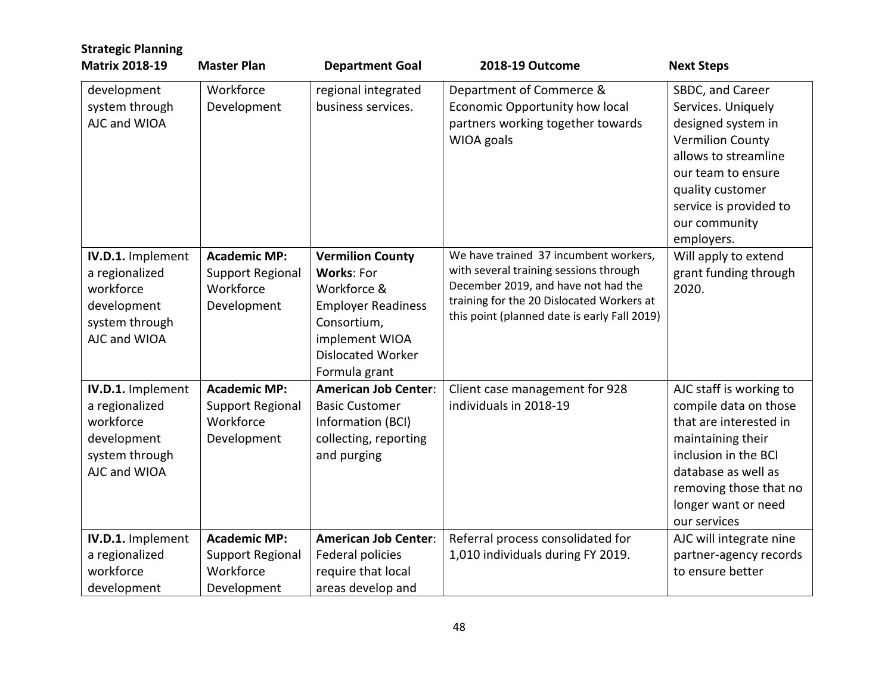| <b>Strategic Planning</b><br><b>Matrix 2018-19</b>                                                | <b>Master Plan</b>                                                  |                                                                                                                                                                        |                                                                                                                                                                                                                     |                                                                                                                                                                                                                    |
|---------------------------------------------------------------------------------------------------|---------------------------------------------------------------------|------------------------------------------------------------------------------------------------------------------------------------------------------------------------|---------------------------------------------------------------------------------------------------------------------------------------------------------------------------------------------------------------------|--------------------------------------------------------------------------------------------------------------------------------------------------------------------------------------------------------------------|
|                                                                                                   |                                                                     | <b>Department Goal</b>                                                                                                                                                 | 2018-19 Outcome                                                                                                                                                                                                     | <b>Next Steps</b>                                                                                                                                                                                                  |
| development<br>system through<br>AJC and WIOA                                                     | Workforce<br>Development                                            | regional integrated<br>business services.                                                                                                                              | Department of Commerce &<br>Economic Opportunity how local<br>partners working together towards<br>WIOA goals                                                                                                       | SBDC, and Career<br>Services. Uniquely<br>designed system in<br><b>Vermilion County</b><br>allows to streamline<br>our team to ensure<br>quality customer<br>service is provided to<br>our community<br>employers. |
| IV.D.1. Implement<br>a regionalized<br>workforce<br>development<br>system through<br>AJC and WIOA | <b>Academic MP:</b><br>Support Regional<br>Workforce<br>Development | <b>Vermilion County</b><br><b>Works: For</b><br>Workforce &<br><b>Employer Readiness</b><br>Consortium,<br>implement WIOA<br><b>Dislocated Worker</b><br>Formula grant | We have trained 37 incumbent workers,<br>with several training sessions through<br>December 2019, and have not had the<br>training for the 20 Dislocated Workers at<br>this point (planned date is early Fall 2019) | Will apply to extend<br>grant funding through<br>2020.                                                                                                                                                             |
| IV.D.1. Implement<br>a regionalized<br>workforce<br>development<br>system through<br>AJC and WIOA | <b>Academic MP:</b><br>Support Regional<br>Workforce<br>Development | <b>American Job Center:</b><br><b>Basic Customer</b><br>Information (BCI)<br>collecting, reporting<br>and purging                                                      | Client case management for 928<br>individuals in 2018-19                                                                                                                                                            | AJC staff is working to<br>compile data on those<br>that are interested in<br>maintaining their<br>inclusion in the BCI<br>database as well as<br>removing those that no<br>longer want or need<br>our services    |
| IV.D.1. Implement<br>a regionalized<br>workforce<br>development                                   | <b>Academic MP:</b><br>Support Regional<br>Workforce<br>Development | <b>American Job Center:</b><br>Federal policies<br>require that local<br>areas develop and                                                                             | Referral process consolidated for<br>1,010 individuals during FY 2019.                                                                                                                                              | AJC will integrate nine<br>partner-agency records<br>to ensure better                                                                                                                                              |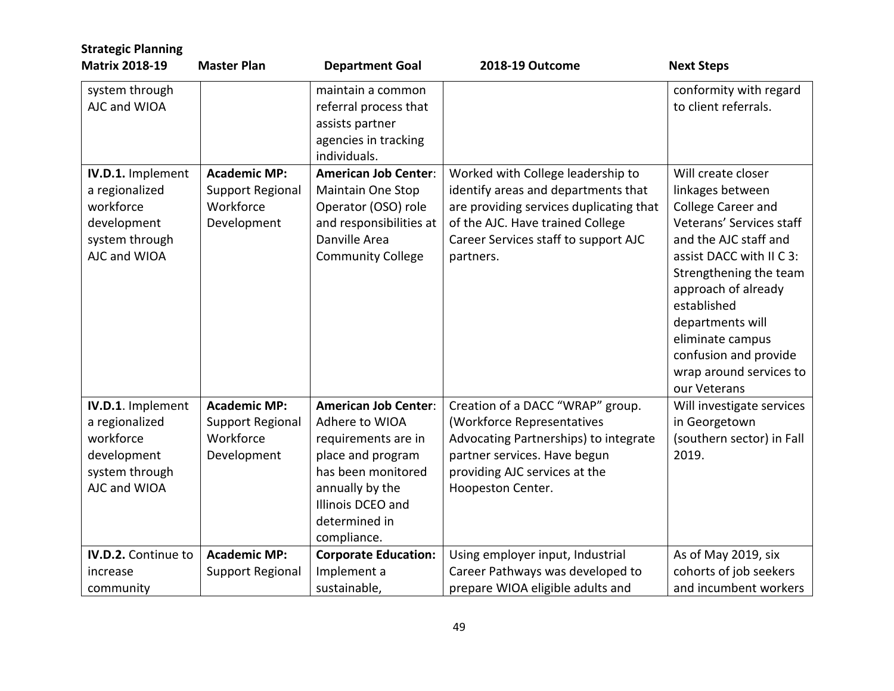| <b>Strategic Planning</b>                                                                         |                                                                     |                                                                                                                                                                                         |                                                                                                                                                                                                              |                                                                                                                                                                                                                                                                                                                           |
|---------------------------------------------------------------------------------------------------|---------------------------------------------------------------------|-----------------------------------------------------------------------------------------------------------------------------------------------------------------------------------------|--------------------------------------------------------------------------------------------------------------------------------------------------------------------------------------------------------------|---------------------------------------------------------------------------------------------------------------------------------------------------------------------------------------------------------------------------------------------------------------------------------------------------------------------------|
| <b>Matrix 2018-19</b>                                                                             | <b>Master Plan</b>                                                  | <b>Department Goal</b>                                                                                                                                                                  | 2018-19 Outcome                                                                                                                                                                                              | <b>Next Steps</b>                                                                                                                                                                                                                                                                                                         |
| system through<br>AJC and WIOA                                                                    |                                                                     | maintain a common<br>referral process that<br>assists partner<br>agencies in tracking<br>individuals.                                                                                   |                                                                                                                                                                                                              | conformity with regard<br>to client referrals.                                                                                                                                                                                                                                                                            |
| IV.D.1. Implement<br>a regionalized<br>workforce<br>development<br>system through<br>AJC and WIOA | <b>Academic MP:</b><br>Support Regional<br>Workforce<br>Development | <b>American Job Center:</b><br>Maintain One Stop<br>Operator (OSO) role<br>and responsibilities at<br>Danville Area<br><b>Community College</b>                                         | Worked with College leadership to<br>identify areas and departments that<br>are providing services duplicating that<br>of the AJC. Have trained College<br>Career Services staff to support AJC<br>partners. | Will create closer<br>linkages between<br>College Career and<br>Veterans' Services staff<br>and the AJC staff and<br>assist DACC with II C 3:<br>Strengthening the team<br>approach of already<br>established<br>departments will<br>eliminate campus<br>confusion and provide<br>wrap around services to<br>our Veterans |
| IV.D.1. Implement<br>a regionalized<br>workforce<br>development<br>system through<br>AJC and WIOA | <b>Academic MP:</b><br>Support Regional<br>Workforce<br>Development | <b>American Job Center:</b><br>Adhere to WIOA<br>requirements are in<br>place and program<br>has been monitored<br>annually by the<br>Illinois DCEO and<br>determined in<br>compliance. | Creation of a DACC "WRAP" group.<br>(Workforce Representatives<br>Advocating Partnerships) to integrate<br>partner services. Have begun<br>providing AJC services at the<br>Hoopeston Center.                | Will investigate services<br>in Georgetown<br>(southern sector) in Fall<br>2019.                                                                                                                                                                                                                                          |
| IV.D.2. Continue to<br>increase<br>community                                                      | <b>Academic MP:</b><br>Support Regional                             | <b>Corporate Education:</b><br>Implement a<br>sustainable,                                                                                                                              | Using employer input, Industrial<br>Career Pathways was developed to<br>prepare WIOA eligible adults and                                                                                                     | As of May 2019, six<br>cohorts of job seekers<br>and incumbent workers                                                                                                                                                                                                                                                    |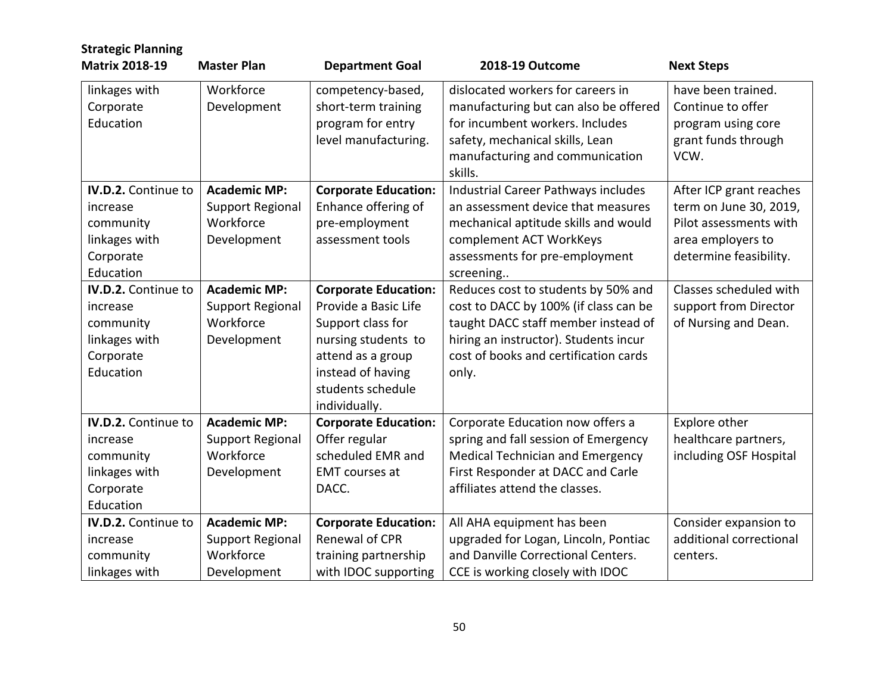| <b>Strategic Planning</b>  |                         |                             |                                       |                         |
|----------------------------|-------------------------|-----------------------------|---------------------------------------|-------------------------|
| <b>Matrix 2018-19</b>      | <b>Master Plan</b>      | <b>Department Goal</b>      | 2018-19 Outcome                       | <b>Next Steps</b>       |
| linkages with              | Workforce               | competency-based,           | dislocated workers for careers in     | have been trained.      |
| Corporate                  | Development             | short-term training         | manufacturing but can also be offered | Continue to offer       |
| Education                  |                         | program for entry           | for incumbent workers. Includes       | program using core      |
|                            |                         | level manufacturing.        | safety, mechanical skills, Lean       | grant funds through     |
|                            |                         |                             | manufacturing and communication       | VCW.                    |
|                            |                         |                             | skills.                               |                         |
| <b>IV.D.2.</b> Continue to | <b>Academic MP:</b>     | <b>Corporate Education:</b> | Industrial Career Pathways includes   | After ICP grant reaches |
| increase                   | Support Regional        | Enhance offering of         | an assessment device that measures    | term on June 30, 2019,  |
| community                  | Workforce               | pre-employment              | mechanical aptitude skills and would  | Pilot assessments with  |
| linkages with              | Development             | assessment tools            | complement ACT WorkKeys               | area employers to       |
| Corporate                  |                         |                             | assessments for pre-employment        | determine feasibility.  |
| Education                  |                         |                             | screening                             |                         |
| IV.D.2. Continue to        | <b>Academic MP:</b>     | <b>Corporate Education:</b> | Reduces cost to students by 50% and   | Classes scheduled with  |
| increase                   | <b>Support Regional</b> | Provide a Basic Life        | cost to DACC by 100% (if class can be | support from Director   |
| community                  | Workforce               | Support class for           | taught DACC staff member instead of   | of Nursing and Dean.    |
| linkages with              | Development             | nursing students to         | hiring an instructor). Students incur |                         |
| Corporate                  |                         | attend as a group           | cost of books and certification cards |                         |
| Education                  |                         | instead of having           | only.                                 |                         |
|                            |                         | students schedule           |                                       |                         |
|                            |                         | individually.               |                                       |                         |
| <b>IV.D.2.</b> Continue to | <b>Academic MP:</b>     | <b>Corporate Education:</b> | Corporate Education now offers a      | Explore other           |
| increase                   | <b>Support Regional</b> | Offer regular               | spring and fall session of Emergency  | healthcare partners,    |
| community                  | Workforce               | scheduled EMR and           | Medical Technician and Emergency      | including OSF Hospital  |
| linkages with              | Development             | EMT courses at              | First Responder at DACC and Carle     |                         |
| Corporate                  |                         | DACC.                       | affiliates attend the classes.        |                         |
| Education                  |                         |                             |                                       |                         |
| IV.D.2. Continue to        | <b>Academic MP:</b>     | <b>Corporate Education:</b> | All AHA equipment has been            | Consider expansion to   |
| increase                   | Support Regional        | Renewal of CPR              | upgraded for Logan, Lincoln, Pontiac  | additional correctional |
| community                  | Workforce               | training partnership        | and Danville Correctional Centers.    | centers.                |
| linkages with              | Development             | with IDOC supporting        | CCE is working closely with IDOC      |                         |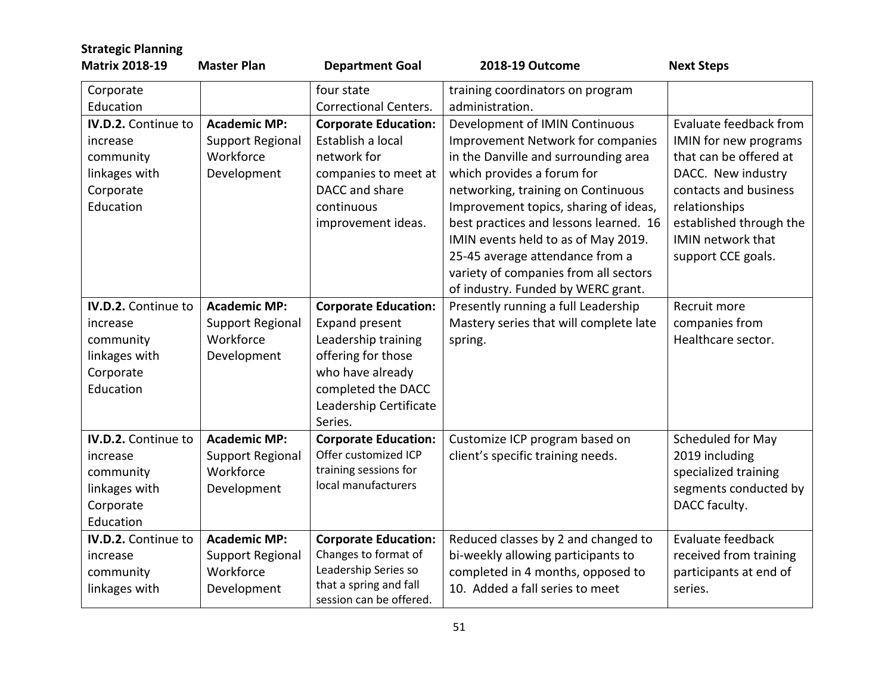| <b>Strategic Planning</b>  |                     |                                                |                                        |                         |
|----------------------------|---------------------|------------------------------------------------|----------------------------------------|-------------------------|
| <b>Matrix 2018-19</b>      | <b>Master Plan</b>  | <b>Department Goal</b>                         | 2018-19 Outcome                        | <b>Next Steps</b>       |
| Corporate                  |                     | four state                                     | training coordinators on program       |                         |
| Education                  |                     | <b>Correctional Centers.</b>                   | administration.                        |                         |
| <b>IV.D.2.</b> Continue to | <b>Academic MP:</b> | <b>Corporate Education:</b>                    | Development of IMIN Continuous         | Evaluate feedback from  |
| increase                   | Support Regional    | Establish a local                              | Improvement Network for companies      | IMIN for new programs   |
| community                  | Workforce           | network for                                    | in the Danville and surrounding area   | that can be offered at  |
| linkages with              | Development         | companies to meet at                           | which provides a forum for             | DACC. New industry      |
| Corporate                  |                     | DACC and share                                 | networking, training on Continuous     | contacts and business   |
| Education                  |                     | continuous                                     | Improvement topics, sharing of ideas,  | relationships           |
|                            |                     | improvement ideas.                             | best practices and lessons learned. 16 | established through the |
|                            |                     |                                                | IMIN events held to as of May 2019.    | IMIN network that       |
|                            |                     |                                                | 25-45 average attendance from a        | support CCE goals.      |
|                            |                     |                                                | variety of companies from all sectors  |                         |
|                            |                     |                                                | of industry. Funded by WERC grant.     |                         |
| <b>IV.D.2.</b> Continue to | <b>Academic MP:</b> | <b>Corporate Education:</b>                    | Presently running a full Leadership    | Recruit more            |
| increase                   | Support Regional    | <b>Expand present</b>                          | Mastery series that will complete late | companies from          |
| community                  | Workforce           | Leadership training                            | spring.                                | Healthcare sector.      |
| linkages with              | Development         | offering for those                             |                                        |                         |
| Corporate                  |                     | who have already                               |                                        |                         |
| Education                  |                     | completed the DACC                             |                                        |                         |
|                            |                     | Leadership Certificate                         |                                        |                         |
|                            |                     | Series.                                        |                                        |                         |
| <b>IV.D.2.</b> Continue to | <b>Academic MP:</b> | <b>Corporate Education:</b>                    | Customize ICP program based on         | Scheduled for May       |
| increase                   | Support Regional    | Offer customized ICP                           | client's specific training needs.      | 2019 including          |
| community                  | Workforce           | training sessions for<br>local manufacturers   |                                        | specialized training    |
| linkages with              | Development         |                                                |                                        | segments conducted by   |
| Corporate                  |                     |                                                |                                        | DACC faculty.           |
| Education                  |                     |                                                |                                        |                         |
| <b>IV.D.2.</b> Continue to | <b>Academic MP:</b> | <b>Corporate Education:</b>                    | Reduced classes by 2 and changed to    | Evaluate feedback       |
| increase                   | Support Regional    | Changes to format of                           | bi-weekly allowing participants to     | received from training  |
| community                  | Workforce           | Leadership Series so<br>that a spring and fall | completed in 4 months, opposed to      | participants at end of  |
| linkages with              | Development         | session can be offered.                        | 10. Added a fall series to meet        | series.                 |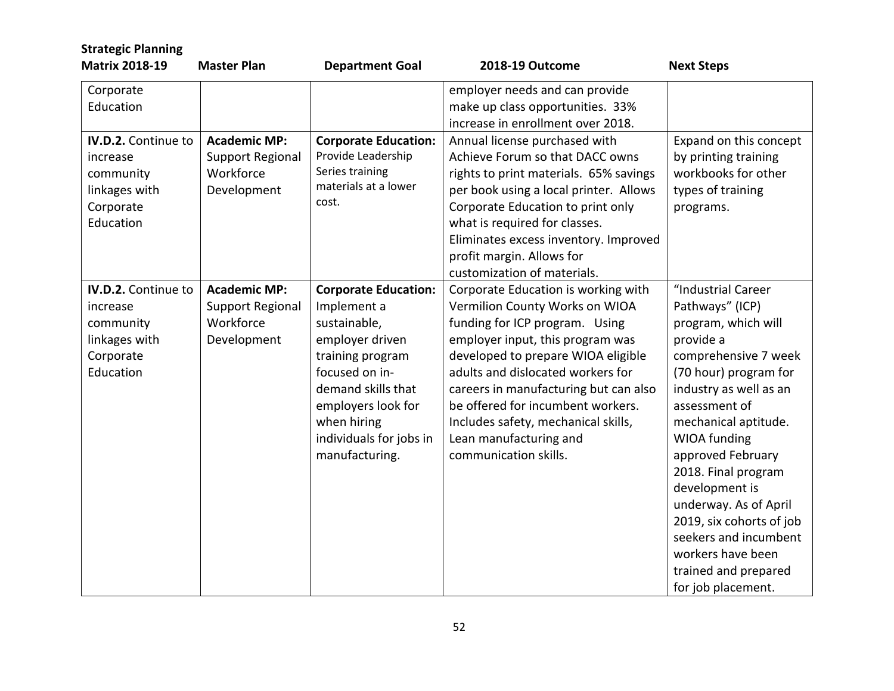| <b>Strategic Planning</b><br><b>Matrix 2018-19</b>                                      | <b>Master Plan</b>                                                         | <b>Department Goal</b>                                                                                                                                                                                                      | 2018-19 Outcome                                                                                                                                                                                                                                                                                                                                                                                | <b>Next Steps</b>                                                                                                                                                                                                                                                                                                                                                                                                            |
|-----------------------------------------------------------------------------------------|----------------------------------------------------------------------------|-----------------------------------------------------------------------------------------------------------------------------------------------------------------------------------------------------------------------------|------------------------------------------------------------------------------------------------------------------------------------------------------------------------------------------------------------------------------------------------------------------------------------------------------------------------------------------------------------------------------------------------|------------------------------------------------------------------------------------------------------------------------------------------------------------------------------------------------------------------------------------------------------------------------------------------------------------------------------------------------------------------------------------------------------------------------------|
| Corporate<br>Education                                                                  |                                                                            |                                                                                                                                                                                                                             | employer needs and can provide<br>make up class opportunities. 33%<br>increase in enrollment over 2018.                                                                                                                                                                                                                                                                                        |                                                                                                                                                                                                                                                                                                                                                                                                                              |
| IV.D.2. Continue to<br>increase<br>community<br>linkages with<br>Corporate<br>Education | <b>Academic MP:</b><br>Support Regional<br>Workforce<br>Development        | <b>Corporate Education:</b><br>Provide Leadership<br>Series training<br>materials at a lower<br>cost.                                                                                                                       | Annual license purchased with<br>Achieve Forum so that DACC owns<br>rights to print materials. 65% savings<br>per book using a local printer. Allows<br>Corporate Education to print only<br>what is required for classes.<br>Eliminates excess inventory. Improved<br>profit margin. Allows for<br>customization of materials.                                                                | Expand on this concept<br>by printing training<br>workbooks for other<br>types of training<br>programs.                                                                                                                                                                                                                                                                                                                      |
| IV.D.2. Continue to<br>increase<br>community<br>linkages with<br>Corporate<br>Education | <b>Academic MP:</b><br><b>Support Regional</b><br>Workforce<br>Development | <b>Corporate Education:</b><br>Implement a<br>sustainable,<br>employer driven<br>training program<br>focused on in-<br>demand skills that<br>employers look for<br>when hiring<br>individuals for jobs in<br>manufacturing. | Corporate Education is working with<br>Vermilion County Works on WIOA<br>funding for ICP program. Using<br>employer input, this program was<br>developed to prepare WIOA eligible<br>adults and dislocated workers for<br>careers in manufacturing but can also<br>be offered for incumbent workers.<br>Includes safety, mechanical skills,<br>Lean manufacturing and<br>communication skills. | "Industrial Career<br>Pathways" (ICP)<br>program, which will<br>provide a<br>comprehensive 7 week<br>(70 hour) program for<br>industry as well as an<br>assessment of<br>mechanical aptitude.<br>WIOA funding<br>approved February<br>2018. Final program<br>development is<br>underway. As of April<br>2019, six cohorts of job<br>seekers and incumbent<br>workers have been<br>trained and prepared<br>for job placement. |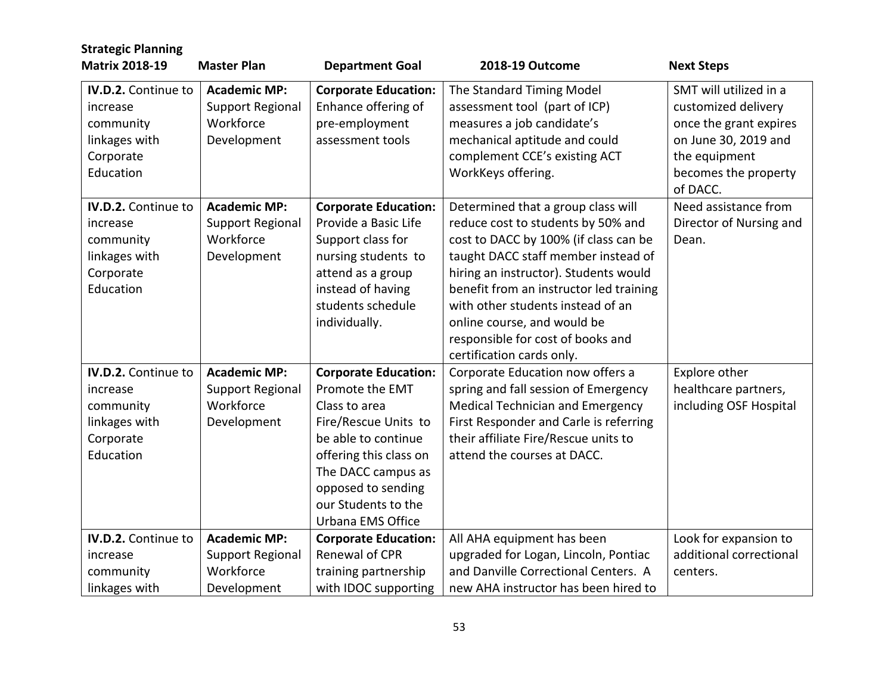| <b>Strategic Planning</b>                                                                      |                                                                            |                                                                                                                                                                                                                                  |                                                                                                                                                                                                                                                                                                                                                                                    |                                                                                                                                                      |
|------------------------------------------------------------------------------------------------|----------------------------------------------------------------------------|----------------------------------------------------------------------------------------------------------------------------------------------------------------------------------------------------------------------------------|------------------------------------------------------------------------------------------------------------------------------------------------------------------------------------------------------------------------------------------------------------------------------------------------------------------------------------------------------------------------------------|------------------------------------------------------------------------------------------------------------------------------------------------------|
| <b>Matrix 2018-19</b>                                                                          | <b>Master Plan</b>                                                         | <b>Department Goal</b>                                                                                                                                                                                                           | 2018-19 Outcome                                                                                                                                                                                                                                                                                                                                                                    | <b>Next Steps</b>                                                                                                                                    |
| IV.D.2. Continue to<br>increase<br>community<br>linkages with<br>Corporate<br>Education        | <b>Academic MP:</b><br>Support Regional<br>Workforce<br>Development        | <b>Corporate Education:</b><br>Enhance offering of<br>pre-employment<br>assessment tools                                                                                                                                         | The Standard Timing Model<br>assessment tool (part of ICP)<br>measures a job candidate's<br>mechanical aptitude and could<br>complement CCE's existing ACT<br>WorkKeys offering.                                                                                                                                                                                                   | SMT will utilized in a<br>customized delivery<br>once the grant expires<br>on June 30, 2019 and<br>the equipment<br>becomes the property<br>of DACC. |
| <b>IV.D.2.</b> Continue to<br>increase<br>community<br>linkages with<br>Corporate<br>Education | <b>Academic MP:</b><br><b>Support Regional</b><br>Workforce<br>Development | <b>Corporate Education:</b><br>Provide a Basic Life<br>Support class for<br>nursing students to<br>attend as a group<br>instead of having<br>students schedule<br>individually.                                                  | Determined that a group class will<br>reduce cost to students by 50% and<br>cost to DACC by 100% (if class can be<br>taught DACC staff member instead of<br>hiring an instructor). Students would<br>benefit from an instructor led training<br>with other students instead of an<br>online course, and would be<br>responsible for cost of books and<br>certification cards only. | Need assistance from<br>Director of Nursing and<br>Dean.                                                                                             |
| IV.D.2. Continue to<br>increase<br>community<br>linkages with<br>Corporate<br>Education        | <b>Academic MP:</b><br><b>Support Regional</b><br>Workforce<br>Development | <b>Corporate Education:</b><br>Promote the EMT<br>Class to area<br>Fire/Rescue Units to<br>be able to continue<br>offering this class on<br>The DACC campus as<br>opposed to sending<br>our Students to the<br>Urbana EMS Office | Corporate Education now offers a<br>spring and fall session of Emergency<br>Medical Technician and Emergency<br>First Responder and Carle is referring<br>their affiliate Fire/Rescue units to<br>attend the courses at DACC.                                                                                                                                                      | Explore other<br>healthcare partners,<br>including OSF Hospital                                                                                      |
| IV.D.2. Continue to<br>increase<br>community<br>linkages with                                  | <b>Academic MP:</b><br>Support Regional<br>Workforce<br>Development        | <b>Corporate Education:</b><br>Renewal of CPR<br>training partnership<br>with IDOC supporting                                                                                                                                    | All AHA equipment has been<br>upgraded for Logan, Lincoln, Pontiac<br>and Danville Correctional Centers. A<br>new AHA instructor has been hired to                                                                                                                                                                                                                                 | Look for expansion to<br>additional correctional<br>centers.                                                                                         |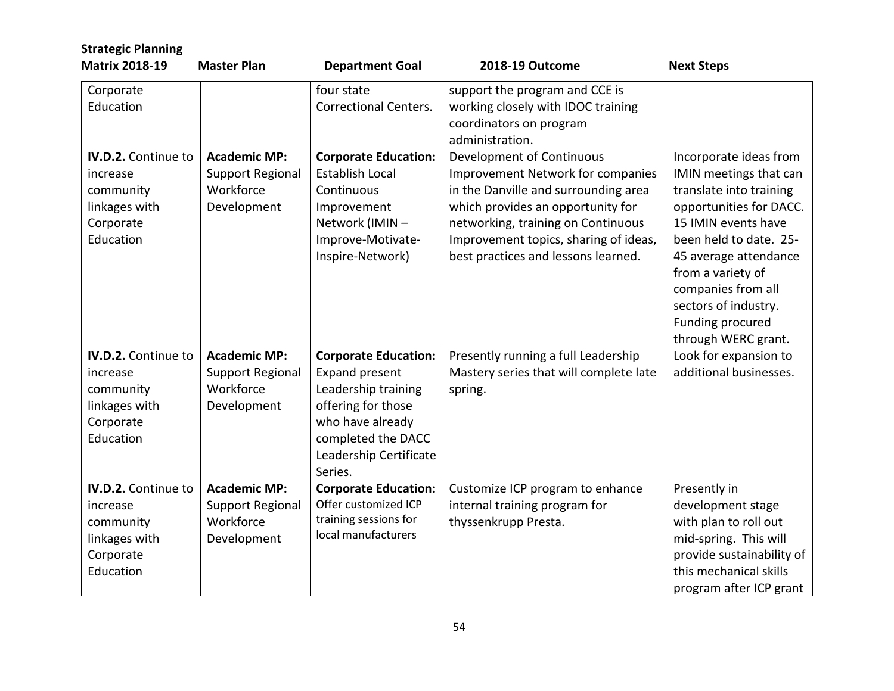| <b>Strategic Planning</b><br><b>Matrix 2018-19</b>                                      | <b>Master Plan</b>                                                         | <b>Department Goal</b>                                                                                                                                                           | 2018-19 Outcome                                                                                                                                                                                                                                                   | <b>Next Steps</b>                                                                                                                                                                                                                                                                              |
|-----------------------------------------------------------------------------------------|----------------------------------------------------------------------------|----------------------------------------------------------------------------------------------------------------------------------------------------------------------------------|-------------------------------------------------------------------------------------------------------------------------------------------------------------------------------------------------------------------------------------------------------------------|------------------------------------------------------------------------------------------------------------------------------------------------------------------------------------------------------------------------------------------------------------------------------------------------|
| Corporate<br>Education                                                                  |                                                                            | four state<br><b>Correctional Centers.</b>                                                                                                                                       | support the program and CCE is<br>working closely with IDOC training<br>coordinators on program<br>administration.                                                                                                                                                |                                                                                                                                                                                                                                                                                                |
| IV.D.2. Continue to<br>increase<br>community<br>linkages with<br>Corporate<br>Education | <b>Academic MP:</b><br><b>Support Regional</b><br>Workforce<br>Development | <b>Corporate Education:</b><br><b>Establish Local</b><br>Continuous<br>Improvement<br>Network (IMIN-<br>Improve-Motivate-<br>Inspire-Network)                                    | Development of Continuous<br>Improvement Network for companies<br>in the Danville and surrounding area<br>which provides an opportunity for<br>networking, training on Continuous<br>Improvement topics, sharing of ideas,<br>best practices and lessons learned. | Incorporate ideas from<br>IMIN meetings that can<br>translate into training<br>opportunities for DACC.<br>15 IMIN events have<br>been held to date. 25-<br>45 average attendance<br>from a variety of<br>companies from all<br>sectors of industry.<br>Funding procured<br>through WERC grant. |
| IV.D.2. Continue to<br>increase<br>community<br>linkages with<br>Corporate<br>Education | <b>Academic MP:</b><br>Support Regional<br>Workforce<br>Development        | <b>Corporate Education:</b><br><b>Expand present</b><br>Leadership training<br>offering for those<br>who have already<br>completed the DACC<br>Leadership Certificate<br>Series. | Presently running a full Leadership<br>Mastery series that will complete late<br>spring.                                                                                                                                                                          | Look for expansion to<br>additional businesses.                                                                                                                                                                                                                                                |
| IV.D.2. Continue to<br>increase<br>community<br>linkages with<br>Corporate<br>Education | <b>Academic MP:</b><br><b>Support Regional</b><br>Workforce<br>Development | <b>Corporate Education:</b><br>Offer customized ICP<br>training sessions for<br>local manufacturers                                                                              | Customize ICP program to enhance<br>internal training program for<br>thyssenkrupp Presta.                                                                                                                                                                         | Presently in<br>development stage<br>with plan to roll out<br>mid-spring. This will<br>provide sustainability of<br>this mechanical skills<br>program after ICP grant                                                                                                                          |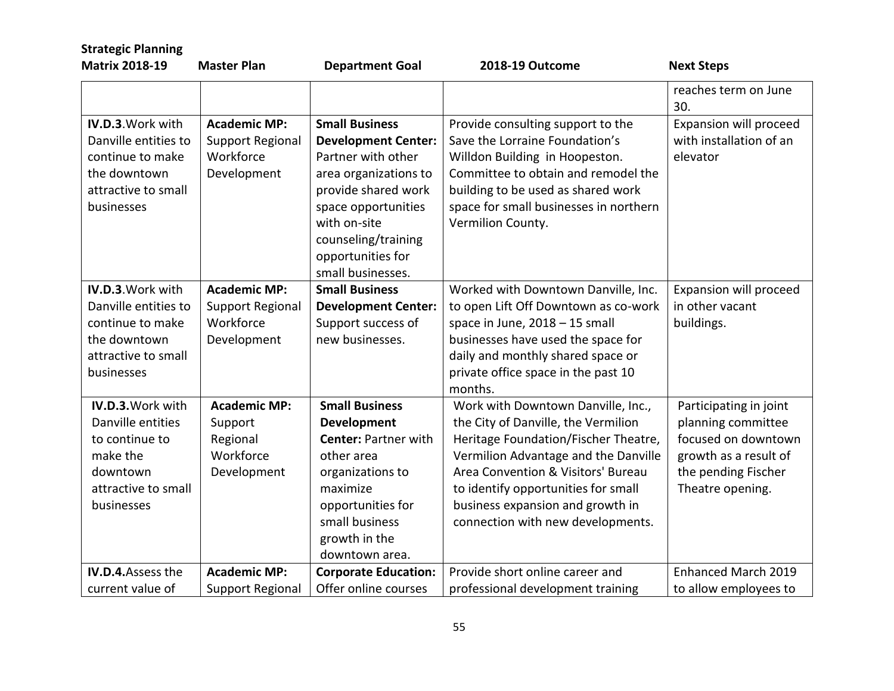| <b>Strategic Planning</b><br><b>Matrix 2018-19</b>                                                                           | <b>Master Plan</b>                                                         | <b>Department Goal</b>                                                                                                                                                                                                            | 2018-19 Outcome                                                                                                                                                                                                                                                                                                 | <b>Next Steps</b>                                                                                                                       |
|------------------------------------------------------------------------------------------------------------------------------|----------------------------------------------------------------------------|-----------------------------------------------------------------------------------------------------------------------------------------------------------------------------------------------------------------------------------|-----------------------------------------------------------------------------------------------------------------------------------------------------------------------------------------------------------------------------------------------------------------------------------------------------------------|-----------------------------------------------------------------------------------------------------------------------------------------|
|                                                                                                                              |                                                                            |                                                                                                                                                                                                                                   |                                                                                                                                                                                                                                                                                                                 | reaches term on June<br>30.                                                                                                             |
| IV.D.3. Work with<br>Danville entities to<br>continue to make<br>the downtown<br>attractive to small<br>businesses           | <b>Academic MP:</b><br><b>Support Regional</b><br>Workforce<br>Development | <b>Small Business</b><br><b>Development Center:</b><br>Partner with other<br>area organizations to<br>provide shared work<br>space opportunities<br>with on-site<br>counseling/training<br>opportunities for<br>small businesses. | Provide consulting support to the<br>Save the Lorraine Foundation's<br>Willdon Building in Hoopeston.<br>Committee to obtain and remodel the<br>building to be used as shared work<br>space for small businesses in northern<br>Vermilion County.                                                               | Expansion will proceed<br>with installation of an<br>elevator                                                                           |
| IV.D.3. Work with<br>Danville entities to<br>continue to make<br>the downtown<br>attractive to small<br>businesses           | <b>Academic MP:</b><br><b>Support Regional</b><br>Workforce<br>Development | <b>Small Business</b><br><b>Development Center:</b><br>Support success of<br>new businesses.                                                                                                                                      | Worked with Downtown Danville, Inc.<br>to open Lift Off Downtown as co-work<br>space in June, 2018 - 15 small<br>businesses have used the space for<br>daily and monthly shared space or<br>private office space in the past 10<br>months.                                                                      | Expansion will proceed<br>in other vacant<br>buildings.                                                                                 |
| <b>IV.D.3.</b> Work with<br>Danville entities<br>to continue to<br>make the<br>downtown<br>attractive to small<br>businesses | <b>Academic MP:</b><br>Support<br>Regional<br>Workforce<br>Development     | <b>Small Business</b><br><b>Development</b><br><b>Center: Partner with</b><br>other area<br>organizations to<br>maximize<br>opportunities for<br>small business<br>growth in the<br>downtown area.                                | Work with Downtown Danville, Inc.,<br>the City of Danville, the Vermilion<br>Heritage Foundation/Fischer Theatre,<br>Vermilion Advantage and the Danville<br>Area Convention & Visitors' Bureau<br>to identify opportunities for small<br>business expansion and growth in<br>connection with new developments. | Participating in joint<br>planning committee<br>focused on downtown<br>growth as a result of<br>the pending Fischer<br>Theatre opening. |
| <b>IV.D.4.</b> Assess the<br>current value of                                                                                | <b>Academic MP:</b><br>Support Regional                                    | <b>Corporate Education:</b><br>Offer online courses                                                                                                                                                                               | Provide short online career and<br>professional development training                                                                                                                                                                                                                                            | Enhanced March 2019<br>to allow employees to                                                                                            |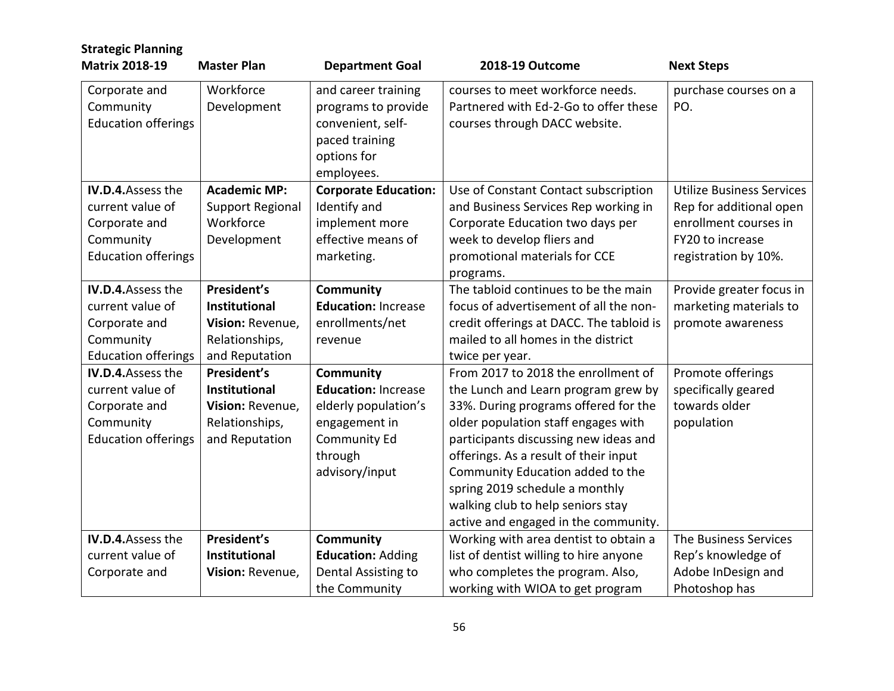| <b>Strategic Planning</b>                                                                                 |                                                                                             |                                                                                                                                      |                                                                                                                                                                                                                                                                                                                                                                                                |                                                                                                                                  |
|-----------------------------------------------------------------------------------------------------------|---------------------------------------------------------------------------------------------|--------------------------------------------------------------------------------------------------------------------------------------|------------------------------------------------------------------------------------------------------------------------------------------------------------------------------------------------------------------------------------------------------------------------------------------------------------------------------------------------------------------------------------------------|----------------------------------------------------------------------------------------------------------------------------------|
| <b>Matrix 2018-19</b>                                                                                     | <b>Master Plan</b>                                                                          | <b>Department Goal</b>                                                                                                               | 2018-19 Outcome                                                                                                                                                                                                                                                                                                                                                                                | <b>Next Steps</b>                                                                                                                |
| Corporate and<br>Community<br><b>Education offerings</b>                                                  | Workforce<br>Development                                                                    | and career training<br>programs to provide<br>convenient, self-<br>paced training<br>options for<br>employees.                       | courses to meet workforce needs.<br>Partnered with Ed-2-Go to offer these<br>courses through DACC website.                                                                                                                                                                                                                                                                                     | purchase courses on a<br>PO.                                                                                                     |
| <b>IV.D.4.</b> Assess the<br>current value of<br>Corporate and<br>Community<br><b>Education offerings</b> | <b>Academic MP:</b><br>Support Regional<br>Workforce<br>Development                         | <b>Corporate Education:</b><br>Identify and<br>implement more<br>effective means of<br>marketing.                                    | Use of Constant Contact subscription<br>and Business Services Rep working in<br>Corporate Education two days per<br>week to develop fliers and<br>promotional materials for CCE<br>programs.                                                                                                                                                                                                   | <b>Utilize Business Services</b><br>Rep for additional open<br>enrollment courses in<br>FY20 to increase<br>registration by 10%. |
| <b>IV.D.4.</b> Assess the<br>current value of<br>Corporate and<br>Community<br><b>Education offerings</b> | President's<br><b>Institutional</b><br>Vision: Revenue,<br>Relationships,<br>and Reputation | Community<br><b>Education: Increase</b><br>enrollments/net<br>revenue                                                                | The tabloid continues to be the main<br>focus of advertisement of all the non-<br>credit offerings at DACC. The tabloid is<br>mailed to all homes in the district<br>twice per year.                                                                                                                                                                                                           | Provide greater focus in<br>marketing materials to<br>promote awareness                                                          |
| <b>IV.D.4.</b> Assess the<br>current value of<br>Corporate and<br>Community<br><b>Education offerings</b> | President's<br><b>Institutional</b><br>Vision: Revenue,<br>Relationships,<br>and Reputation | Community<br><b>Education: Increase</b><br>elderly population's<br>engagement in<br><b>Community Ed</b><br>through<br>advisory/input | From 2017 to 2018 the enrollment of<br>the Lunch and Learn program grew by<br>33%. During programs offered for the<br>older population staff engages with<br>participants discussing new ideas and<br>offerings. As a result of their input<br>Community Education added to the<br>spring 2019 schedule a monthly<br>walking club to help seniors stay<br>active and engaged in the community. | Promote offerings<br>specifically geared<br>towards older<br>population                                                          |
| IV.D.4. Assess the<br>current value of<br>Corporate and                                                   | President's<br><b>Institutional</b><br>Vision: Revenue,                                     | Community<br><b>Education: Adding</b><br>Dental Assisting to<br>the Community                                                        | Working with area dentist to obtain a<br>list of dentist willing to hire anyone<br>who completes the program. Also,<br>working with WIOA to get program                                                                                                                                                                                                                                        | The Business Services<br>Rep's knowledge of<br>Adobe InDesign and<br>Photoshop has                                               |